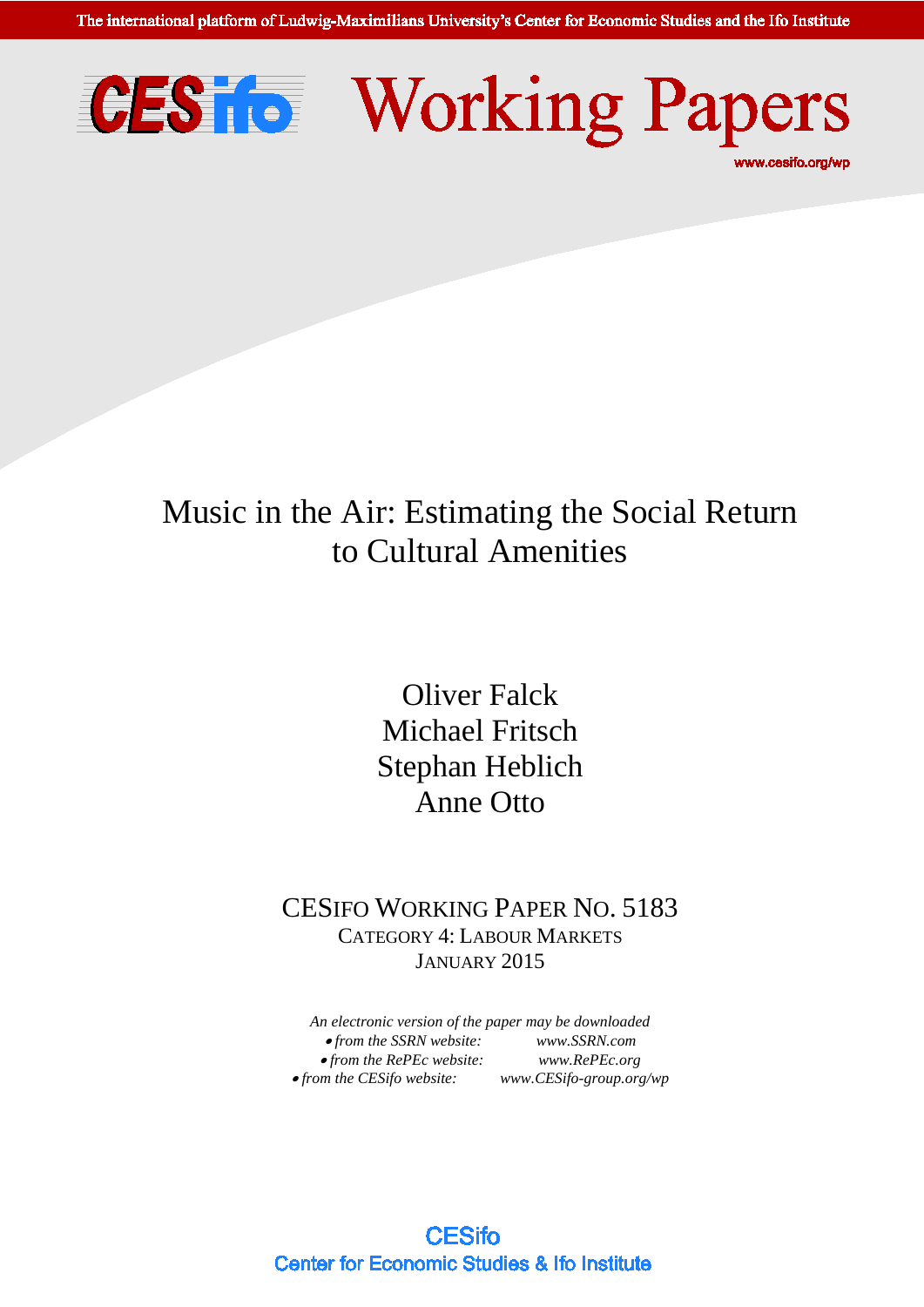The international platform of Ludwig-Maximilians University's Center for Economic Studies and the Ifo Institute





# Music in the Air: Estimating the Social Return to Cultural Amenities

Oliver Falck Michael Fritsch Stephan Heblich Anne Otto

## CESIFO WORKING PAPER NO. 5183 CATEGORY 4: LABOUR MARKETS JANUARY 2015

*An electronic version of the paper may be downloaded*  • *from the SSRN website: [www.SSRN.com](http://www.ssrn.com/)* • from the RePEc website: *from the RePEc website: [www.RePEc.org](http://www.repec.org/)* • *from the CESifo website: [www.CESifo-group.org/wp](http://www.cesifo-group.de/)* 

**CESifo Center for Economic Studies & Ifo Institute**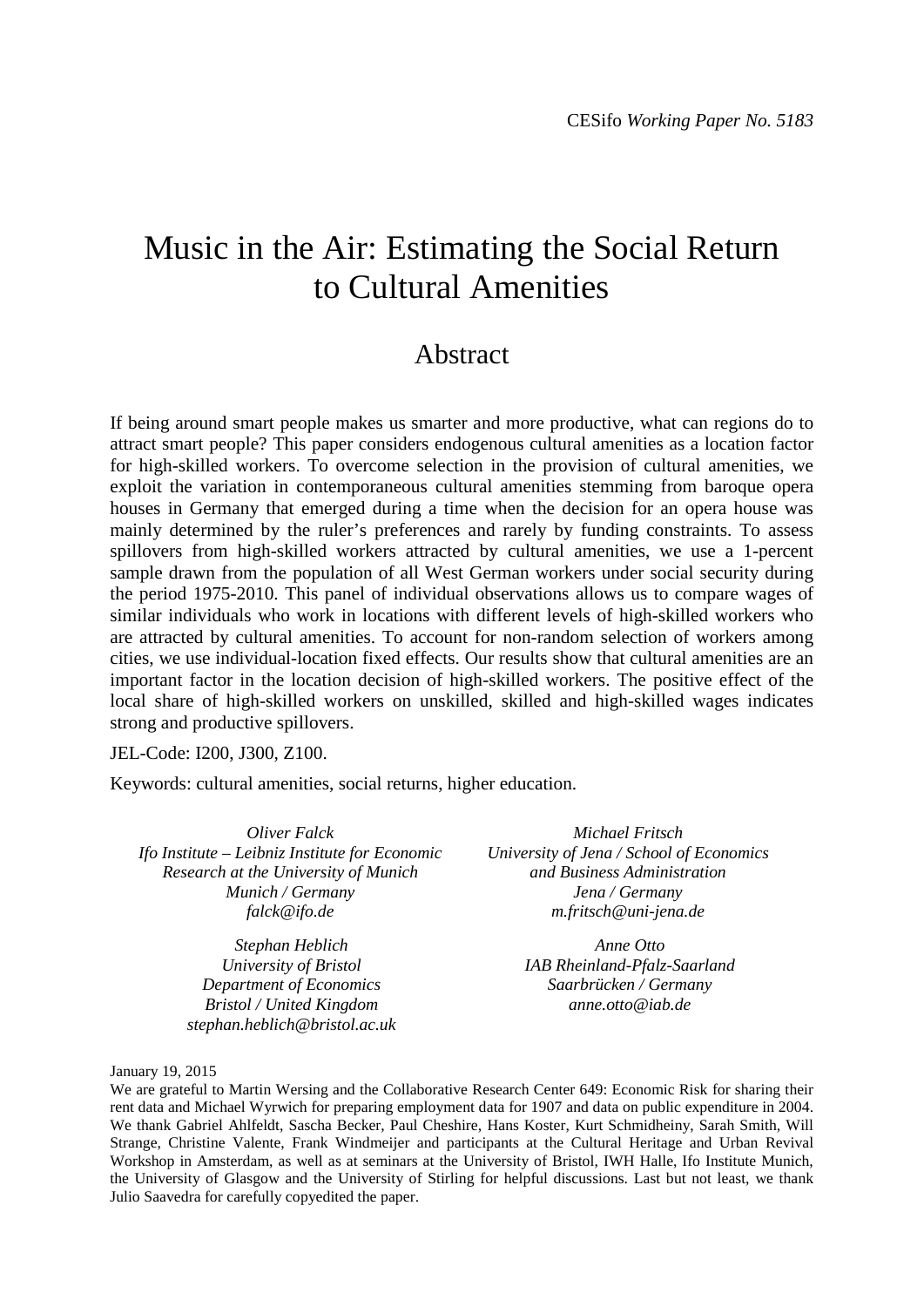# Music in the Air: Estimating the Social Return to Cultural Amenities

## Abstract

If being around smart people makes us smarter and more productive, what can regions do to attract smart people? This paper considers endogenous cultural amenities as a location factor for high-skilled workers. To overcome selection in the provision of cultural amenities, we exploit the variation in contemporaneous cultural amenities stemming from baroque opera houses in Germany that emerged during a time when the decision for an opera house was mainly determined by the ruler's preferences and rarely by funding constraints. To assess spillovers from high-skilled workers attracted by cultural amenities, we use a 1-percent sample drawn from the population of all West German workers under social security during the period 1975-2010. This panel of individual observations allows us to compare wages of similar individuals who work in locations with different levels of high-skilled workers who are attracted by cultural amenities. To account for non-random selection of workers among cities, we use individual-location fixed effects. Our results show that cultural amenities are an important factor in the location decision of high-skilled workers. The positive effect of the local share of high-skilled workers on unskilled, skilled and high-skilled wages indicates strong and productive spillovers.

JEL-Code: I200, J300, Z100.

Keywords: cultural amenities, social returns, higher education.

| Oliver Falck                                   | Michael Fritsch                          |
|------------------------------------------------|------------------------------------------|
| Ifo Institute - Leibniz Institute for Economic | University of Jena / School of Economics |
| Research at the University of Munich           | and Business Administration              |
| Munich / Germany                               | Jena / Germany                           |
| falck@ifo.de                                   | m.fritsch@uni-jena.de                    |
| Stephan Heblich                                | Anne Otto                                |
| University of Bristol                          | IAB Rheinland-Pfalz-Saarland             |
| Department of Economics                        | Saarbrücken / Germany                    |
| Bristol / United Kingdom                       | anne.otto@iab.de                         |
| stephan.heblich@bristol.ac.uk                  |                                          |

January 19, 2015

We are grateful to Martin Wersing and the Collaborative Research Center 649: Economic Risk for sharing their rent data and Michael Wyrwich for preparing employment data for 1907 and data on public expenditure in 2004. We thank Gabriel Ahlfeldt, Sascha Becker, Paul Cheshire, Hans Koster, Kurt Schmidheiny, Sarah Smith, Will Strange, Christine Valente, Frank Windmeijer and participants at the Cultural Heritage and Urban Revival Workshop in Amsterdam, as well as at seminars at the University of Bristol, IWH Halle, Ifo Institute Munich, the University of Glasgow and the University of Stirling for helpful discussions. Last but not least, we thank Julio Saavedra for carefully copyedited the paper.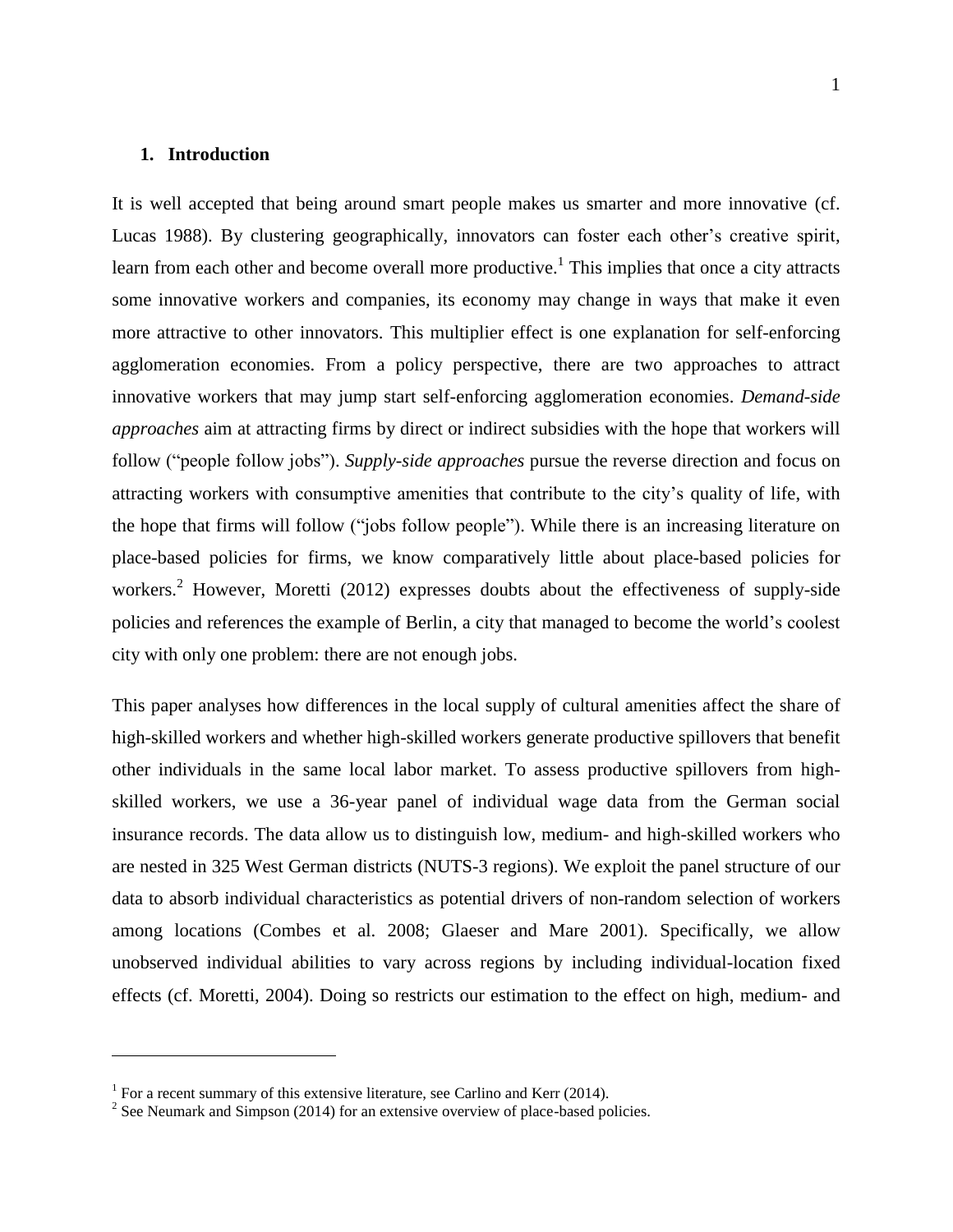### **1. Introduction**

It is well accepted that being around smart people makes us smarter and more innovative (cf. Lucas 1988). By clustering geographically, innovators can foster each other's creative spirit, learn from each other and become overall more productive.<sup>1</sup> This implies that once a city attracts some innovative workers and companies, its economy may change in ways that make it even more attractive to other innovators. This multiplier effect is one explanation for self-enforcing agglomeration economies. From a policy perspective, there are two approaches to attract innovative workers that may jump start self-enforcing agglomeration economies. *Demand-side approaches* aim at attracting firms by direct or indirect subsidies with the hope that workers will follow ("people follow jobs"). *Supply-side approaches* pursue the reverse direction and focus on attracting workers with consumptive amenities that contribute to the city's quality of life, with the hope that firms will follow ("jobs follow people"). While there is an increasing literature on place-based policies for firms, we know comparatively little about place-based policies for workers.<sup>2</sup> However, Moretti (2012) expresses doubts about the effectiveness of supply-side policies and references the example of Berlin, a city that managed to become the world's coolest city with only one problem: there are not enough jobs.

This paper analyses how differences in the local supply of cultural amenities affect the share of high-skilled workers and whether high-skilled workers generate productive spillovers that benefit other individuals in the same local labor market. To assess productive spillovers from highskilled workers, we use a 36-year panel of individual wage data from the German social insurance records. The data allow us to distinguish low, medium- and high-skilled workers who are nested in 325 West German districts (NUTS-3 regions). We exploit the panel structure of our data to absorb individual characteristics as potential drivers of non-random selection of workers among locations (Combes et al. 2008; Glaeser and Mare 2001). Specifically, we allow unobserved individual abilities to vary across regions by including individual-location fixed effects (cf. Moretti, 2004). Doing so restricts our estimation to the effect on high, medium- and

<sup>&</sup>lt;sup>1</sup> For a recent summary of this extensive literature, see Carlino and Kerr (2014).

 $2^{2}$  See Neumark and Simpson (2014) for an extensive overview of place-based policies.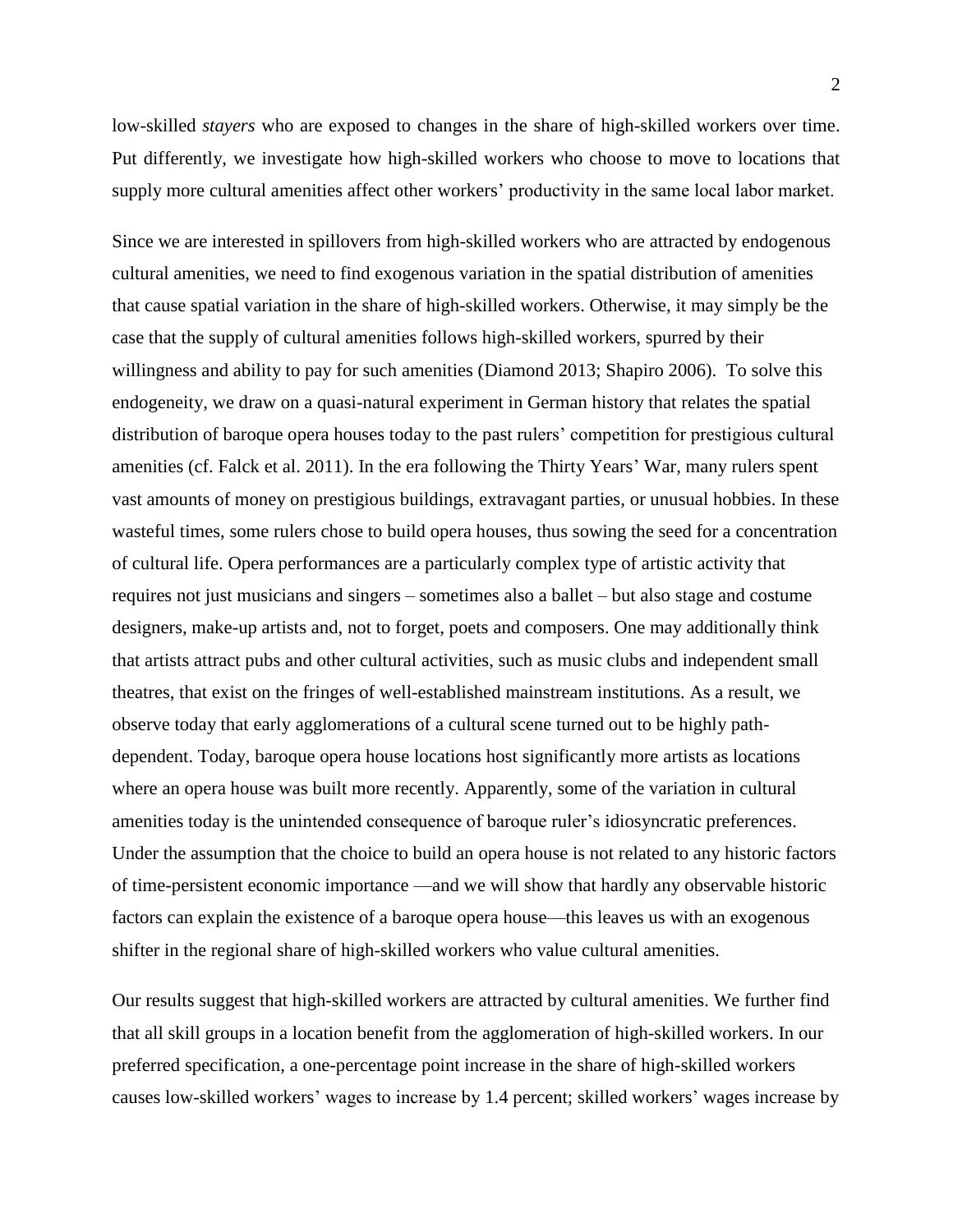low-skilled *stayers* who are exposed to changes in the share of high-skilled workers over time. Put differently, we investigate how high-skilled workers who choose to move to locations that supply more cultural amenities affect other workers' productivity in the same local labor market.

Since we are interested in spillovers from high-skilled workers who are attracted by endogenous cultural amenities, we need to find exogenous variation in the spatial distribution of amenities that cause spatial variation in the share of high-skilled workers. Otherwise, it may simply be the case that the supply of cultural amenities follows high-skilled workers, spurred by their willingness and ability to pay for such amenities (Diamond 2013; Shapiro 2006). To solve this endogeneity, we draw on a quasi-natural experiment in German history that relates the spatial distribution of baroque opera houses today to the past rulers' competition for prestigious cultural amenities (cf. Falck et al. 2011). In the era following the Thirty Years' War, many rulers spent vast amounts of money on prestigious buildings, extravagant parties, or unusual hobbies. In these wasteful times, some rulers chose to build opera houses, thus sowing the seed for a concentration of cultural life. Opera performances are a particularly complex type of artistic activity that requires not just musicians and singers – sometimes also a ballet – but also stage and costume designers, make-up artists and, not to forget, poets and composers. One may additionally think that artists attract pubs and other cultural activities, such as music clubs and independent small theatres, that exist on the fringes of well-established mainstream institutions. As a result, we observe today that early agglomerations of a cultural scene turned out to be highly pathdependent. Today, baroque opera house locations host significantly more artists as locations where an opera house was built more recently. Apparently, some of the variation in cultural amenities today is the unintended consequence of baroque ruler's idiosyncratic preferences. Under the assumption that the choice to build an opera house is not related to any historic factors of time-persistent economic importance —and we will show that hardly any observable historic factors can explain the existence of a baroque opera house—this leaves us with an exogenous shifter in the regional share of high-skilled workers who value cultural amenities.

Our results suggest that high-skilled workers are attracted by cultural amenities. We further find that all skill groups in a location benefit from the agglomeration of high-skilled workers. In our preferred specification, a one-percentage point increase in the share of high-skilled workers causes low-skilled workers' wages to increase by 1.4 percent; skilled workers' wages increase by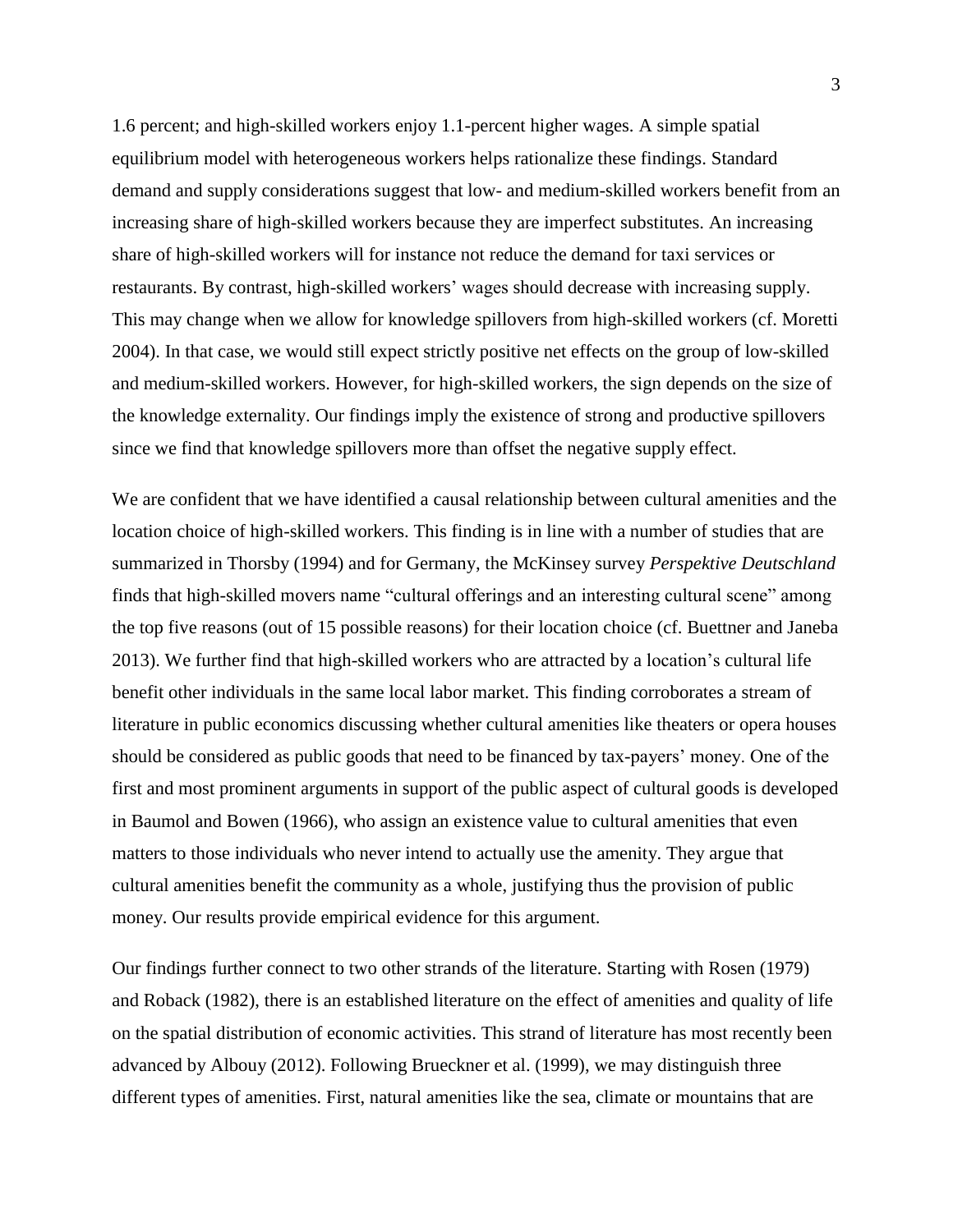1.6 percent; and high-skilled workers enjoy 1.1-percent higher wages. A simple spatial equilibrium model with heterogeneous workers helps rationalize these findings. Standard demand and supply considerations suggest that low- and medium-skilled workers benefit from an increasing share of high-skilled workers because they are imperfect substitutes. An increasing share of high-skilled workers will for instance not reduce the demand for taxi services or restaurants. By contrast, high-skilled workers' wages should decrease with increasing supply. This may change when we allow for knowledge spillovers from high-skilled workers (cf. Moretti 2004). In that case, we would still expect strictly positive net effects on the group of low-skilled and medium-skilled workers. However, for high-skilled workers, the sign depends on the size of the knowledge externality. Our findings imply the existence of strong and productive spillovers since we find that knowledge spillovers more than offset the negative supply effect.

We are confident that we have identified a causal relationship between cultural amenities and the location choice of high-skilled workers. This finding is in line with a number of studies that are summarized in Thorsby (1994) and for Germany, the McKinsey survey *Perspektive Deutschland* finds that high-skilled movers name "cultural offerings and an interesting cultural scene" among the top five reasons (out of 15 possible reasons) for their location choice (cf. Buettner and Janeba 2013). We further find that high-skilled workers who are attracted by a location's cultural life benefit other individuals in the same local labor market. This finding corroborates a stream of literature in public economics discussing whether cultural amenities like theaters or opera houses should be considered as public goods that need to be financed by tax-payers' money. One of the first and most prominent arguments in support of the public aspect of cultural goods is developed in Baumol and Bowen (1966), who assign an existence value to cultural amenities that even matters to those individuals who never intend to actually use the amenity. They argue that cultural amenities benefit the community as a whole, justifying thus the provision of public money. Our results provide empirical evidence for this argument.

Our findings further connect to two other strands of the literature. Starting with Rosen (1979) and Roback (1982), there is an established literature on the effect of amenities and quality of life on the spatial distribution of economic activities. This strand of literature has most recently been advanced by Albouy (2012). Following Brueckner et al. (1999), we may distinguish three different types of amenities. First, natural amenities like the sea, climate or mountains that are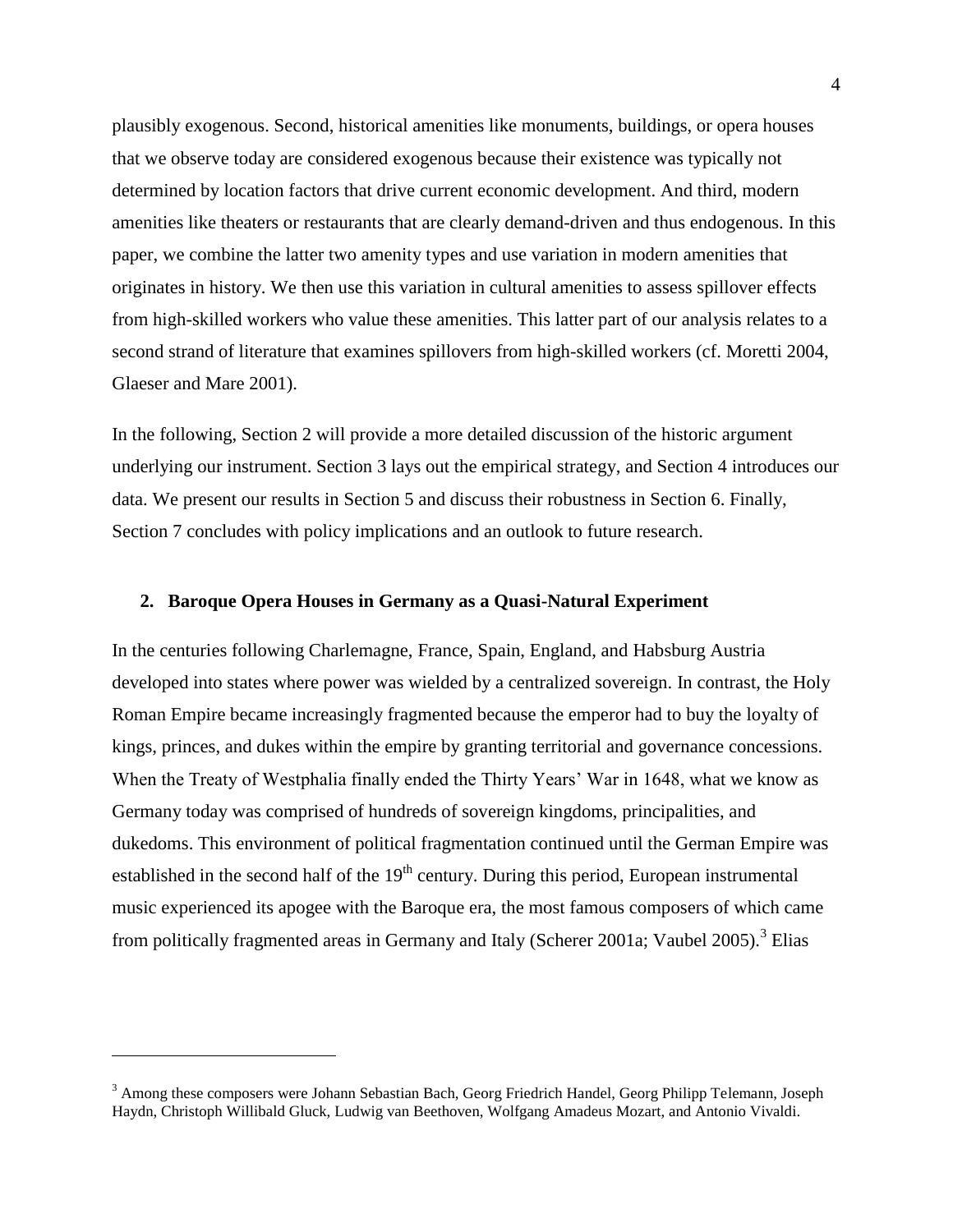plausibly exogenous. Second, historical amenities like monuments, buildings, or opera houses that we observe today are considered exogenous because their existence was typically not determined by location factors that drive current economic development. And third, modern amenities like theaters or restaurants that are clearly demand-driven and thus endogenous. In this paper, we combine the latter two amenity types and use variation in modern amenities that originates in history. We then use this variation in cultural amenities to assess spillover effects from high-skilled workers who value these amenities. This latter part of our analysis relates to a second strand of literature that examines spillovers from high-skilled workers (cf. Moretti 2004, Glaeser and Mare 2001).

In the following, Section 2 will provide a more detailed discussion of the historic argument underlying our instrument. Section 3 lays out the empirical strategy, and Section 4 introduces our data. We present our results in Section 5 and discuss their robustness in Section 6. Finally, Section 7 concludes with policy implications and an outlook to future research.

#### **2. Baroque Opera Houses in Germany as a Quasi-Natural Experiment**

In the centuries following Charlemagne, France, Spain, England, and Habsburg Austria developed into states where power was wielded by a centralized sovereign. In contrast, the Holy Roman Empire became increasingly fragmented because the emperor had to buy the loyalty of kings, princes, and dukes within the empire by granting territorial and governance concessions. When the Treaty of Westphalia finally ended the Thirty Years' War in 1648, what we know as Germany today was comprised of hundreds of sovereign kingdoms, principalities, and dukedoms. This environment of political fragmentation continued until the German Empire was established in the second half of the  $19<sup>th</sup>$  century. During this period, European instrumental music experienced its apogee with the Baroque era, the most famous composers of which came from politically fragmented areas in Germany and Italy (Scherer 2001a; Vaubel 2005).<sup>3</sup> Elias

<sup>&</sup>lt;sup>3</sup> Among these composers were Johann Sebastian Bach, Georg Friedrich Handel, Georg Philipp Telemann, Joseph Haydn, Christoph Willibald Gluck, Ludwig van Beethoven, Wolfgang Amadeus Mozart, and Antonio Vivaldi.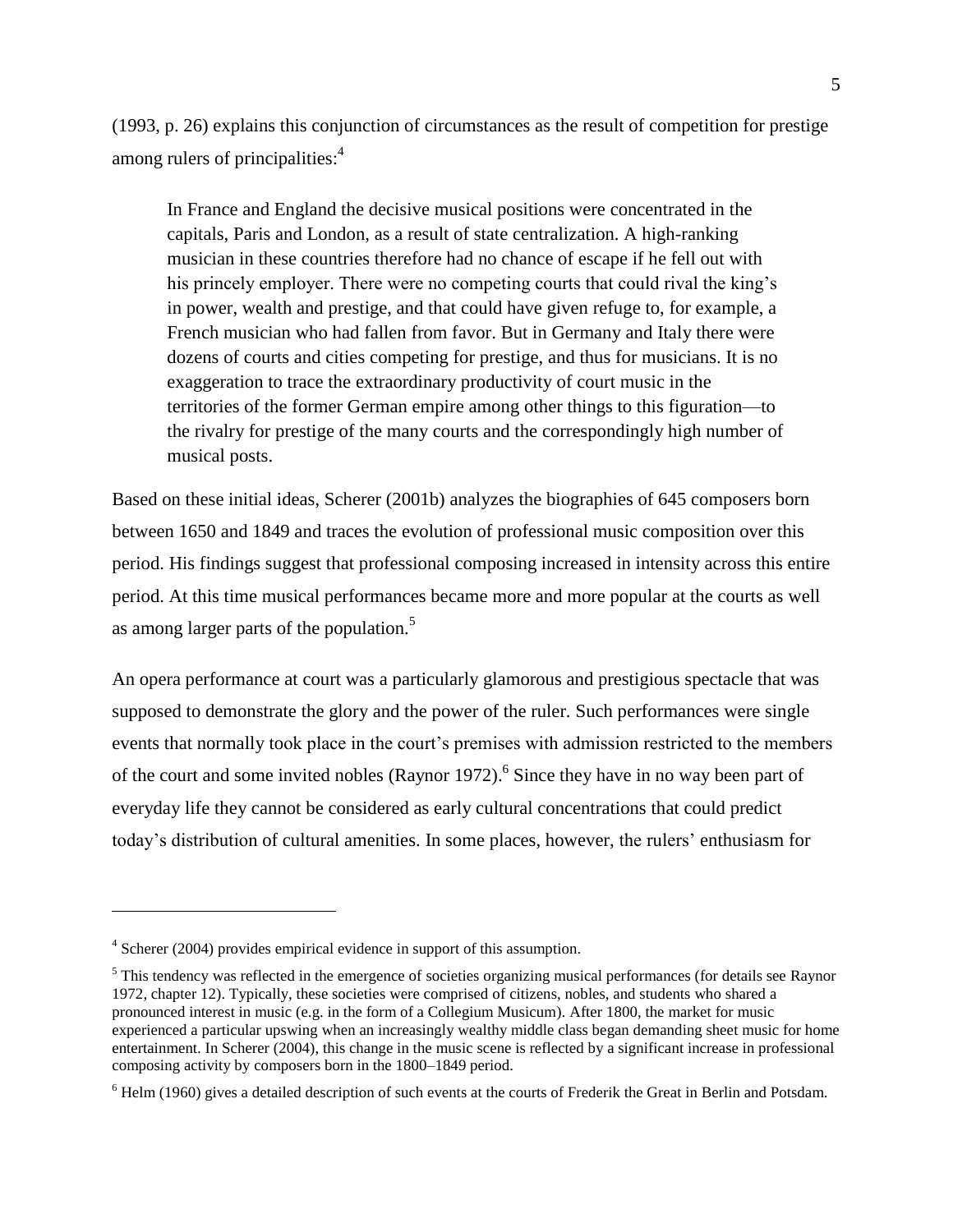(1993, p. 26) explains this conjunction of circumstances as the result of competition for prestige among rulers of principalities:<sup>4</sup>

In France and England the decisive musical positions were concentrated in the capitals, Paris and London, as a result of state centralization. A high-ranking musician in these countries therefore had no chance of escape if he fell out with his princely employer. There were no competing courts that could rival the king's in power, wealth and prestige, and that could have given refuge to, for example, a French musician who had fallen from favor. But in Germany and Italy there were dozens of courts and cities competing for prestige, and thus for musicians. It is no exaggeration to trace the extraordinary productivity of court music in the territories of the former German empire among other things to this figuration—to the rivalry for prestige of the many courts and the correspondingly high number of musical posts.

Based on these initial ideas, Scherer (2001b) analyzes the biographies of 645 composers born between 1650 and 1849 and traces the evolution of professional music composition over this period. His findings suggest that professional composing increased in intensity across this entire period. At this time musical performances became more and more popular at the courts as well as among larger parts of the population.<sup>5</sup>

An opera performance at court was a particularly glamorous and prestigious spectacle that was supposed to demonstrate the glory and the power of the ruler. Such performances were single events that normally took place in the court's premises with admission restricted to the members of the court and some invited nobles (Raynor 1972).<sup>6</sup> Since they have in no way been part of everyday life they cannot be considered as early cultural concentrations that could predict today's distribution of cultural amenities. In some places, however, the rulers' enthusiasm for

<sup>&</sup>lt;sup>4</sup> Scherer (2004) provides empirical evidence in support of this assumption.

<sup>&</sup>lt;sup>5</sup> This tendency was reflected in the emergence of societies organizing musical performances (for details see Raynor 1972, chapter 12). Typically, these societies were comprised of citizens, nobles, and students who shared a pronounced interest in music (e.g. in the form of a Collegium Musicum). After 1800, the market for music experienced a particular upswing when an increasingly wealthy middle class began demanding sheet music for home entertainment. In Scherer (2004), this change in the music scene is reflected by a significant increase in professional composing activity by composers born in the 1800–1849 period.

 $6$  Helm (1960) gives a detailed description of such events at the courts of Frederik the Great in Berlin and Potsdam.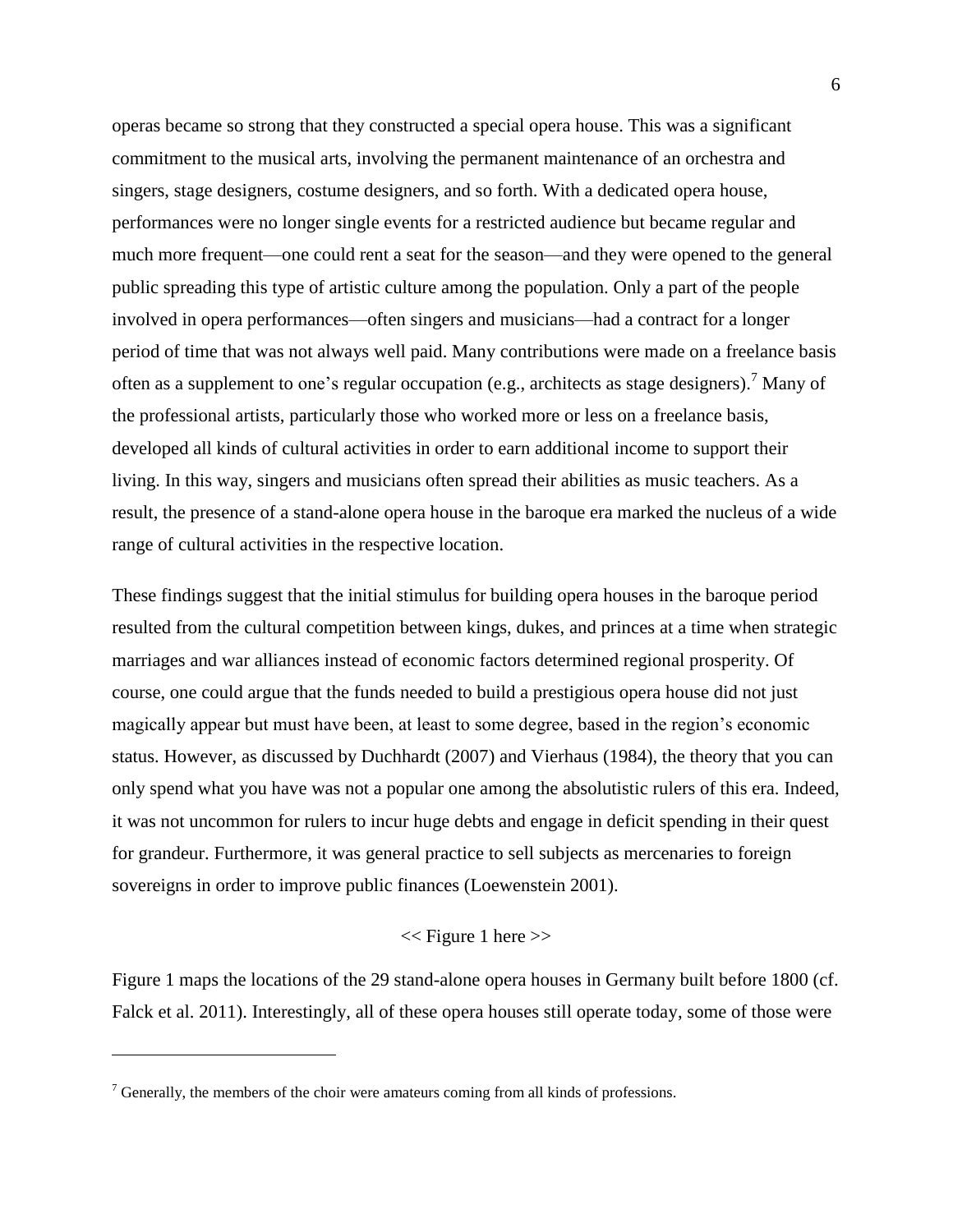operas became so strong that they constructed a special opera house. This was a significant commitment to the musical arts, involving the permanent maintenance of an orchestra and singers, stage designers, costume designers, and so forth. With a dedicated opera house, performances were no longer single events for a restricted audience but became regular and much more frequent—one could rent a seat for the season—and they were opened to the general public spreading this type of artistic culture among the population. Only a part of the people involved in opera performances—often singers and musicians—had a contract for a longer period of time that was not always well paid. Many contributions were made on a freelance basis often as a supplement to one's regular occupation (e.g., architects as stage designers).<sup>7</sup> Many of the professional artists, particularly those who worked more or less on a freelance basis, developed all kinds of cultural activities in order to earn additional income to support their living. In this way, singers and musicians often spread their abilities as music teachers. As a result, the presence of a stand-alone opera house in the baroque era marked the nucleus of a wide range of cultural activities in the respective location.

These findings suggest that the initial stimulus for building opera houses in the baroque period resulted from the cultural competition between kings, dukes, and princes at a time when strategic marriages and war alliances instead of economic factors determined regional prosperity. Of course, one could argue that the funds needed to build a prestigious opera house did not just magically appear but must have been, at least to some degree, based in the region's economic status. However, as discussed by Duchhardt (2007) and Vierhaus (1984), the theory that you can only spend what you have was not a popular one among the absolutistic rulers of this era. Indeed, it was not uncommon for rulers to incur huge debts and engage in deficit spending in their quest for grandeur. Furthermore, it was general practice to sell subjects as mercenaries to foreign sovereigns in order to improve public finances (Loewenstein 2001).

#### $<<$  Figure 1 here  $>>$

Figure 1 maps the locations of the 29 stand-alone opera houses in Germany built before 1800 (cf. Falck et al. 2011). Interestingly, all of these opera houses still operate today, some of those were

 $\alpha$ <sup>7</sup> Generally, the members of the choir were amateurs coming from all kinds of professions.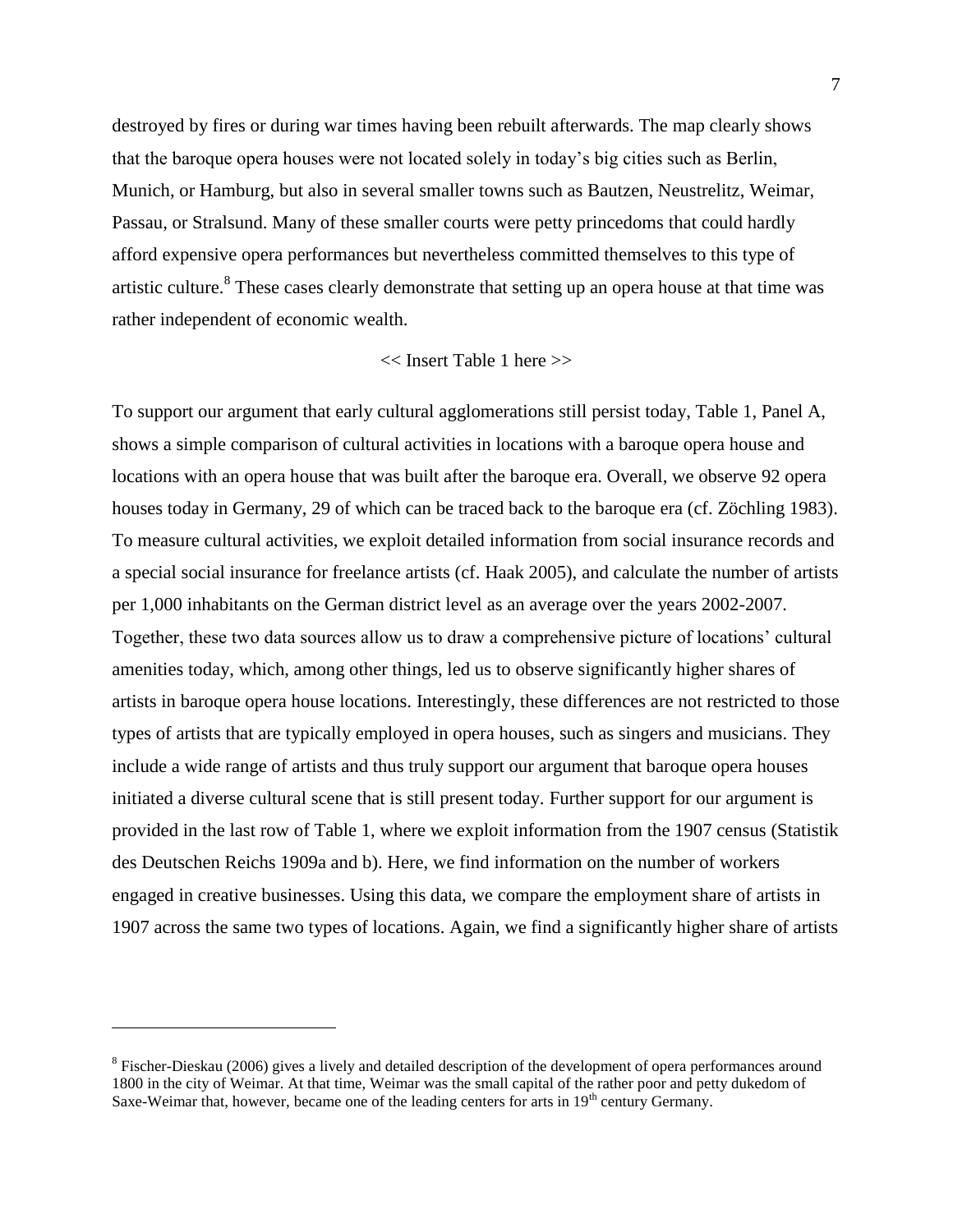destroyed by fires or during war times having been rebuilt afterwards. The map clearly shows that the baroque opera houses were not located solely in today's big cities such as Berlin, Munich, or Hamburg, but also in several smaller towns such as Bautzen, Neustrelitz, Weimar, Passau, or Stralsund. Many of these smaller courts were petty princedoms that could hardly afford expensive opera performances but nevertheless committed themselves to this type of artistic culture.<sup>8</sup> These cases clearly demonstrate that setting up an opera house at that time was rather independent of economic wealth.

#### << Insert Table 1 here >>

To support our argument that early cultural agglomerations still persist today, Table 1, Panel A, shows a simple comparison of cultural activities in locations with a baroque opera house and locations with an opera house that was built after the baroque era. Overall, we observe 92 opera houses today in Germany, 29 of which can be traced back to the baroque era (cf. Zöchling 1983). To measure cultural activities, we exploit detailed information from social insurance records and a special social insurance for freelance artists (cf. Haak 2005), and calculate the number of artists per 1,000 inhabitants on the German district level as an average over the years 2002-2007. Together, these two data sources allow us to draw a comprehensive picture of locations' cultural amenities today, which, among other things, led us to observe significantly higher shares of artists in baroque opera house locations. Interestingly, these differences are not restricted to those types of artists that are typically employed in opera houses, such as singers and musicians. They include a wide range of artists and thus truly support our argument that baroque opera houses initiated a diverse cultural scene that is still present today. Further support for our argument is provided in the last row of Table 1, where we exploit information from the 1907 census (Statistik des Deutschen Reichs 1909a and b). Here, we find information on the number of workers engaged in creative businesses. Using this data, we compare the employment share of artists in 1907 across the same two types of locations. Again, we find a significantly higher share of artists

<sup>&</sup>lt;sup>8</sup> Fischer-Dieskau (2006) gives a lively and detailed description of the development of opera performances around 1800 in the city of Weimar. At that time, Weimar was the small capital of the rather poor and petty dukedom of Saxe-Weimar that, however, became one of the leading centers for arts in  $19<sup>th</sup>$  century Germany.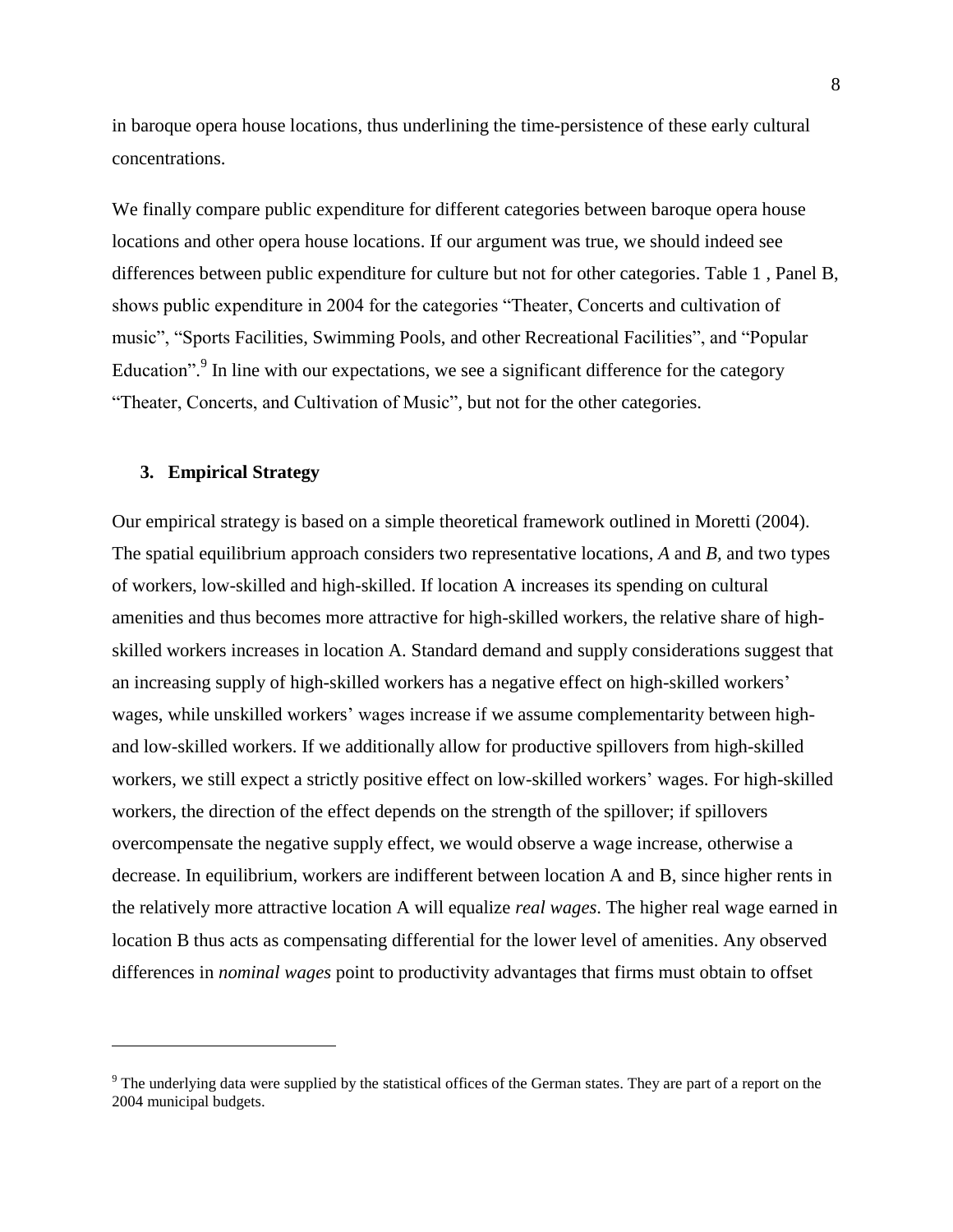in baroque opera house locations, thus underlining the time-persistence of these early cultural concentrations.

We finally compare public expenditure for different categories between baroque opera house locations and other opera house locations. If our argument was true, we should indeed see differences between public expenditure for culture but not for other categories. Table 1 , Panel B, shows public expenditure in 2004 for the categories "Theater, Concerts and cultivation of music", "Sports Facilities, Swimming Pools, and other Recreational Facilities", and "Popular Education".<sup>9</sup> In line with our expectations, we see a significant difference for the category "Theater, Concerts, and Cultivation of Music", but not for the other categories.

#### **3. Empirical Strategy**

 $\overline{a}$ 

Our empirical strategy is based on a simple theoretical framework outlined in Moretti (2004). The spatial equilibrium approach considers two representative locations, *A* and *B,* and two types of workers, low-skilled and high-skilled. If location A increases its spending on cultural amenities and thus becomes more attractive for high-skilled workers, the relative share of highskilled workers increases in location A. Standard demand and supply considerations suggest that an increasing supply of high-skilled workers has a negative effect on high-skilled workers' wages, while unskilled workers' wages increase if we assume complementarity between highand low-skilled workers. If we additionally allow for productive spillovers from high-skilled workers, we still expect a strictly positive effect on low-skilled workers' wages. For high-skilled workers, the direction of the effect depends on the strength of the spillover; if spillovers overcompensate the negative supply effect, we would observe a wage increase, otherwise a decrease. In equilibrium, workers are indifferent between location A and B, since higher rents in the relatively more attractive location A will equalize *real wages*. The higher real wage earned in location B thus acts as compensating differential for the lower level of amenities. Any observed differences in *nominal wages* point to productivity advantages that firms must obtain to offset

 $9$  The underlying data were supplied by the statistical offices of the German states. They are part of a report on the 2004 municipal budgets.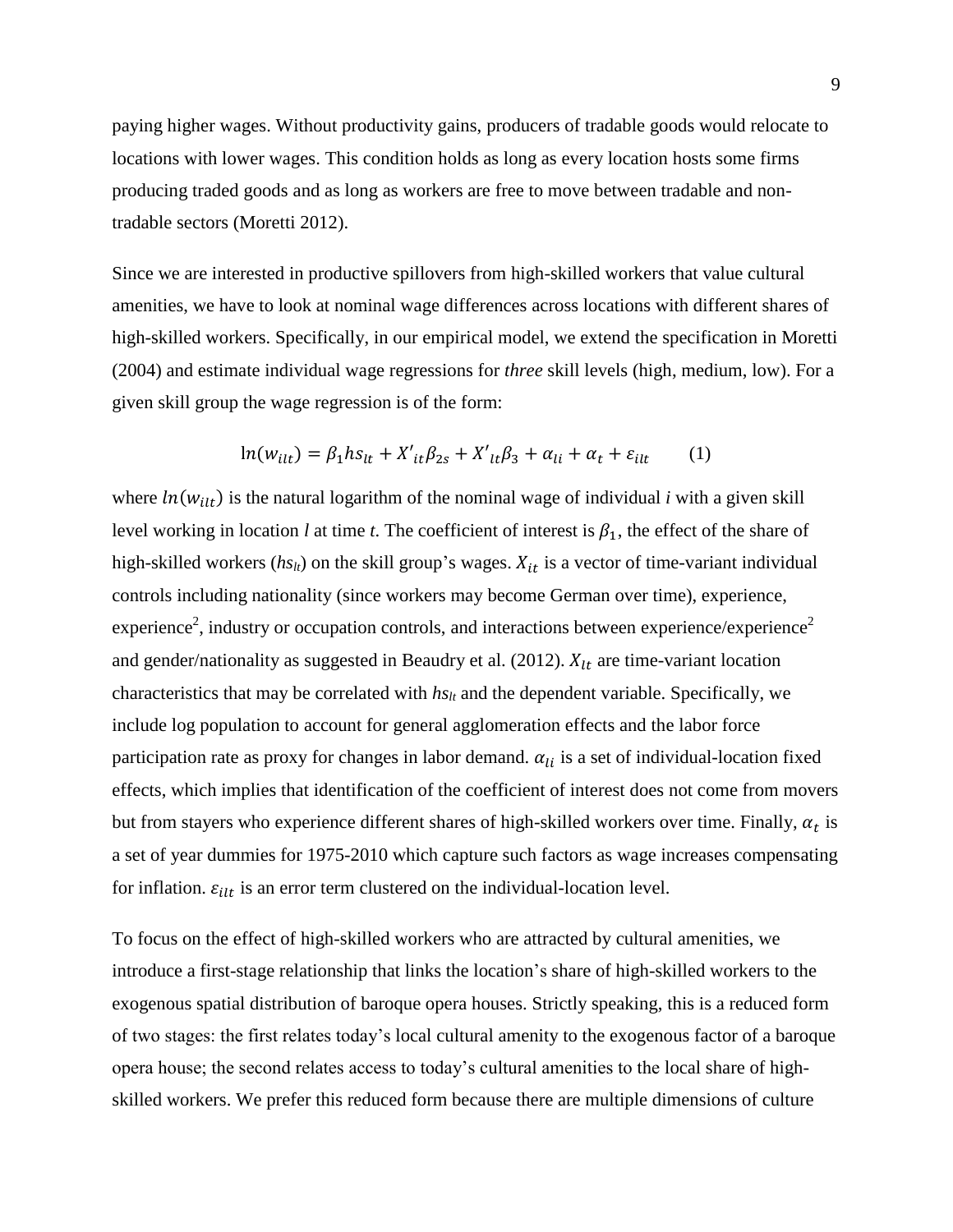paying higher wages. Without productivity gains, producers of tradable goods would relocate to locations with lower wages. This condition holds as long as every location hosts some firms producing traded goods and as long as workers are free to move between tradable and nontradable sectors (Moretti 2012).

Since we are interested in productive spillovers from high-skilled workers that value cultural amenities, we have to look at nominal wage differences across locations with different shares of high-skilled workers. Specifically, in our empirical model, we extend the specification in Moretti (2004) and estimate individual wage regressions for *three* skill levels (high, medium, low). For a given skill group the wage regression is of the form:

$$
ln(w_{ilt}) = \beta_1 h s_{lt} + X'_{it} \beta_{2s} + X'_{lt} \beta_3 + \alpha_{li} + \alpha_t + \varepsilon_{ilt}
$$
 (1)

where  $ln(w_{it})$  is the natural logarithm of the nominal wage of individual *i* with a given skill level working in location *l* at time *t*. The coefficient of interest is  $\beta_1$ , the effect of the share of high-skilled workers  $(h_{s}h)$  on the skill group's wages.  $X_{it}$  is a vector of time-variant individual controls including nationality (since workers may become German over time), experience, experience<sup>2</sup>, industry or occupation controls, and interactions between experience/experience<sup>2</sup> and gender/nationality as suggested in Beaudry et al. (2012).  $X_{lt}$  are time-variant location characteristics that may be correlated with  $h_{s}$  and the dependent variable. Specifically, we include log population to account for general agglomeration effects and the labor force participation rate as proxy for changes in labor demand.  $\alpha_{li}$  is a set of individual-location fixed effects, which implies that identification of the coefficient of interest does not come from movers but from stayers who experience different shares of high-skilled workers over time. Finally,  $\alpha_t$  is a set of year dummies for 1975-2010 which capture such factors as wage increases compensating for inflation.  $\varepsilon_{ilt}$  is an error term clustered on the individual-location level.

To focus on the effect of high-skilled workers who are attracted by cultural amenities, we introduce a first-stage relationship that links the location's share of high-skilled workers to the exogenous spatial distribution of baroque opera houses. Strictly speaking, this is a reduced form of two stages: the first relates today's local cultural amenity to the exogenous factor of a baroque opera house; the second relates access to today's cultural amenities to the local share of highskilled workers. We prefer this reduced form because there are multiple dimensions of culture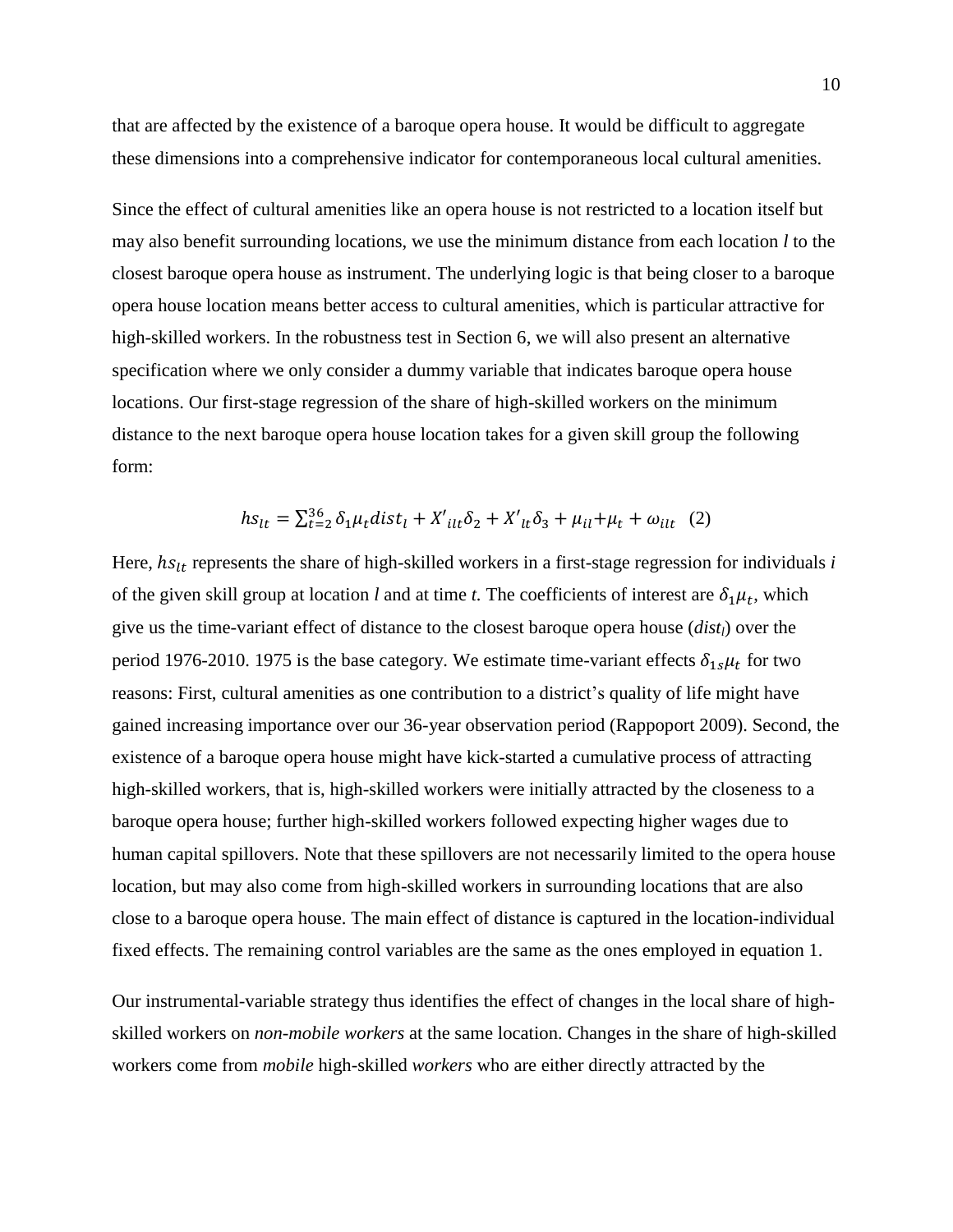that are affected by the existence of a baroque opera house. It would be difficult to aggregate these dimensions into a comprehensive indicator for contemporaneous local cultural amenities.

Since the effect of cultural amenities like an opera house is not restricted to a location itself but may also benefit surrounding locations, we use the minimum distance from each location *l* to the closest baroque opera house as instrument. The underlying logic is that being closer to a baroque opera house location means better access to cultural amenities, which is particular attractive for high-skilled workers. In the robustness test in Section 6, we will also present an alternative specification where we only consider a dummy variable that indicates baroque opera house locations. Our first-stage regression of the share of high-skilled workers on the minimum distance to the next baroque opera house location takes for a given skill group the following form:

$$
h_{t} = \sum_{t=2}^{36} \delta_1 \mu_t \, dist_t + X'_{ilt} \delta_2 + X'_{it} \delta_3 + \mu_{il} + \mu_t + \omega_{ilt} \tag{2}
$$

Here,  $hs_{lt}$  represents the share of high-skilled workers in a first-stage regression for individuals  $i$ of the given skill group at location *l* and at time *t*. The coefficients of interest are  $\delta_1 \mu_t$ , which give us the time-variant effect of distance to the closest baroque opera house (*distl*) over the period 1976-2010. 1975 is the base category. We estimate time-variant effects  $\delta_{1s}\mu_t$  for two reasons: First, cultural amenities as one contribution to a district's quality of life might have gained increasing importance over our 36-year observation period (Rappoport 2009). Second, the existence of a baroque opera house might have kick-started a cumulative process of attracting high-skilled workers, that is, high-skilled workers were initially attracted by the closeness to a baroque opera house; further high-skilled workers followed expecting higher wages due to human capital spillovers. Note that these spillovers are not necessarily limited to the opera house location, but may also come from high-skilled workers in surrounding locations that are also close to a baroque opera house. The main effect of distance is captured in the location-individual fixed effects. The remaining control variables are the same as the ones employed in equation 1.

Our instrumental-variable strategy thus identifies the effect of changes in the local share of highskilled workers on *non-mobile workers* at the same location. Changes in the share of high-skilled workers come from *mobile* high-skilled *workers* who are either directly attracted by the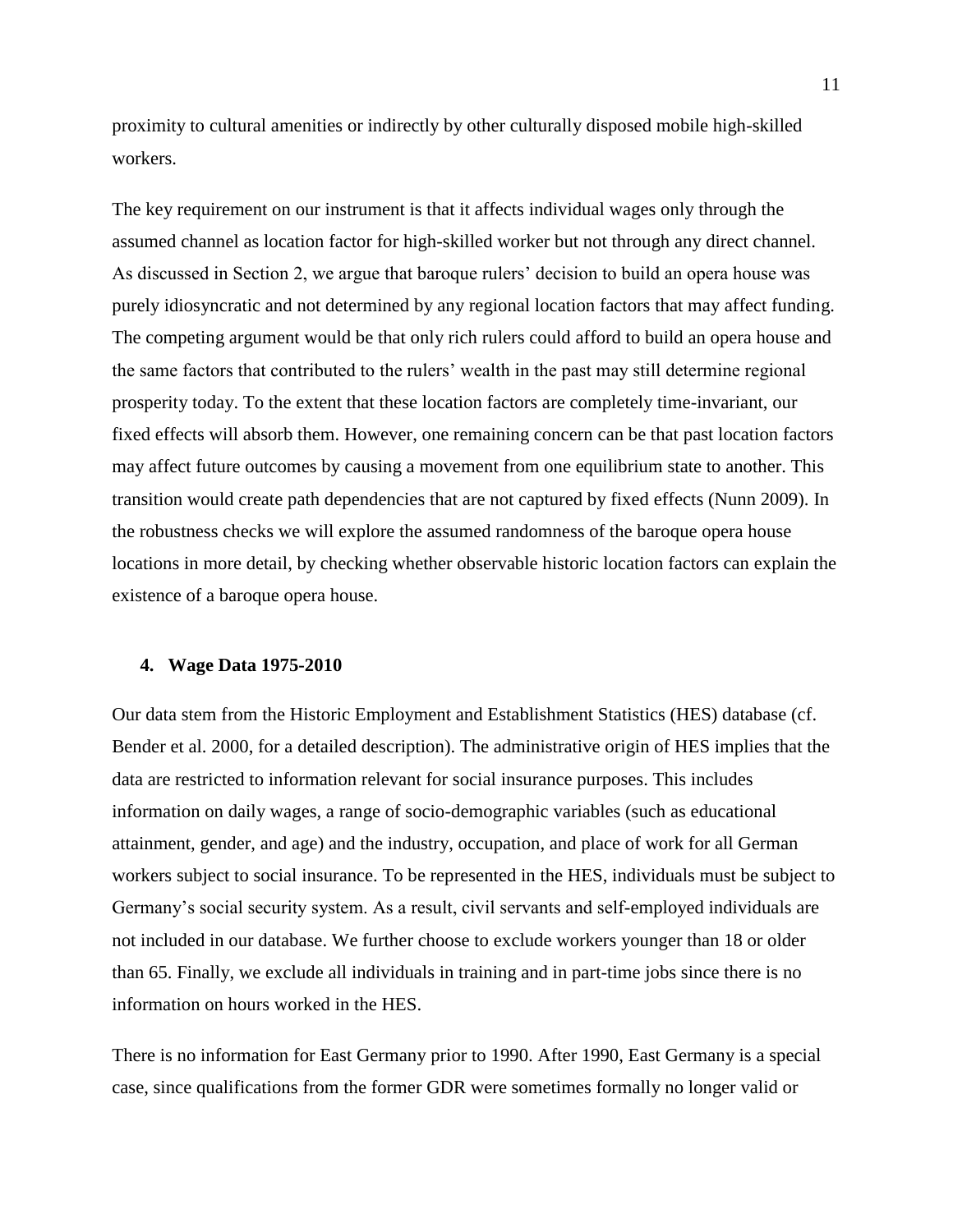proximity to cultural amenities or indirectly by other culturally disposed mobile high-skilled workers.

The key requirement on our instrument is that it affects individual wages only through the assumed channel as location factor for high-skilled worker but not through any direct channel. As discussed in Section 2, we argue that baroque rulers' decision to build an opera house was purely idiosyncratic and not determined by any regional location factors that may affect funding. The competing argument would be that only rich rulers could afford to build an opera house and the same factors that contributed to the rulers' wealth in the past may still determine regional prosperity today. To the extent that these location factors are completely time-invariant, our fixed effects will absorb them. However, one remaining concern can be that past location factors may affect future outcomes by causing a movement from one equilibrium state to another. This transition would create path dependencies that are not captured by fixed effects (Nunn 2009). In the robustness checks we will explore the assumed randomness of the baroque opera house locations in more detail, by checking whether observable historic location factors can explain the existence of a baroque opera house.

#### **4. Wage Data 1975-2010**

Our data stem from the Historic Employment and Establishment Statistics (HES) database (cf. Bender et al. 2000, for a detailed description). The administrative origin of HES implies that the data are restricted to information relevant for social insurance purposes. This includes information on daily wages, a range of socio-demographic variables (such as educational attainment, gender, and age) and the industry, occupation, and place of work for all German workers subject to social insurance. To be represented in the HES, individuals must be subject to Germany's social security system. As a result, civil servants and self-employed individuals are not included in our database. We further choose to exclude workers younger than 18 or older than 65. Finally, we exclude all individuals in training and in part-time jobs since there is no information on hours worked in the HES.

There is no information for East Germany prior to 1990. After 1990, East Germany is a special case, since qualifications from the former GDR were sometimes formally no longer valid or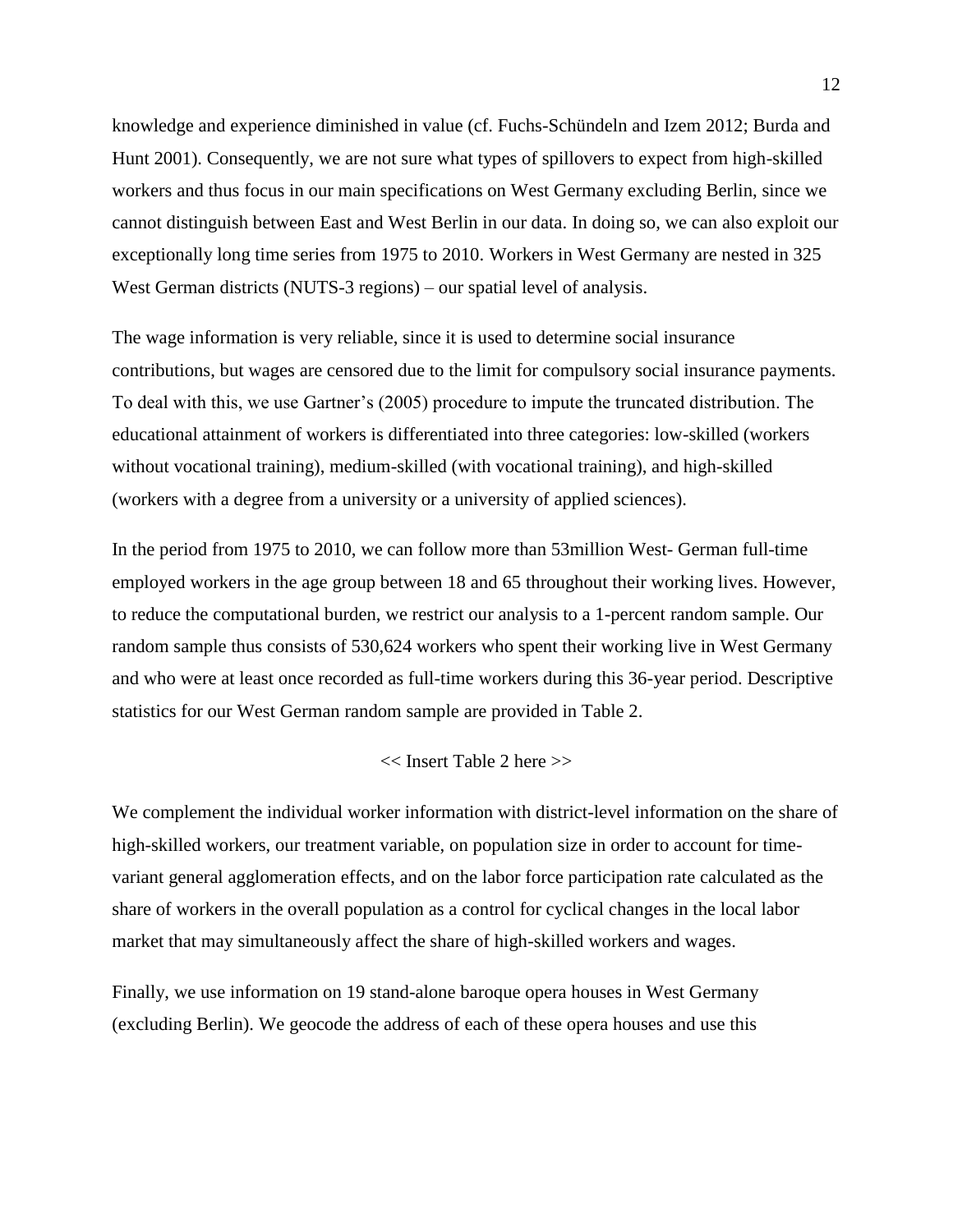knowledge and experience diminished in value (cf. Fuchs-Schündeln and Izem 2012; Burda and Hunt 2001). Consequently, we are not sure what types of spillovers to expect from high-skilled workers and thus focus in our main specifications on West Germany excluding Berlin, since we cannot distinguish between East and West Berlin in our data. In doing so, we can also exploit our exceptionally long time series from 1975 to 2010. Workers in West Germany are nested in 325 West German districts (NUTS-3 regions) – our spatial level of analysis.

The wage information is very reliable, since it is used to determine social insurance contributions, but wages are censored due to the limit for compulsory social insurance payments. To deal with this, we use Gartner's (2005) procedure to impute the truncated distribution. The educational attainment of workers is differentiated into three categories: low-skilled (workers without vocational training), medium-skilled (with vocational training), and high-skilled (workers with a degree from a university or a university of applied sciences).

In the period from 1975 to 2010, we can follow more than 53million West- German full-time employed workers in the age group between 18 and 65 throughout their working lives. However, to reduce the computational burden, we restrict our analysis to a 1-percent random sample. Our random sample thus consists of 530,624 workers who spent their working live in West Germany and who were at least once recorded as full-time workers during this 36-year period. Descriptive statistics for our West German random sample are provided in Table 2.

#### << Insert Table 2 here >>

We complement the individual worker information with district-level information on the share of high-skilled workers, our treatment variable, on population size in order to account for timevariant general agglomeration effects, and on the labor force participation rate calculated as the share of workers in the overall population as a control for cyclical changes in the local labor market that may simultaneously affect the share of high-skilled workers and wages.

Finally, we use information on 19 stand-alone baroque opera houses in West Germany (excluding Berlin). We geocode the address of each of these opera houses and use this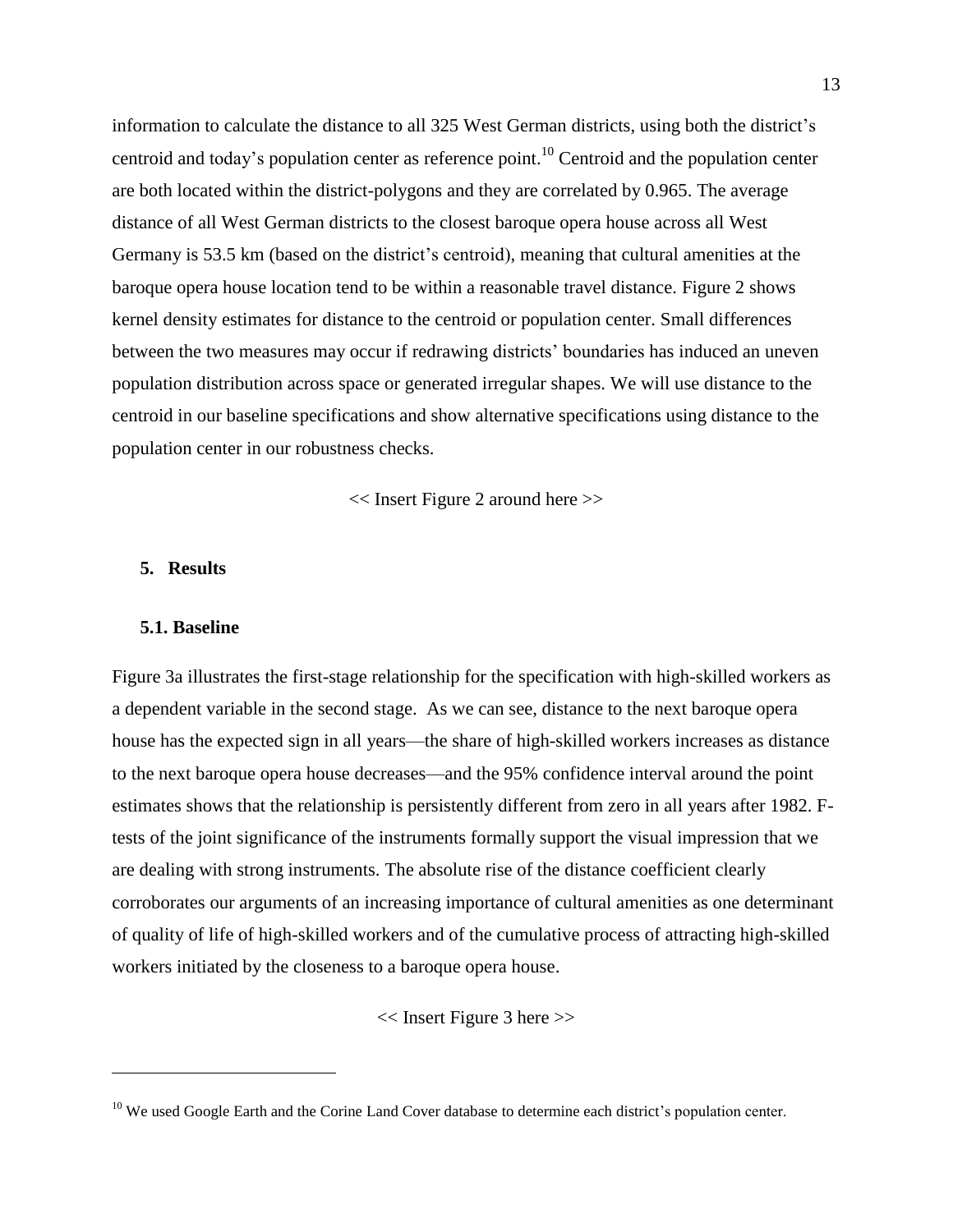information to calculate the distance to all 325 West German districts, using both the district's centroid and today's population center as reference point.<sup>10</sup> Centroid and the population center are both located within the district-polygons and they are correlated by 0.965. The average distance of all West German districts to the closest baroque opera house across all West Germany is 53.5 km (based on the district's centroid), meaning that cultural amenities at the baroque opera house location tend to be within a reasonable travel distance. Figure 2 shows kernel density estimates for distance to the centroid or population center. Small differences between the two measures may occur if redrawing districts' boundaries has induced an uneven population distribution across space or generated irregular shapes. We will use distance to the centroid in our baseline specifications and show alternative specifications using distance to the population center in our robustness checks.

<< Insert Figure 2 around here >>

#### **5. Results**

#### **5.1. Baseline**

 $\overline{a}$ 

Figure 3a illustrates the first-stage relationship for the specification with high-skilled workers as a dependent variable in the second stage. As we can see, distance to the next baroque opera house has the expected sign in all years—the share of high-skilled workers increases as distance to the next baroque opera house decreases—and the 95% confidence interval around the point estimates shows that the relationship is persistently different from zero in all years after 1982. Ftests of the joint significance of the instruments formally support the visual impression that we are dealing with strong instruments. The absolute rise of the distance coefficient clearly corroborates our arguments of an increasing importance of cultural amenities as one determinant of quality of life of high-skilled workers and of the cumulative process of attracting high-skilled workers initiated by the closeness to a baroque opera house.

<< Insert Figure 3 here >>

<sup>&</sup>lt;sup>10</sup> We used Google Earth and the Corine Land Cover database to determine each district's population center.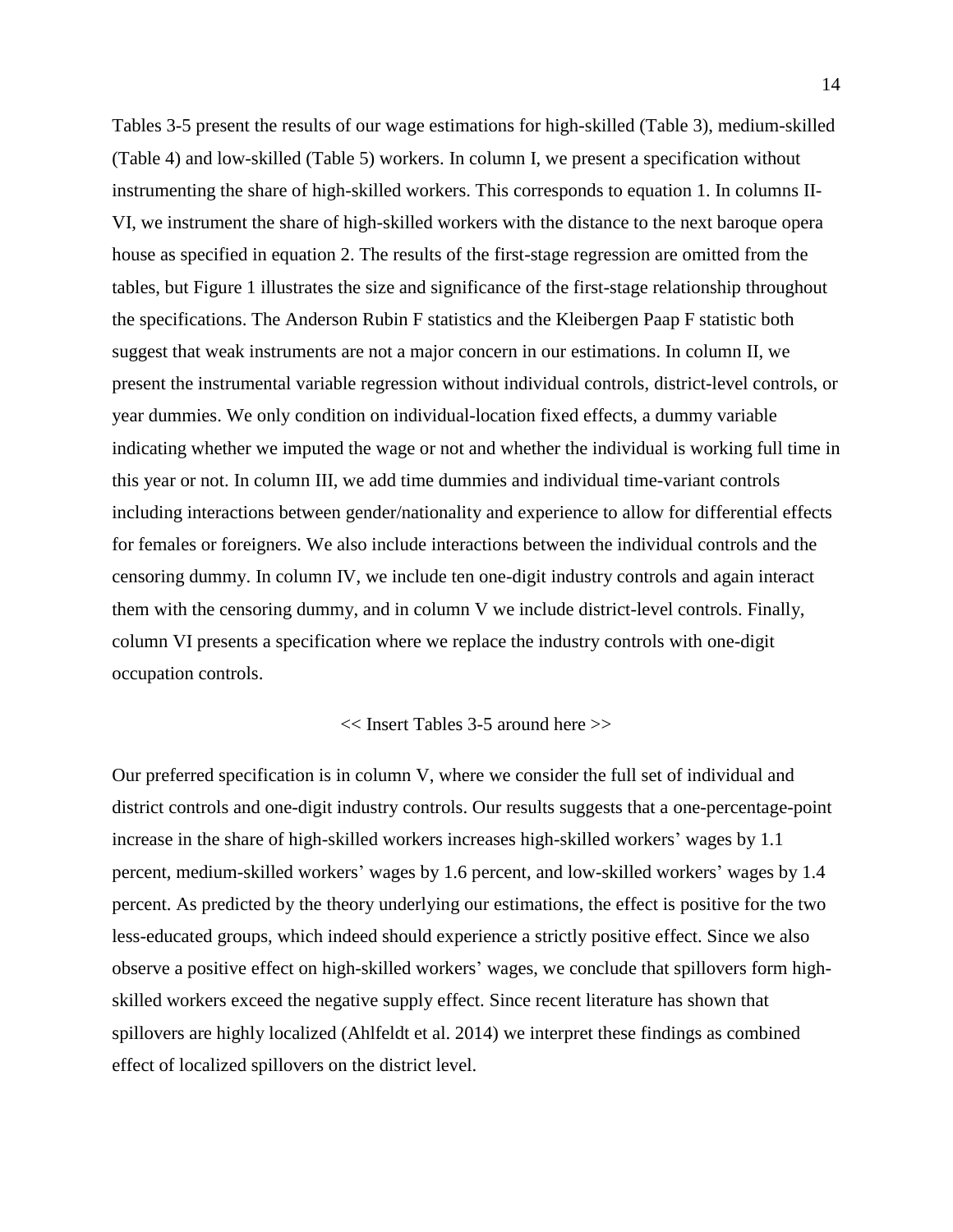Tables 3-5 present the results of our wage estimations for high-skilled (Table 3), medium-skilled (Table 4) and low-skilled (Table 5) workers. In column I, we present a specification without instrumenting the share of high-skilled workers. This corresponds to equation 1. In columns II-VI, we instrument the share of high-skilled workers with the distance to the next baroque opera house as specified in equation 2. The results of the first-stage regression are omitted from the tables, but Figure 1 illustrates the size and significance of the first-stage relationship throughout the specifications. The Anderson Rubin F statistics and the Kleibergen Paap F statistic both suggest that weak instruments are not a major concern in our estimations. In column II, we present the instrumental variable regression without individual controls, district-level controls, or year dummies. We only condition on individual-location fixed effects, a dummy variable indicating whether we imputed the wage or not and whether the individual is working full time in this year or not. In column III, we add time dummies and individual time-variant controls including interactions between gender/nationality and experience to allow for differential effects for females or foreigners. We also include interactions between the individual controls and the censoring dummy. In column IV, we include ten one-digit industry controls and again interact them with the censoring dummy, and in column V we include district-level controls. Finally, column VI presents a specification where we replace the industry controls with one-digit occupation controls.

#### << Insert Tables 3-5 around here >>

Our preferred specification is in column V, where we consider the full set of individual and district controls and one-digit industry controls. Our results suggests that a one-percentage-point increase in the share of high-skilled workers increases high-skilled workers' wages by 1.1 percent, medium-skilled workers' wages by 1.6 percent, and low-skilled workers' wages by 1.4 percent. As predicted by the theory underlying our estimations, the effect is positive for the two less-educated groups, which indeed should experience a strictly positive effect. Since we also observe a positive effect on high-skilled workers' wages, we conclude that spillovers form highskilled workers exceed the negative supply effect. Since recent literature has shown that spillovers are highly localized (Ahlfeldt et al. 2014) we interpret these findings as combined effect of localized spillovers on the district level.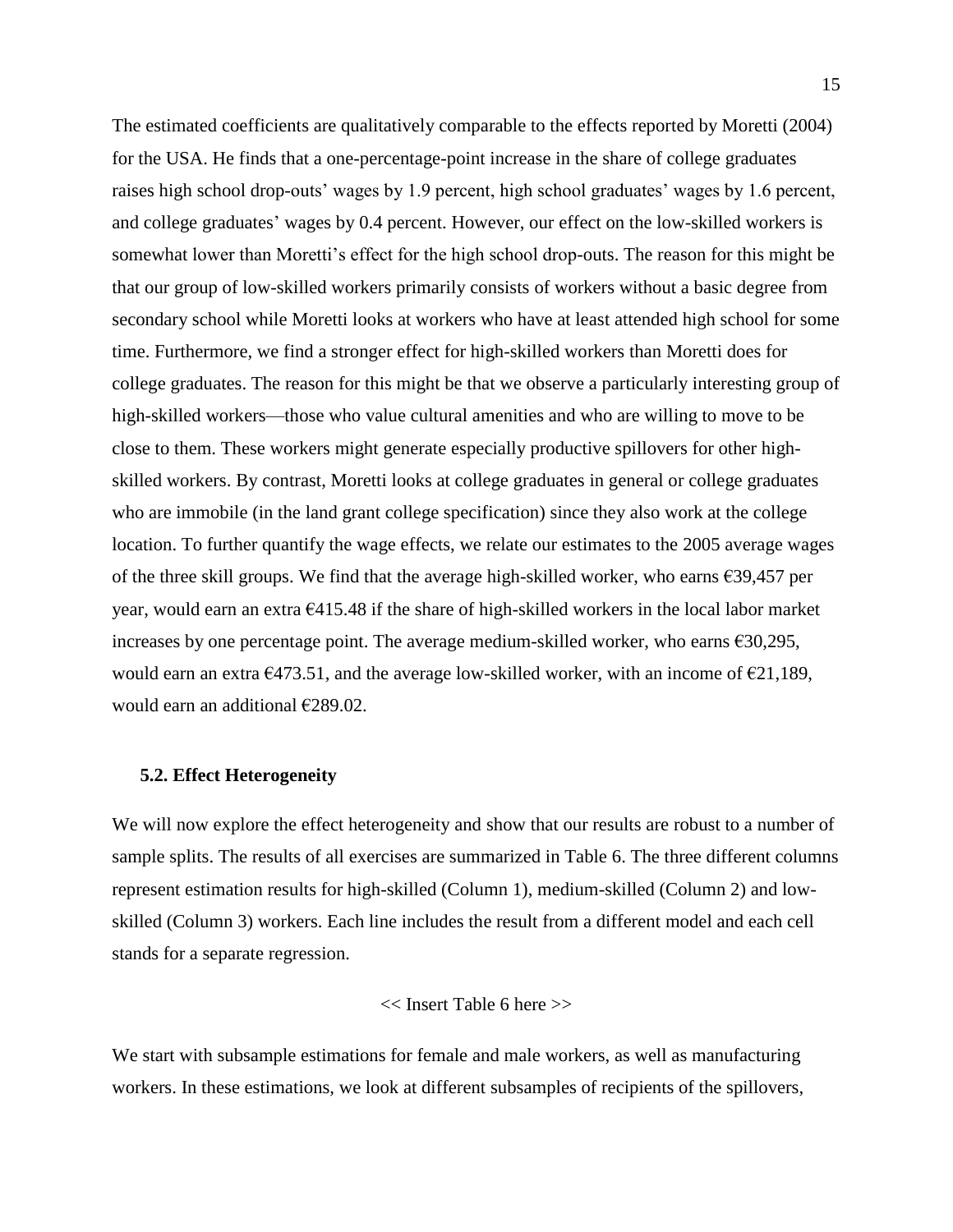The estimated coefficients are qualitatively comparable to the effects reported by Moretti (2004) for the USA. He finds that a one-percentage-point increase in the share of college graduates raises high school drop-outs' wages by 1.9 percent, high school graduates' wages by 1.6 percent, and college graduates' wages by 0.4 percent. However, our effect on the low-skilled workers is somewhat lower than Moretti's effect for the high school drop-outs. The reason for this might be that our group of low-skilled workers primarily consists of workers without a basic degree from secondary school while Moretti looks at workers who have at least attended high school for some time. Furthermore, we find a stronger effect for high-skilled workers than Moretti does for college graduates. The reason for this might be that we observe a particularly interesting group of high-skilled workers—those who value cultural amenities and who are willing to move to be close to them. These workers might generate especially productive spillovers for other highskilled workers. By contrast, Moretti looks at college graduates in general or college graduates who are immobile (in the land grant college specification) since they also work at the college location. To further quantify the wage effects, we relate our estimates to the 2005 average wages of the three skill groups. We find that the average high-skilled worker, who earns €39,457 per year, would earn an extra €415.48 if the share of high-skilled workers in the local labor market increases by one percentage point. The average medium-skilled worker, who earns  $\epsilon$ 30,295, would earn an extra  $\epsilon$ 473.51, and the average low-skilled worker, with an income of  $\epsilon$ 21,189, would earn an additional €289.02.

#### **5.2. Effect Heterogeneity**

We will now explore the effect heterogeneity and show that our results are robust to a number of sample splits. The results of all exercises are summarized in Table 6. The three different columns represent estimation results for high-skilled (Column 1), medium-skilled (Column 2) and lowskilled (Column 3) workers. Each line includes the result from a different model and each cell stands for a separate regression.

<< Insert Table 6 here >>

We start with subsample estimations for female and male workers, as well as manufacturing workers. In these estimations, we look at different subsamples of recipients of the spillovers,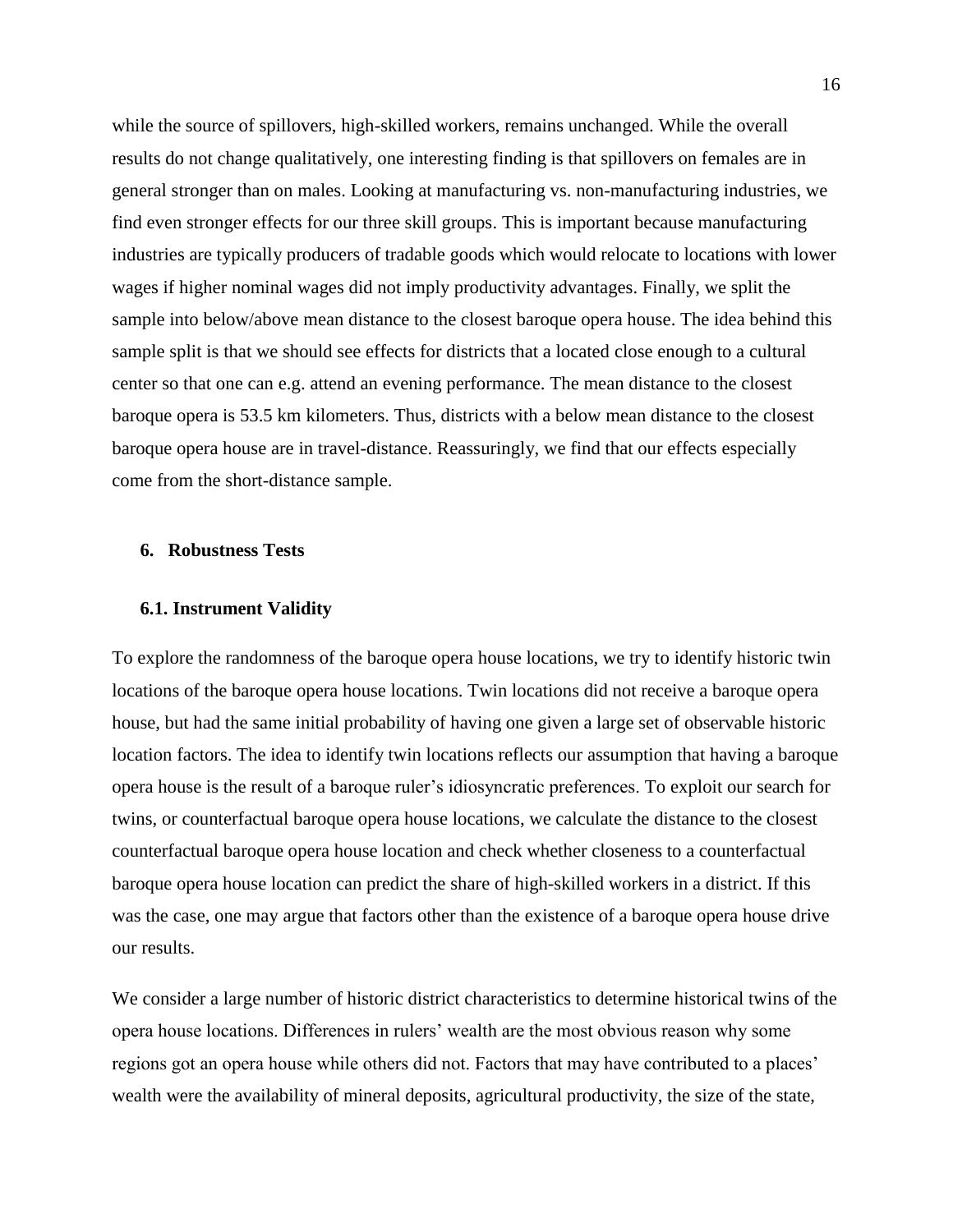while the source of spillovers, high-skilled workers, remains unchanged. While the overall results do not change qualitatively, one interesting finding is that spillovers on females are in general stronger than on males. Looking at manufacturing vs. non-manufacturing industries, we find even stronger effects for our three skill groups. This is important because manufacturing industries are typically producers of tradable goods which would relocate to locations with lower wages if higher nominal wages did not imply productivity advantages. Finally, we split the sample into below/above mean distance to the closest baroque opera house. The idea behind this sample split is that we should see effects for districts that a located close enough to a cultural center so that one can e.g. attend an evening performance. The mean distance to the closest baroque opera is 53.5 km kilometers. Thus, districts with a below mean distance to the closest baroque opera house are in travel-distance. Reassuringly, we find that our effects especially come from the short-distance sample.

#### **6. Robustness Tests**

#### **6.1. Instrument Validity**

To explore the randomness of the baroque opera house locations, we try to identify historic twin locations of the baroque opera house locations. Twin locations did not receive a baroque opera house, but had the same initial probability of having one given a large set of observable historic location factors. The idea to identify twin locations reflects our assumption that having a baroque opera house is the result of a baroque ruler's idiosyncratic preferences. To exploit our search for twins, or counterfactual baroque opera house locations, we calculate the distance to the closest counterfactual baroque opera house location and check whether closeness to a counterfactual baroque opera house location can predict the share of high-skilled workers in a district. If this was the case, one may argue that factors other than the existence of a baroque opera house drive our results.

We consider a large number of historic district characteristics to determine historical twins of the opera house locations. Differences in rulers' wealth are the most obvious reason why some regions got an opera house while others did not. Factors that may have contributed to a places' wealth were the availability of mineral deposits, agricultural productivity, the size of the state,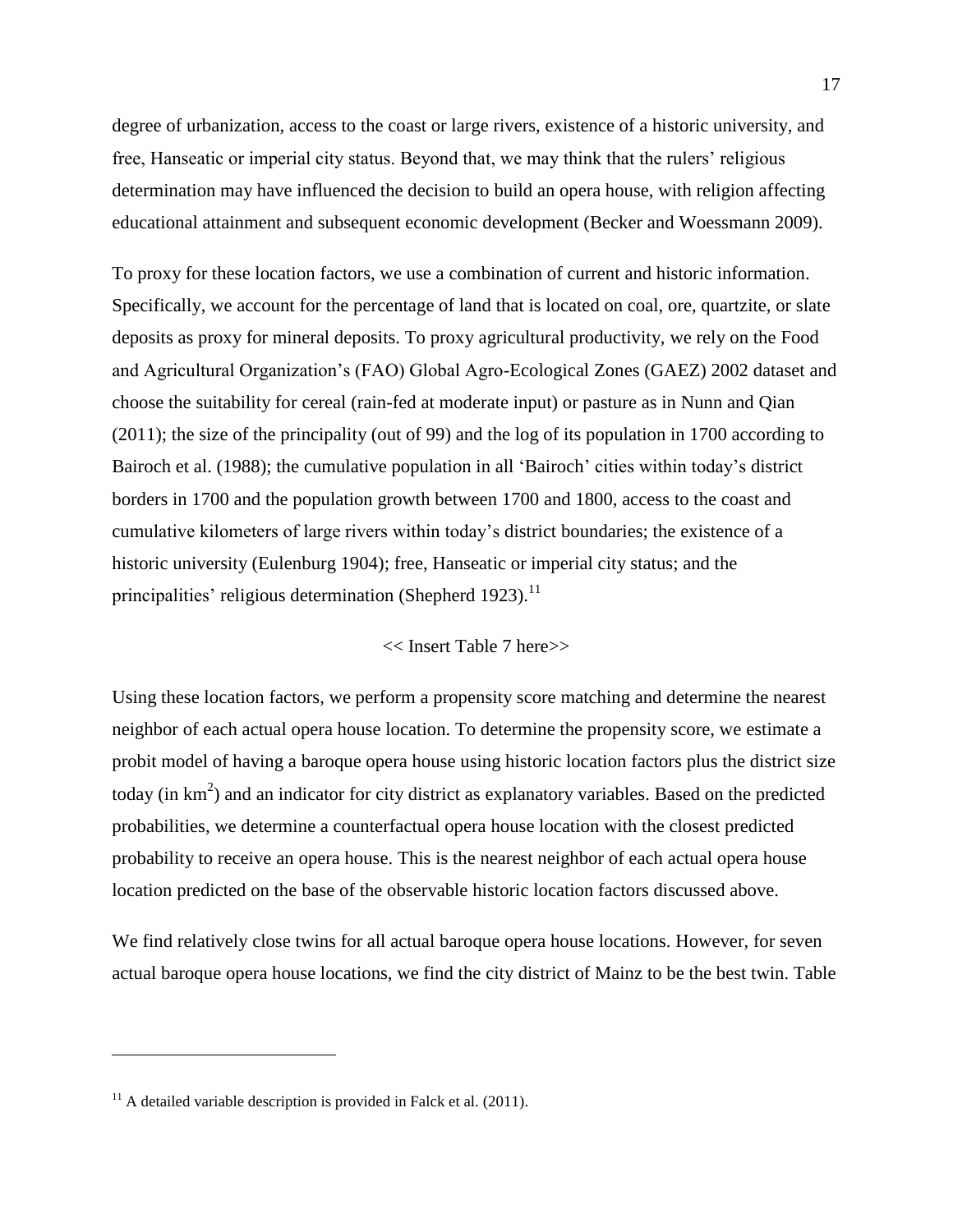degree of urbanization, access to the coast or large rivers, existence of a historic university, and free, Hanseatic or imperial city status. Beyond that, we may think that the rulers' religious determination may have influenced the decision to build an opera house, with religion affecting educational attainment and subsequent economic development (Becker and Woessmann 2009).

To proxy for these location factors, we use a combination of current and historic information. Specifically, we account for the percentage of land that is located on coal, ore, quartzite, or slate deposits as proxy for mineral deposits. To proxy agricultural productivity, we rely on the Food and Agricultural Organization's (FAO) Global Agro-Ecological Zones (GAEZ) 2002 dataset and choose the suitability for cereal (rain-fed at moderate input) or pasture as in Nunn and Qian (2011); the size of the principality (out of 99) and the log of its population in 1700 according to Bairoch et al. (1988); the cumulative population in all 'Bairoch' cities within today's district borders in 1700 and the population growth between 1700 and 1800, access to the coast and cumulative kilometers of large rivers within today's district boundaries; the existence of a historic university (Eulenburg 1904); free, Hanseatic or imperial city status; and the principalities' religious determination (Shepherd 1923).<sup>11</sup>

#### << Insert Table 7 here>>

Using these location factors, we perform a propensity score matching and determine the nearest neighbor of each actual opera house location. To determine the propensity score, we estimate a probit model of having a baroque opera house using historic location factors plus the district size today (in  $km<sup>2</sup>$ ) and an indicator for city district as explanatory variables. Based on the predicted probabilities, we determine a counterfactual opera house location with the closest predicted probability to receive an opera house. This is the nearest neighbor of each actual opera house location predicted on the base of the observable historic location factors discussed above.

We find relatively close twins for all actual baroque opera house locations. However, for seven actual baroque opera house locations, we find the city district of Mainz to be the best twin. Table

 $11$  A detailed variable description is provided in Falck et al. (2011).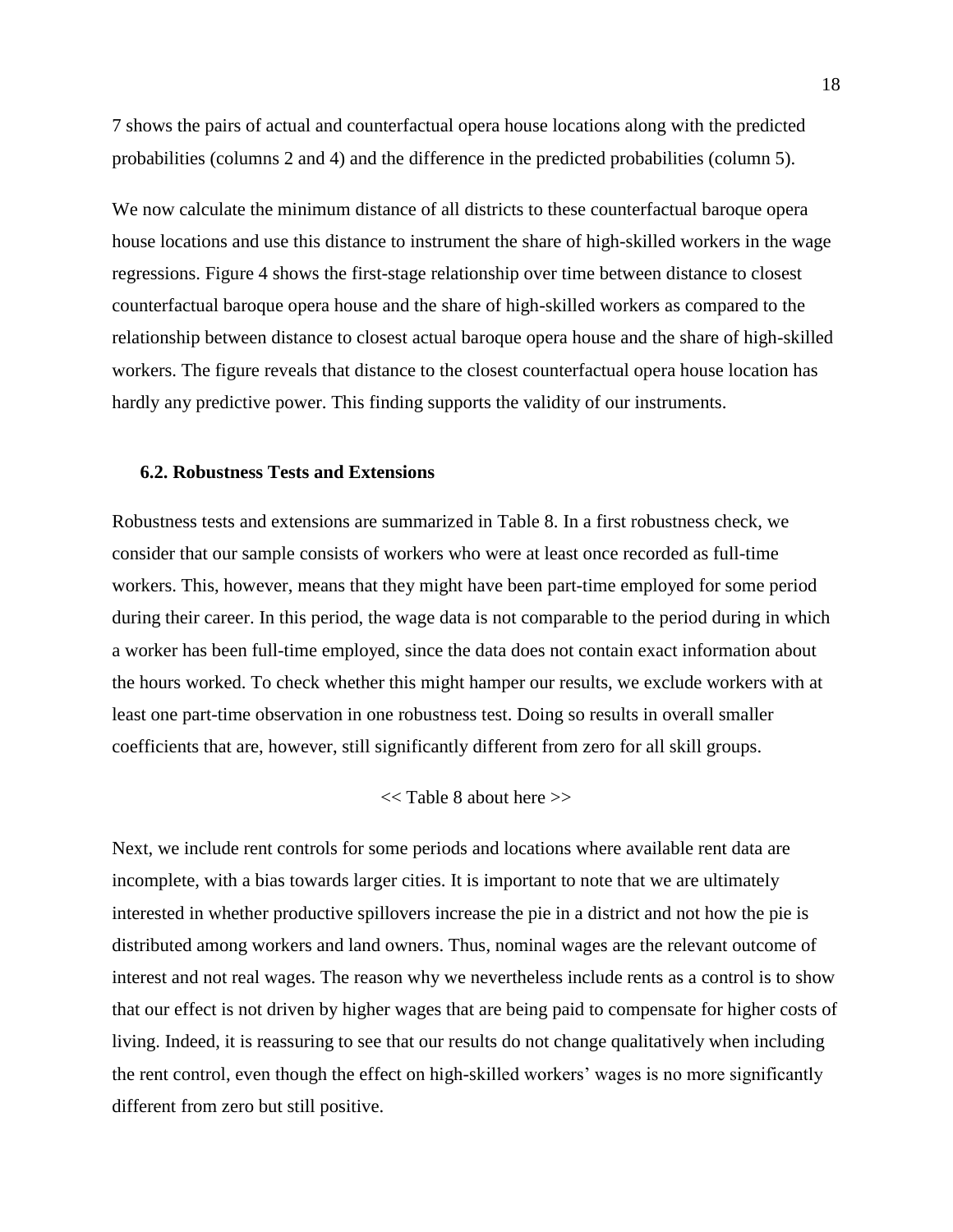7 shows the pairs of actual and counterfactual opera house locations along with the predicted probabilities (columns 2 and 4) and the difference in the predicted probabilities (column 5).

We now calculate the minimum distance of all districts to these counterfactual baroque opera house locations and use this distance to instrument the share of high-skilled workers in the wage regressions. Figure 4 shows the first-stage relationship over time between distance to closest counterfactual baroque opera house and the share of high-skilled workers as compared to the relationship between distance to closest actual baroque opera house and the share of high-skilled workers. The figure reveals that distance to the closest counterfactual opera house location has hardly any predictive power. This finding supports the validity of our instruments.

### **6.2. Robustness Tests and Extensions**

Robustness tests and extensions are summarized in Table 8. In a first robustness check, we consider that our sample consists of workers who were at least once recorded as full-time workers. This, however, means that they might have been part-time employed for some period during their career. In this period, the wage data is not comparable to the period during in which a worker has been full-time employed, since the data does not contain exact information about the hours worked. To check whether this might hamper our results, we exclude workers with at least one part-time observation in one robustness test. Doing so results in overall smaller coefficients that are, however, still significantly different from zero for all skill groups.

 $<<$  Table 8 about here  $>>$ 

Next, we include rent controls for some periods and locations where available rent data are incomplete, with a bias towards larger cities. It is important to note that we are ultimately interested in whether productive spillovers increase the pie in a district and not how the pie is distributed among workers and land owners. Thus, nominal wages are the relevant outcome of interest and not real wages. The reason why we nevertheless include rents as a control is to show that our effect is not driven by higher wages that are being paid to compensate for higher costs of living. Indeed, it is reassuring to see that our results do not change qualitatively when including the rent control, even though the effect on high-skilled workers' wages is no more significantly different from zero but still positive.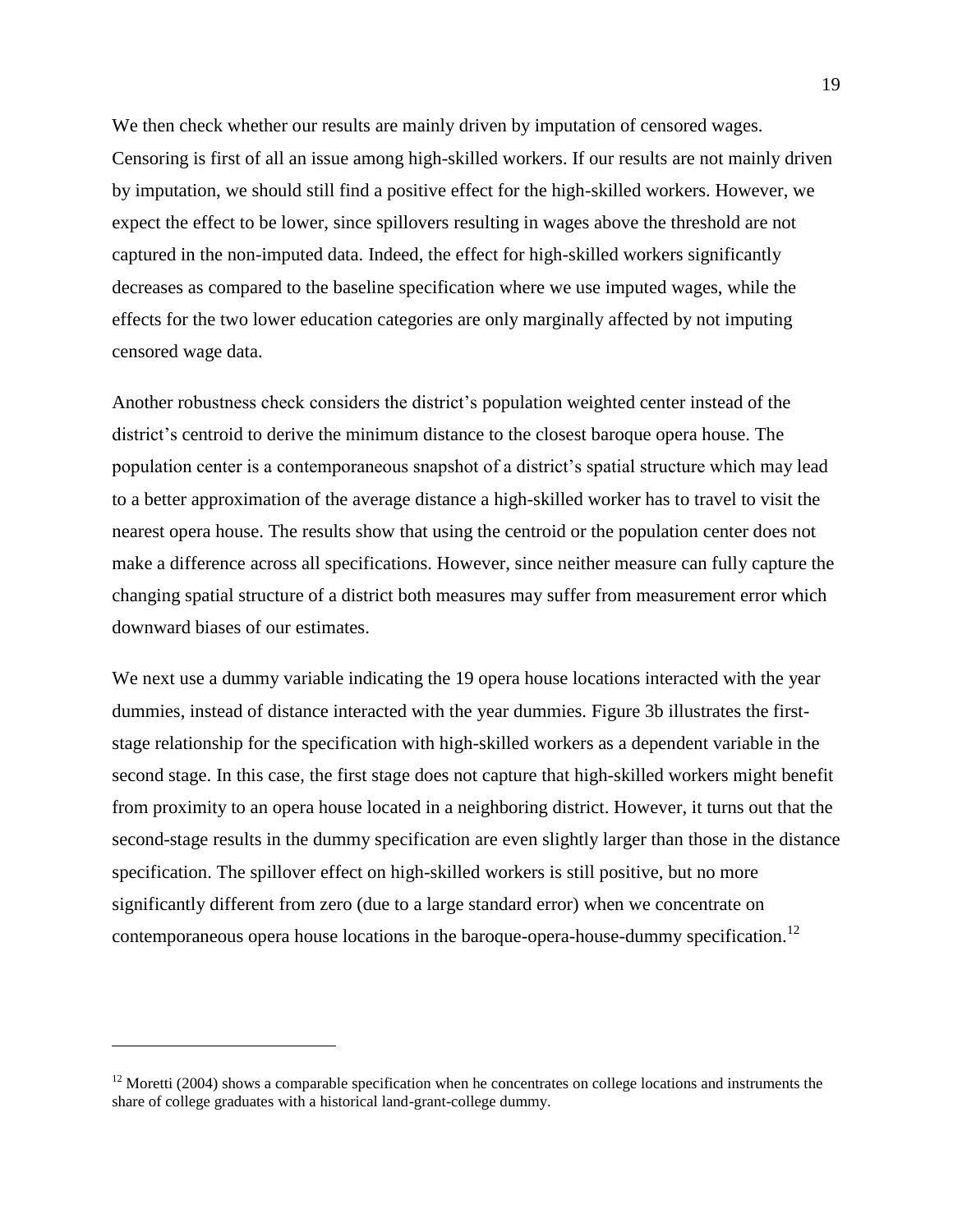We then check whether our results are mainly driven by imputation of censored wages. Censoring is first of all an issue among high-skilled workers. If our results are not mainly driven by imputation, we should still find a positive effect for the high-skilled workers. However, we expect the effect to be lower, since spillovers resulting in wages above the threshold are not captured in the non-imputed data. Indeed, the effect for high-skilled workers significantly decreases as compared to the baseline specification where we use imputed wages, while the effects for the two lower education categories are only marginally affected by not imputing censored wage data.

Another robustness check considers the district's population weighted center instead of the district's centroid to derive the minimum distance to the closest baroque opera house. The population center is a contemporaneous snapshot of a district's spatial structure which may lead to a better approximation of the average distance a high-skilled worker has to travel to visit the nearest opera house. The results show that using the centroid or the population center does not make a difference across all specifications. However, since neither measure can fully capture the changing spatial structure of a district both measures may suffer from measurement error which downward biases of our estimates.

We next use a dummy variable indicating the 19 opera house locations interacted with the year dummies, instead of distance interacted with the year dummies. Figure 3b illustrates the firststage relationship for the specification with high-skilled workers as a dependent variable in the second stage. In this case, the first stage does not capture that high-skilled workers might benefit from proximity to an opera house located in a neighboring district. However, it turns out that the second-stage results in the dummy specification are even slightly larger than those in the distance specification. The spillover effect on high-skilled workers is still positive, but no more significantly different from zero (due to a large standard error) when we concentrate on contemporaneous opera house locations in the baroque-opera-house-dummy specification.<sup>12</sup>

 $12$  Moretti (2004) shows a comparable specification when he concentrates on college locations and instruments the share of college graduates with a historical land-grant-college dummy.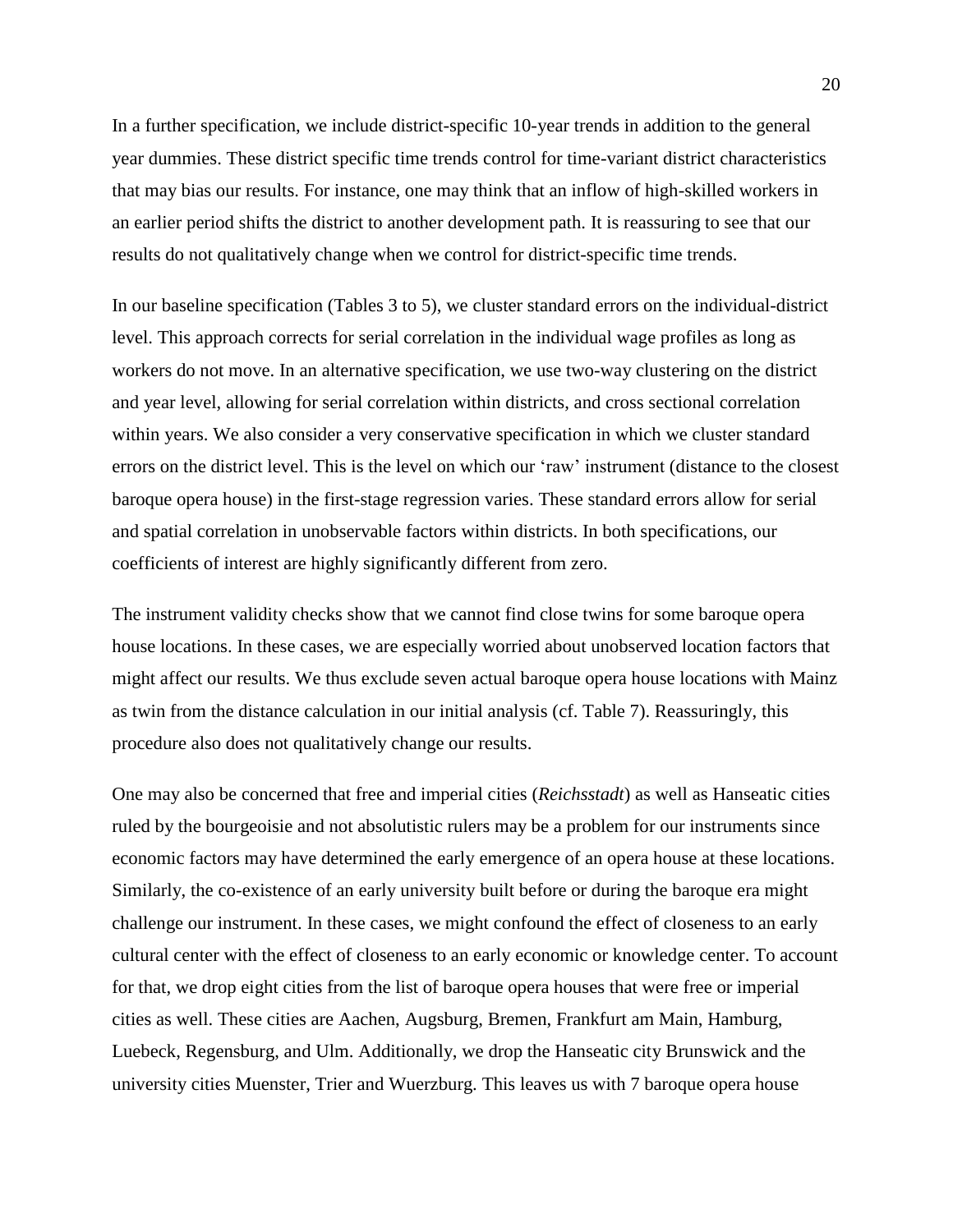In a further specification, we include district-specific 10-year trends in addition to the general year dummies. These district specific time trends control for time-variant district characteristics that may bias our results. For instance, one may think that an inflow of high-skilled workers in an earlier period shifts the district to another development path. It is reassuring to see that our results do not qualitatively change when we control for district-specific time trends.

In our baseline specification (Tables 3 to 5), we cluster standard errors on the individual-district level. This approach corrects for serial correlation in the individual wage profiles as long as workers do not move. In an alternative specification, we use two-way clustering on the district and year level, allowing for serial correlation within districts, and cross sectional correlation within years. We also consider a very conservative specification in which we cluster standard errors on the district level. This is the level on which our 'raw' instrument (distance to the closest baroque opera house) in the first-stage regression varies. These standard errors allow for serial and spatial correlation in unobservable factors within districts. In both specifications, our coefficients of interest are highly significantly different from zero.

The instrument validity checks show that we cannot find close twins for some baroque opera house locations. In these cases, we are especially worried about unobserved location factors that might affect our results. We thus exclude seven actual baroque opera house locations with Mainz as twin from the distance calculation in our initial analysis (cf. Table 7). Reassuringly, this procedure also does not qualitatively change our results.

One may also be concerned that free and imperial cities (*Reichsstadt*) as well as Hanseatic cities ruled by the bourgeoisie and not absolutistic rulers may be a problem for our instruments since economic factors may have determined the early emergence of an opera house at these locations. Similarly, the co-existence of an early university built before or during the baroque era might challenge our instrument. In these cases, we might confound the effect of closeness to an early cultural center with the effect of closeness to an early economic or knowledge center. To account for that, we drop eight cities from the list of baroque opera houses that were free or imperial cities as well. These cities are Aachen, Augsburg, Bremen, Frankfurt am Main, Hamburg, Luebeck, Regensburg, and Ulm. Additionally, we drop the Hanseatic city Brunswick and the university cities Muenster, Trier and Wuerzburg. This leaves us with 7 baroque opera house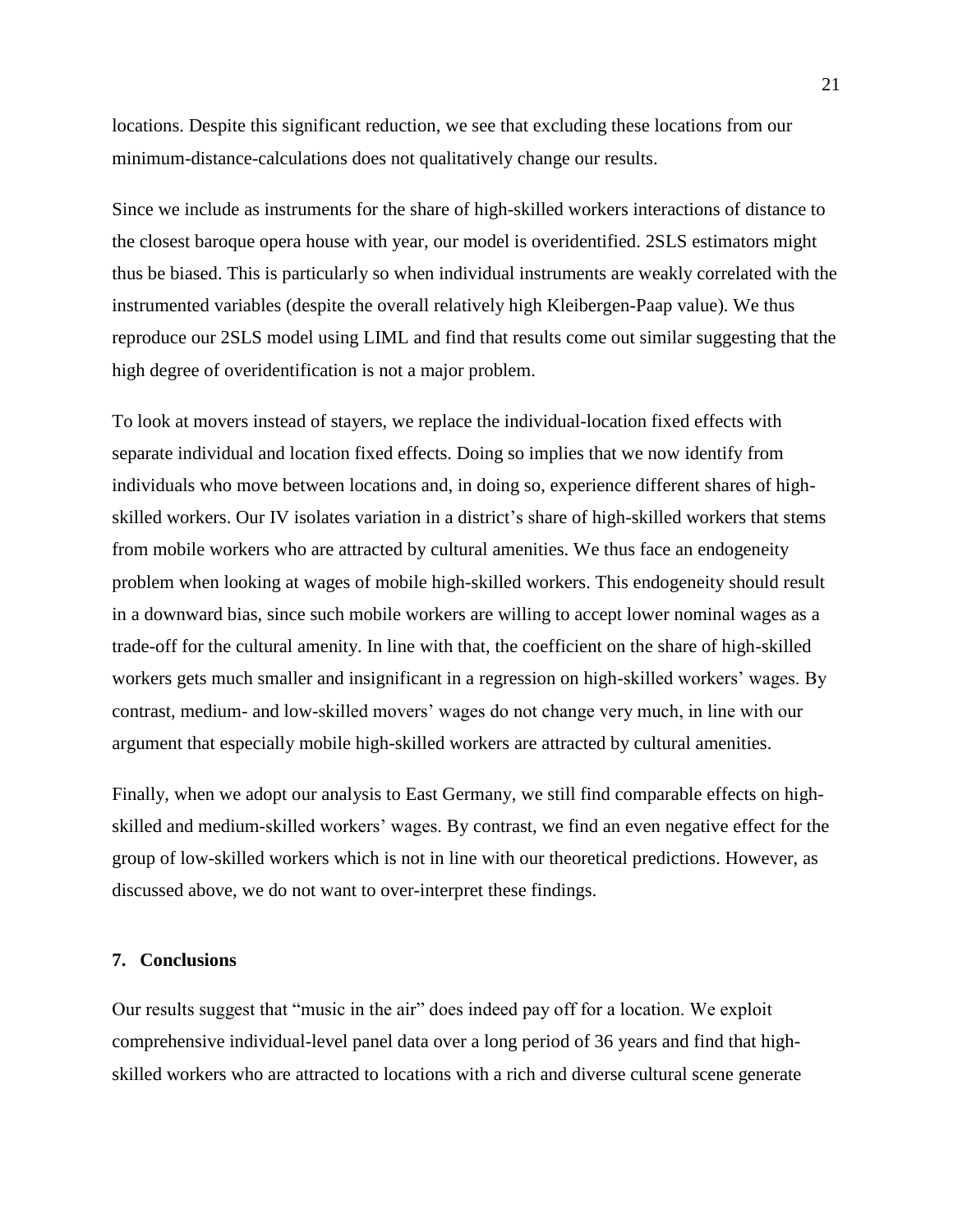locations. Despite this significant reduction, we see that excluding these locations from our minimum-distance-calculations does not qualitatively change our results.

Since we include as instruments for the share of high-skilled workers interactions of distance to the closest baroque opera house with year, our model is overidentified. 2SLS estimators might thus be biased. This is particularly so when individual instruments are weakly correlated with the instrumented variables (despite the overall relatively high Kleibergen-Paap value). We thus reproduce our 2SLS model using LIML and find that results come out similar suggesting that the high degree of overidentification is not a major problem.

To look at movers instead of stayers, we replace the individual-location fixed effects with separate individual and location fixed effects. Doing so implies that we now identify from individuals who move between locations and, in doing so, experience different shares of highskilled workers. Our IV isolates variation in a district's share of high-skilled workers that stems from mobile workers who are attracted by cultural amenities. We thus face an endogeneity problem when looking at wages of mobile high-skilled workers. This endogeneity should result in a downward bias, since such mobile workers are willing to accept lower nominal wages as a trade-off for the cultural amenity. In line with that, the coefficient on the share of high-skilled workers gets much smaller and insignificant in a regression on high-skilled workers' wages. By contrast, medium- and low-skilled movers' wages do not change very much, in line with our argument that especially mobile high-skilled workers are attracted by cultural amenities.

Finally, when we adopt our analysis to East Germany, we still find comparable effects on highskilled and medium-skilled workers' wages. By contrast, we find an even negative effect for the group of low-skilled workers which is not in line with our theoretical predictions. However, as discussed above, we do not want to over-interpret these findings.

#### **7. Conclusions**

Our results suggest that "music in the air" does indeed pay off for a location. We exploit comprehensive individual-level panel data over a long period of 36 years and find that highskilled workers who are attracted to locations with a rich and diverse cultural scene generate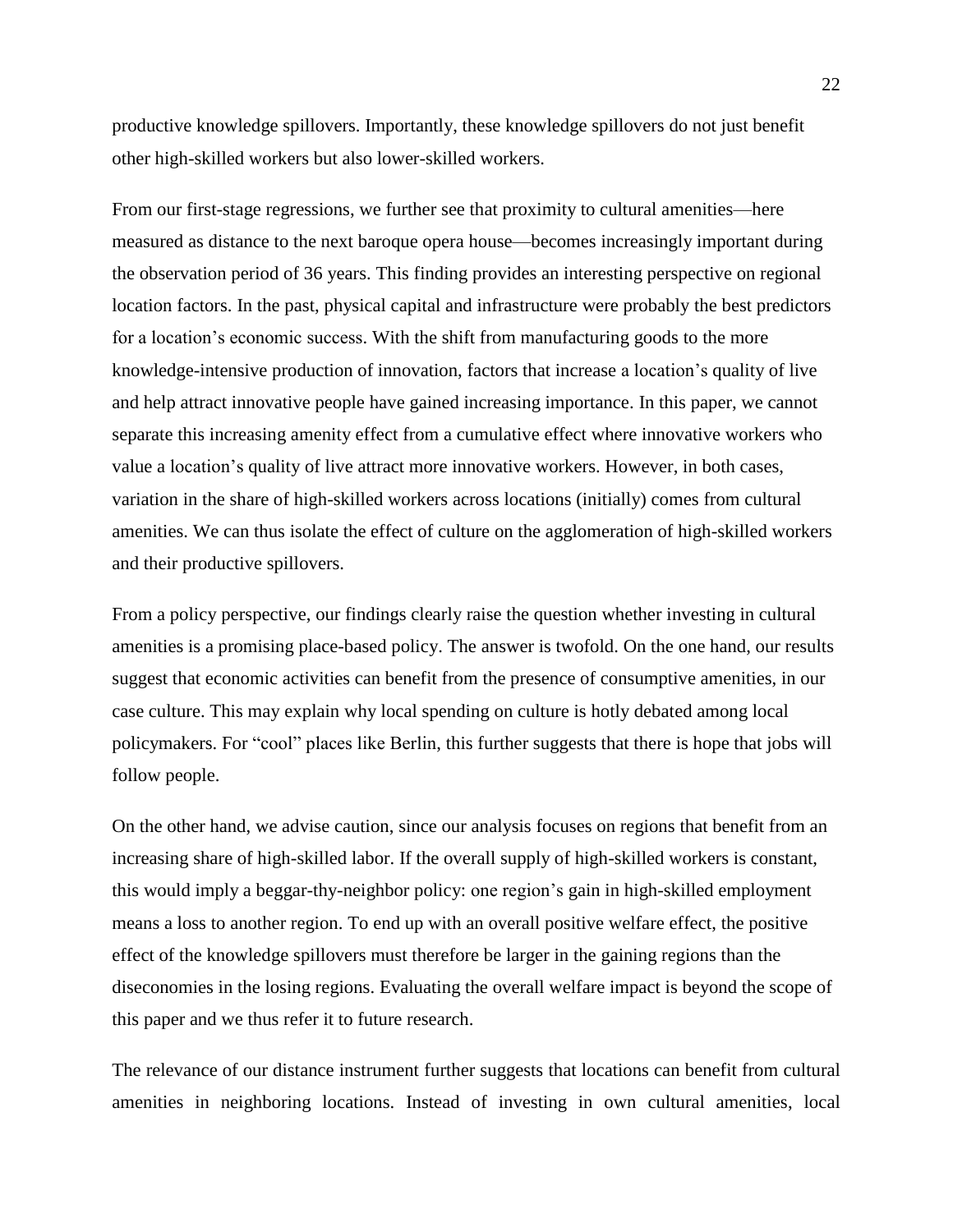productive knowledge spillovers. Importantly, these knowledge spillovers do not just benefit other high-skilled workers but also lower-skilled workers.

From our first-stage regressions, we further see that proximity to cultural amenities—here measured as distance to the next baroque opera house—becomes increasingly important during the observation period of 36 years. This finding provides an interesting perspective on regional location factors. In the past, physical capital and infrastructure were probably the best predictors for a location's economic success. With the shift from manufacturing goods to the more knowledge-intensive production of innovation, factors that increase a location's quality of live and help attract innovative people have gained increasing importance. In this paper, we cannot separate this increasing amenity effect from a cumulative effect where innovative workers who value a location's quality of live attract more innovative workers. However, in both cases, variation in the share of high-skilled workers across locations (initially) comes from cultural amenities. We can thus isolate the effect of culture on the agglomeration of high-skilled workers and their productive spillovers.

From a policy perspective, our findings clearly raise the question whether investing in cultural amenities is a promising place-based policy. The answer is twofold. On the one hand, our results suggest that economic activities can benefit from the presence of consumptive amenities, in our case culture. This may explain why local spending on culture is hotly debated among local policymakers. For "cool" places like Berlin, this further suggests that there is hope that jobs will follow people.

On the other hand, we advise caution, since our analysis focuses on regions that benefit from an increasing share of high-skilled labor. If the overall supply of high-skilled workers is constant, this would imply a beggar-thy-neighbor policy: one region's gain in high-skilled employment means a loss to another region. To end up with an overall positive welfare effect, the positive effect of the knowledge spillovers must therefore be larger in the gaining regions than the diseconomies in the losing regions. Evaluating the overall welfare impact is beyond the scope of this paper and we thus refer it to future research.

The relevance of our distance instrument further suggests that locations can benefit from cultural amenities in neighboring locations. Instead of investing in own cultural amenities, local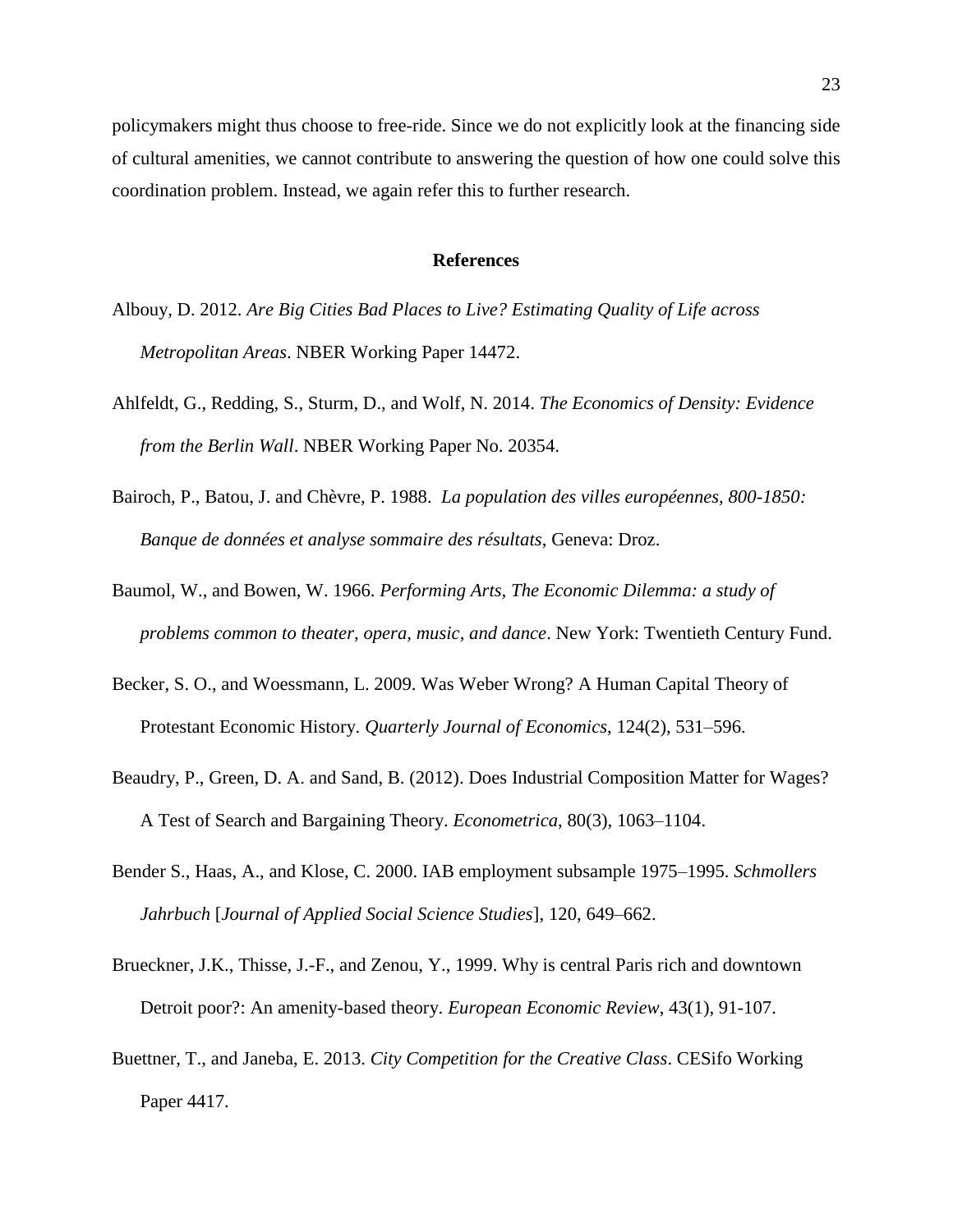policymakers might thus choose to free-ride. Since we do not explicitly look at the financing side of cultural amenities, we cannot contribute to answering the question of how one could solve this coordination problem. Instead, we again refer this to further research.

#### **References**

- Albouy, D. 2012. *Are Big Cities Bad Places to Live? Estimating Quality of Life across Metropolitan Areas*. NBER Working Paper 14472.
- Ahlfeldt, G., Redding, S., Sturm, D., and Wolf, N. 2014. *The Economics of Density: Evidence from the Berlin Wall*. NBER Working Paper No. 20354.
- Bairoch, P., Batou, J. and Chèvre, P. 1988. *La population des villes européennes, 800-1850: Banque de données et analyse sommaire des résultats*, Geneva: Droz.
- Baumol, W., and Bowen, W. 1966. *Performing Arts, The Economic Dilemma: a study of problems common to theater, opera, music, and dance*. New York: Twentieth Century Fund.
- Becker, S. O., and Woessmann, L. 2009. Was Weber Wrong? A Human Capital Theory of Protestant Economic History. *Quarterly Journal of Economics*, 124(2), 531–596.
- Beaudry, P., Green, D. A. and Sand, B. (2012). Does Industrial Composition Matter for Wages? A Test of Search and Bargaining Theory. *Econometrica*, 80(3), 1063–1104.
- Bender S., Haas, A., and Klose, C. 2000. IAB employment subsample 1975–1995. *Schmollers Jahrbuch* [*Journal of Applied Social Science Studies*], 120, 649–662.
- Brueckner, J.K., Thisse, J.-F., and Zenou, Y., 1999. Why is central Paris rich and downtown Detroit poor?: An amenity-based theory. *European Economic Review*, 43(1), 91-107.
- Buettner, T., and Janeba, E. 2013. *City Competition for the Creative Class*. CESifo Working Paper 4417.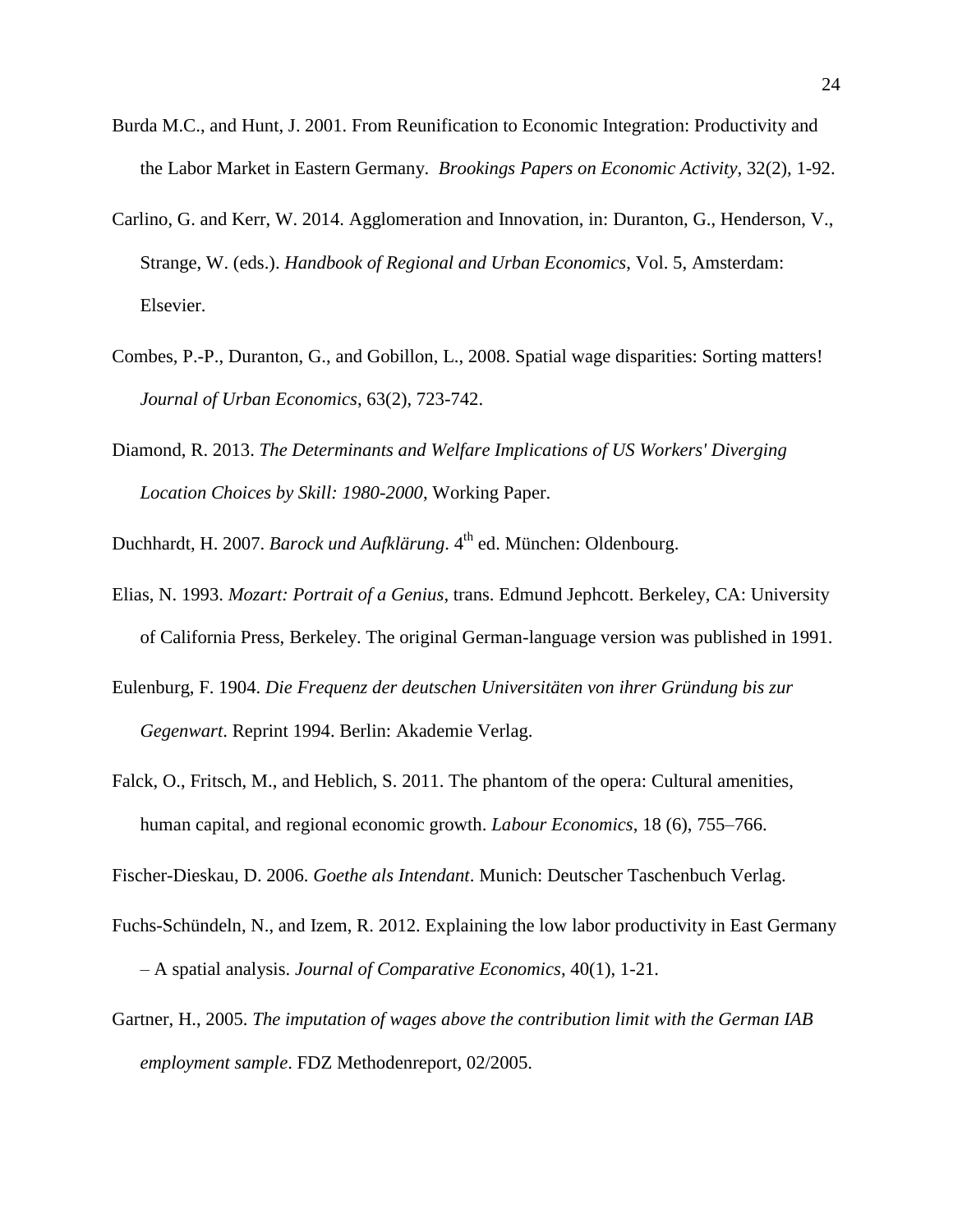- Burda M.C., and Hunt, J. 2001. From Reunification to Economic Integration: Productivity and the Labor Market in Eastern Germany. *Brookings Papers on Economic Activity*, 32(2), 1-92.
- Carlino, G. and Kerr, W. 2014. Agglomeration and Innovation, in: Duranton, G., Henderson, V., Strange, W. (eds.). *Handbook of Regional and Urban Economics*, Vol. 5, Amsterdam: Elsevier.
- Combes, P.-P., Duranton, G., and Gobillon, L., 2008. Spatial wage disparities: Sorting matters! *Journal of Urban Economics*, 63(2), 723-742.
- Diamond, R. 2013. *The Determinants and Welfare Implications of US Workers' Diverging Location Choices by Skill: 1980-2000*, Working Paper.
- Duchhardt, H. 2007. *Barock und Aufklärung*. 4<sup>th</sup> ed. München: Oldenbourg.
- Elias, N. 1993. *Mozart: Portrait of a Genius*, trans. Edmund Jephcott. Berkeley, CA: University of California Press, Berkeley. The original German-language version was published in 1991.
- Eulenburg, F. 1904. *Die Frequenz der deutschen Universitäten von ihrer Gründung bis zur Gegenwart*. Reprint 1994. Berlin: Akademie Verlag.
- Falck, O., Fritsch, M., and Heblich, S. 2011. The phantom of the opera: Cultural amenities, human capital, and regional economic growth. *Labour Economics*, 18 (6), 755–766.

Fischer-Dieskau, D. 2006. *Goethe als Intendant*. Munich: Deutscher Taschenbuch Verlag.

- Fuchs-Schündeln, N., and Izem, R. 2012. Explaining the low labor productivity in East Germany – A spatial analysis. *Journal of Comparative Economics*, 40(1), 1-21.
- Gartner, H., 2005. *The imputation of wages above the contribution limit with the German IAB employment sample*. FDZ Methodenreport, 02/2005.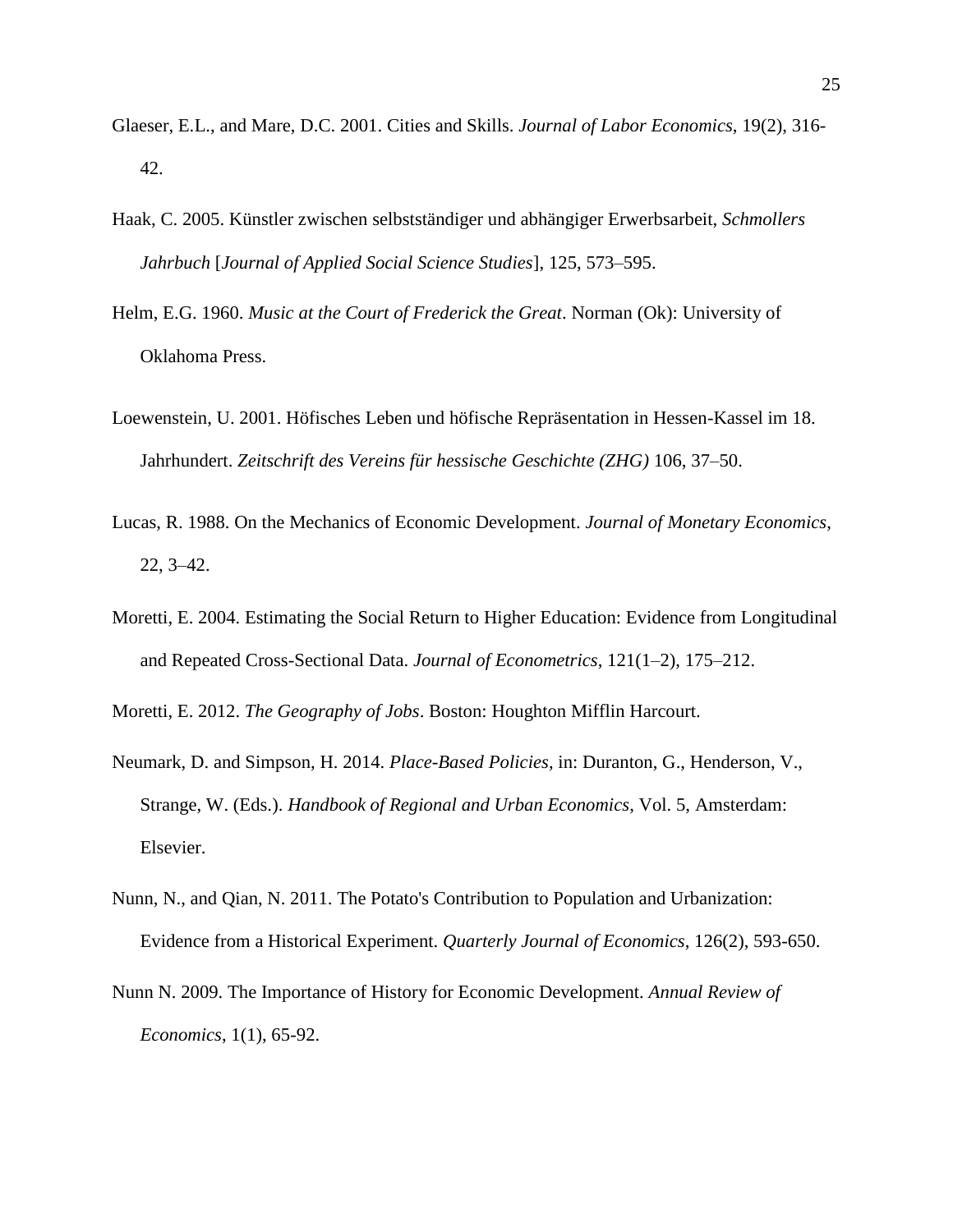- Glaeser, E.L., and Mare, D.C. 2001. Cities and Skills. *Journal of Labor Economics*, 19(2), 316- 42.
- Haak, C. 2005. Künstler zwischen selbstständiger und abhängiger Erwerbsarbeit, *Schmollers Jahrbuch* [*Journal of Applied Social Science Studies*], 125, 573–595.
- Helm, E.G. 1960. *Music at the Court of Frederick the Great*. Norman (Ok): University of Oklahoma Press.
- Loewenstein, U. 2001. Höfisches Leben und höfische Repräsentation in Hessen-Kassel im 18. Jahrhundert. *Zeitschrift des Vereins für hessische Geschichte (ZHG)* 106, 37–50.
- Lucas, R. 1988. On the Mechanics of Economic Development. *Journal of Monetary Economics*, 22, 3–42.
- Moretti, E. 2004. Estimating the Social Return to Higher Education: Evidence from Longitudinal and Repeated Cross-Sectional Data. *Journal of Econometrics*, 121(1–2), 175–212.

Moretti, E. 2012. *The Geography of Jobs*. Boston: Houghton Mifflin Harcourt.

- Neumark, D. and Simpson, H. 2014. *Place-Based Policies*, in: Duranton, G., Henderson, V., Strange, W. (Eds.). *Handbook of Regional and Urban Economics*, Vol. 5, Amsterdam: Elsevier.
- Nunn, N., and Qian, N. 2011. The Potato's Contribution to Population and Urbanization: Evidence from a Historical Experiment. *Quarterly Journal of Economics*, 126(2), 593-650.
- Nunn N. 2009. The Importance of History for Economic Development. *Annual Review of Economics*, 1(1), 65-92.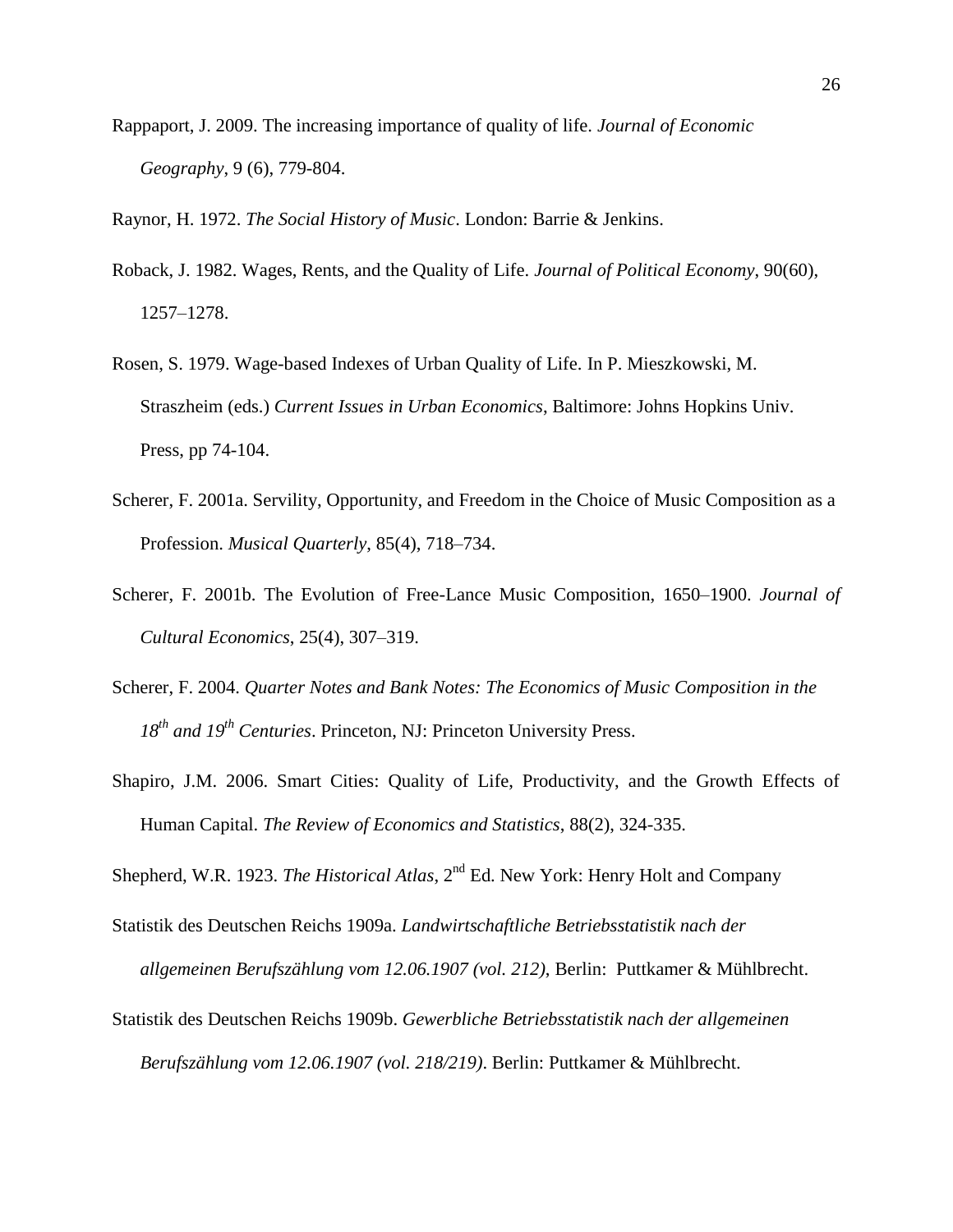Rappaport, J. 2009. The increasing importance of quality of life. *Journal of Economic Geography*, 9 (6), 779-804.

Raynor, H. 1972. *The Social History of Music*. London: Barrie & Jenkins.

- Roback, J. 1982. Wages, Rents, and the Quality of Life. *Journal of Political Economy*, 90(60), 1257–1278.
- Rosen, S. 1979. Wage-based Indexes of Urban Quality of Life. In P. Mieszkowski, M. Straszheim (eds.) *Current Issues in Urban Economics*, Baltimore: Johns Hopkins Univ. Press, pp 74-104.
- Scherer, F. 2001a. Servility, Opportunity, and Freedom in the Choice of Music Composition as a Profession. *Musical Quarterly*, 85(4), 718–734.
- Scherer, F. 2001b. The Evolution of Free-Lance Music Composition, 1650–1900. *Journal of Cultural Economics*, 25(4), 307–319.
- Scherer, F. 2004. *Quarter Notes and Bank Notes: The Economics of Music Composition in the 18th and 19th Centuries*. Princeton, NJ: Princeton University Press.
- Shapiro, J.M. 2006. Smart Cities: Quality of Life, Productivity, and the Growth Effects of Human Capital. *The Review of Economics and Statistics*, 88(2), 324-335.

Shepherd, W.R. 1923. *The Historical Atlas*, 2<sup>nd</sup> Ed. New York: Henry Holt and Company

- Statistik des Deutschen Reichs 1909a. *Landwirtschaftliche Betriebsstatistik nach der allgemeinen Berufszählung vom 12.06.1907 (vol. 212)*, Berlin: Puttkamer & Mühlbrecht.
- Statistik des Deutschen Reichs 1909b. *Gewerbliche Betriebsstatistik nach der allgemeinen Berufszählung vom 12.06.1907 (vol. 218/219)*. Berlin: Puttkamer & Mühlbrecht.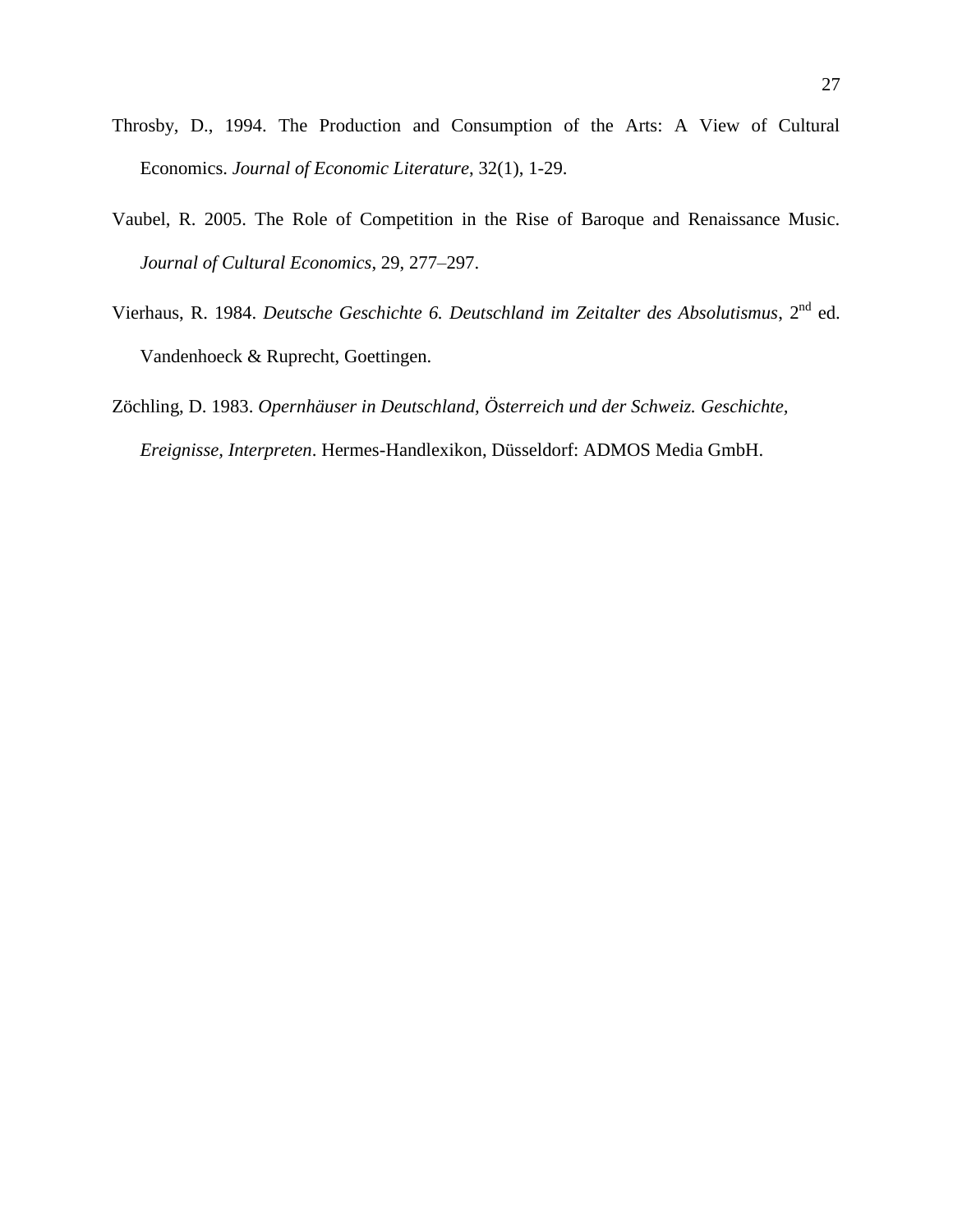- Throsby, D., 1994. The Production and Consumption of the Arts: A View of Cultural Economics. *Journal of Economic Literature*, 32(1), 1-29.
- Vaubel, R. 2005. The Role of Competition in the Rise of Baroque and Renaissance Music. *Journal of Cultural Economics*, 29, 277–297.
- Vierhaus, R. 1984. *Deutsche Geschichte 6. Deutschland im Zeitalter des Absolutismus*, 2nd ed. Vandenhoeck & Ruprecht, Goettingen.
- Zöchling, D. 1983. *Opernhäuser in Deutschland, Österreich und der Schweiz. Geschichte, Ereignisse, Interpreten*. Hermes-Handlexikon, Düsseldorf: ADMOS Media GmbH.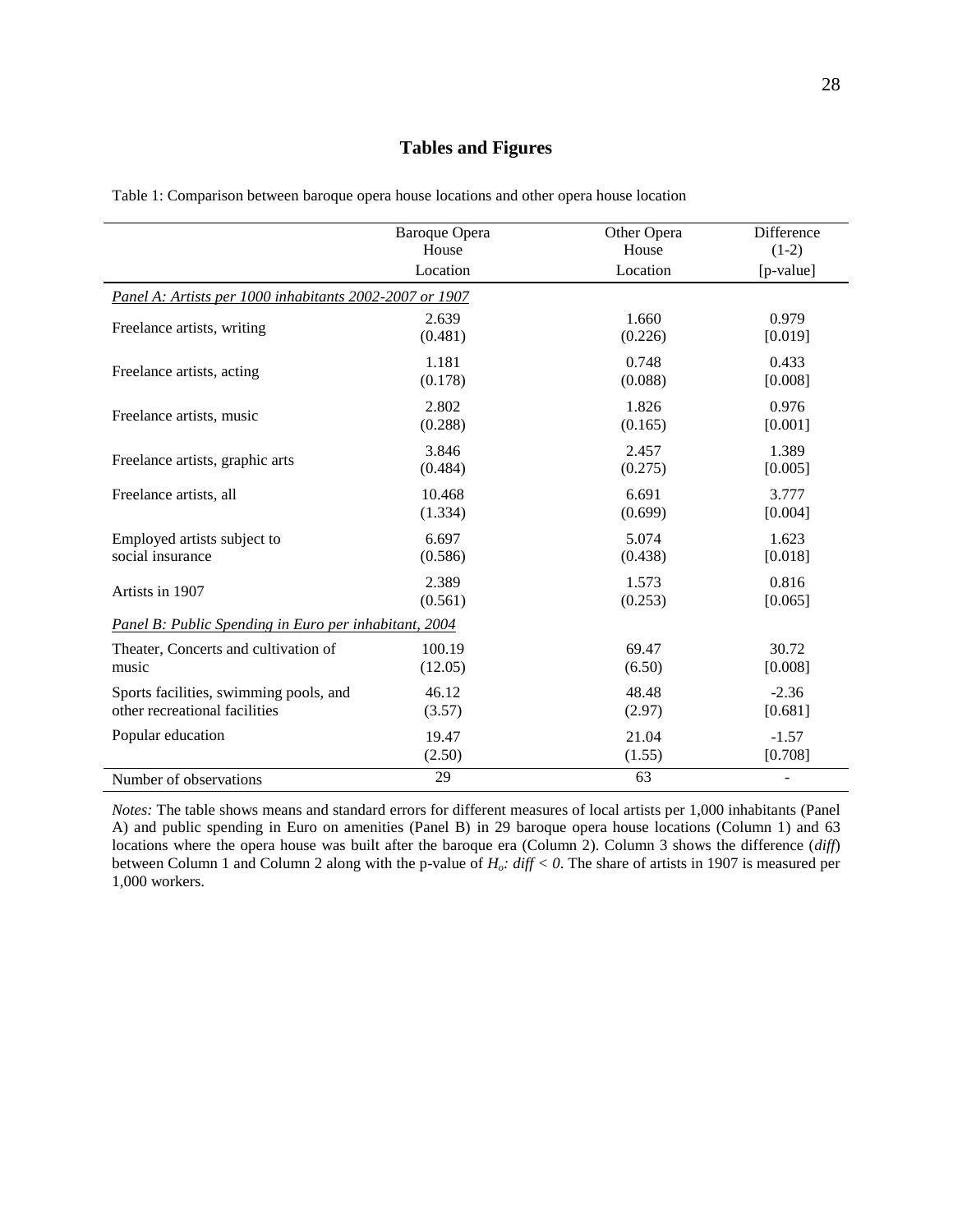### **Tables and Figures**

|                                                         | <b>Baroque Opera</b> | Other Opera | Difference |
|---------------------------------------------------------|----------------------|-------------|------------|
|                                                         | House                | House       | $(1-2)$    |
|                                                         | Location             | Location    | [p-value]  |
| Panel A: Artists per 1000 inhabitants 2002-2007 or 1907 |                      |             |            |
| Freelance artists, writing                              | 2.639                | 1.660       | 0.979      |
|                                                         | (0.481)              | (0.226)     | [0.019]    |
| Freelance artists, acting                               | 1.181                | 0.748       | 0.433      |
|                                                         | (0.178)              | (0.088)     | [0.008]    |
| Freelance artists, music                                | 2.802                | 1.826       | 0.976      |
|                                                         | (0.288)              | (0.165)     | [0.001]    |
| Freelance artists, graphic arts                         | 3.846                | 2.457       | 1.389      |
|                                                         | (0.484)              | (0.275)     | [0.005]    |
| Freelance artists, all                                  | 10.468               | 6.691       | 3.777      |
|                                                         | (1.334)              | (0.699)     | [0.004]    |
| Employed artists subject to                             | 6.697                | 5.074       | 1.623      |
| social insurance                                        | (0.586)              | (0.438)     | [0.018]    |
| Artists in 1907                                         | 2.389                | 1.573       | 0.816      |
|                                                         | (0.561)              | (0.253)     | [0.065]    |
| Panel B: Public Spending in Euro per inhabitant, 2004   |                      |             |            |
| Theater, Concerts and cultivation of                    | 100.19               | 69.47       | 30.72      |
| music                                                   | (12.05)              | (6.50)      | [0.008]    |
| Sports facilities, swimming pools, and                  | 46.12                | 48.48       | $-2.36$    |
| other recreational facilities                           | (3.57)               | (2.97)      | [0.681]    |
| Popular education                                       | 19.47                | 21.04       | $-1.57$    |
|                                                         | (2.50)               | (1.55)      | [0.708]    |
| Number of observations                                  | 29                   | 63          |            |

Table 1: Comparison between baroque opera house locations and other opera house location

*Notes:* The table shows means and standard errors for different measures of local artists per 1,000 inhabitants (Panel A) and public spending in Euro on amenities (Panel B) in 29 baroque opera house locations (Column 1) and 63 locations where the opera house was built after the baroque era (Column 2). Column 3 shows the difference (*diff*) between Column 1 and Column 2 along with the p-value of *Ho: diff < 0*. The share of artists in 1907 is measured per 1,000 workers.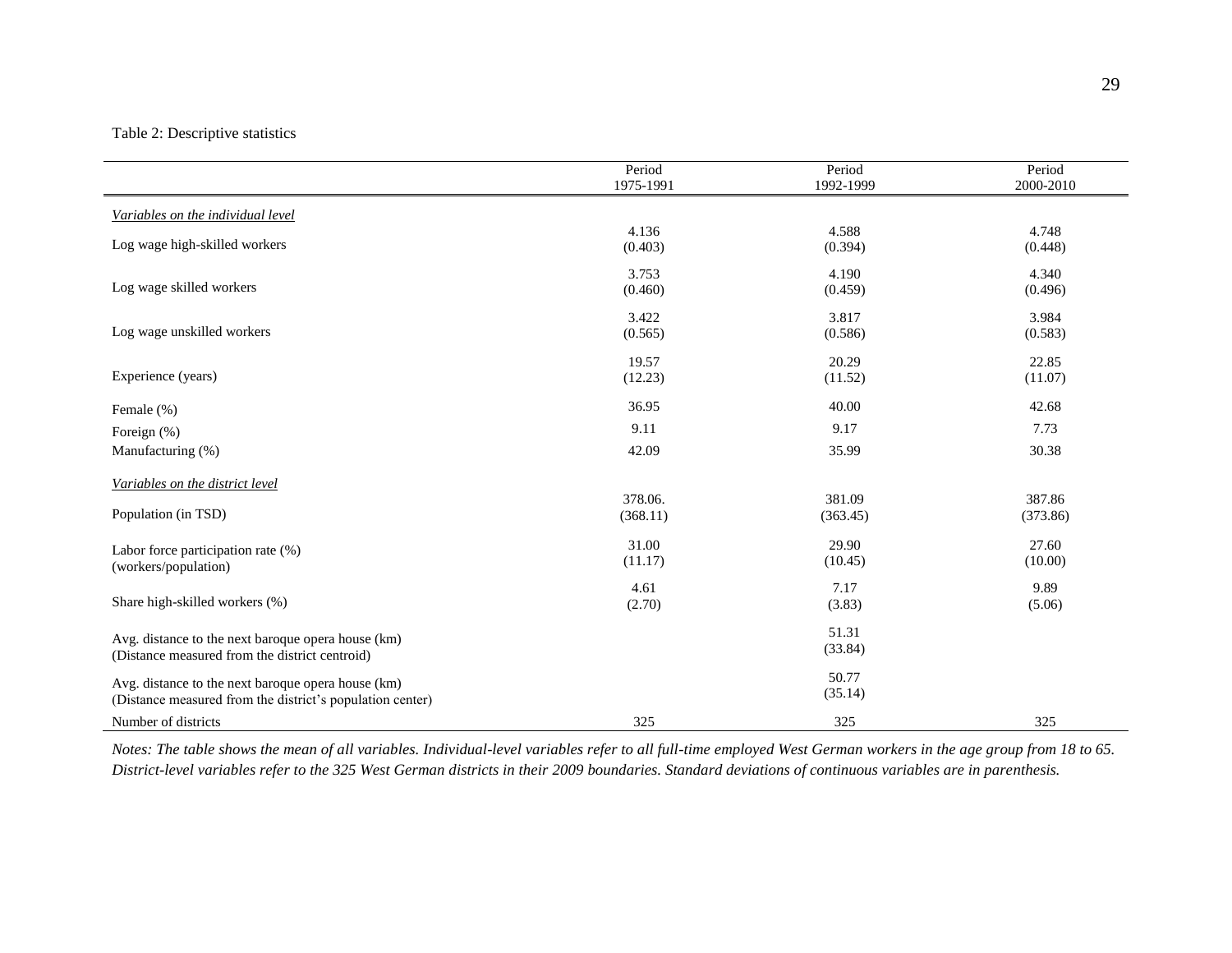#### Table 2: Descriptive statistics

|                                                                                                                 | Period    | Period           | Period    |
|-----------------------------------------------------------------------------------------------------------------|-----------|------------------|-----------|
|                                                                                                                 | 1975-1991 | 1992-1999        | 2000-2010 |
| Variables on the individual level                                                                               |           |                  |           |
| Log wage high-skilled workers                                                                                   | 4.136     | 4.588            | 4.748     |
|                                                                                                                 | (0.403)   | (0.394)          | (0.448)   |
| Log wage skilled workers                                                                                        | 3.753     | 4.190            | 4.340     |
|                                                                                                                 | (0.460)   | (0.459)          | (0.496)   |
| Log wage unskilled workers                                                                                      | 3.422     | 3.817            | 3.984     |
|                                                                                                                 | (0.565)   | (0.586)          | (0.583)   |
| Experience (years)                                                                                              | 19.57     | 20.29            | 22.85     |
|                                                                                                                 | (12.23)   | (11.52)          | (11.07)   |
| Female (%)                                                                                                      | 36.95     | 40.00            | 42.68     |
| Foreign (%)                                                                                                     | 9.11      | 9.17             | 7.73      |
| Manufacturing (%)                                                                                               | 42.09     | 35.99            | 30.38     |
| Variables on the district level                                                                                 |           |                  |           |
| Population (in TSD)                                                                                             | 378.06.   | 381.09           | 387.86    |
|                                                                                                                 | (368.11)  | (363.45)         | (373.86)  |
| Labor force participation rate (%)                                                                              | 31.00     | 29.90            | 27.60     |
| (workers/population)                                                                                            | (11.17)   | (10.45)          | (10.00)   |
| Share high-skilled workers (%)                                                                                  | 4.61      | 7.17             | 9.89      |
|                                                                                                                 | (2.70)    | (3.83)           | (5.06)    |
| Avg. distance to the next baroque opera house (km)<br>(Distance measured from the district centroid)            |           | 51.31<br>(33.84) |           |
| Avg. distance to the next baroque opera house (km)<br>(Distance measured from the district's population center) |           | 50.77<br>(35.14) |           |
| Number of districts                                                                                             | 325       | 325              | 325       |

*Notes: The table shows the mean of all variables. Individual-level variables refer to all full-time employed West German workers in the age group from 18 to 65. District-level variables refer to the 325 West German districts in their 2009 boundaries. Standard deviations of continuous variables are in parenthesis.*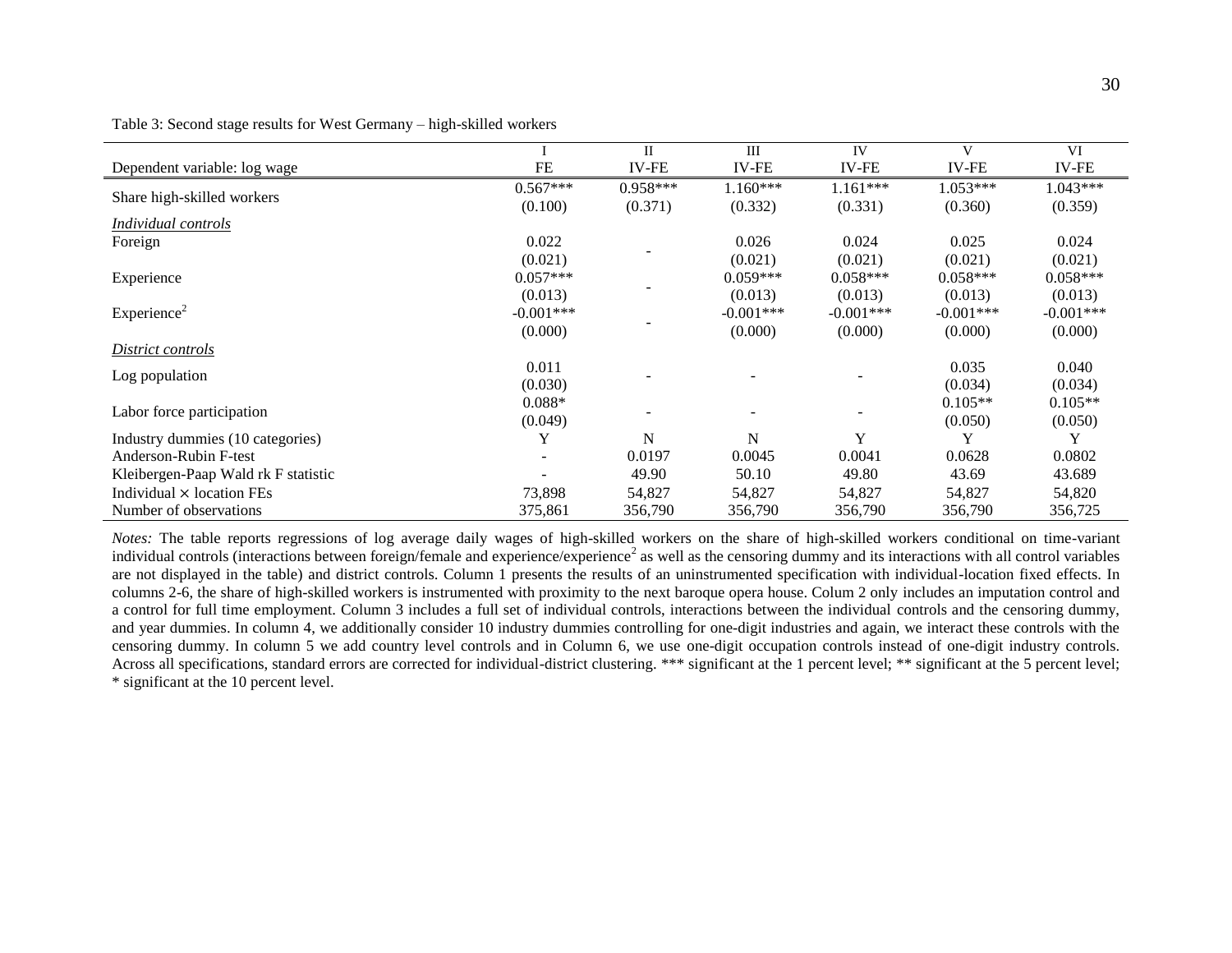|                                     |             | $\mathbf{I}$ | III          | IV           | V            | VI           |
|-------------------------------------|-------------|--------------|--------------|--------------|--------------|--------------|
| Dependent variable: log wage        | <b>FE</b>   | <b>IV-FE</b> | <b>IV-FE</b> | <b>IV-FE</b> | <b>IV-FE</b> | <b>IV-FE</b> |
|                                     | $0.567***$  | $0.958***$   | $1.160***$   | $1.161***$   | 1.053***     | 1.043***     |
| Share high-skilled workers          | (0.100)     | (0.371)      | (0.332)      | (0.331)      | (0.360)      | (0.359)      |
| <b>Individual controls</b>          |             |              |              |              |              |              |
| Foreign                             | 0.022       |              | 0.026        | 0.024        | 0.025        | 0.024        |
|                                     | (0.021)     |              | (0.021)      | (0.021)      | (0.021)      | (0.021)      |
| Experience                          | $0.057***$  |              | $0.059***$   | $0.058***$   | $0.058***$   | $0.058***$   |
|                                     | (0.013)     |              | (0.013)      | (0.013)      | (0.013)      | (0.013)      |
| Experience <sup>2</sup>             | $-0.001***$ |              | $-0.001***$  | $-0.001***$  | $-0.001***$  | $-0.001***$  |
|                                     | (0.000)     |              | (0.000)      | (0.000)      | (0.000)      | (0.000)      |
| District controls                   |             |              |              |              |              |              |
| Log population                      | 0.011       |              |              |              | 0.035        | 0.040        |
|                                     | (0.030)     |              |              |              | (0.034)      | (0.034)      |
| Labor force participation           | $0.088*$    |              |              |              | $0.105**$    | $0.105**$    |
|                                     | (0.049)     |              |              |              | (0.050)      | (0.050)      |
| Industry dummies (10 categories)    | Y           | N            | N            | Y            | Y            |              |
| Anderson-Rubin F-test               |             | 0.0197       | 0.0045       | 0.0041       | 0.0628       | 0.0802       |
| Kleibergen-Paap Wald rk F statistic |             | 49.90        | 50.10        | 49.80        | 43.69        | 43.689       |
| Individual $\times$ location FEs    | 73,898      | 54,827       | 54,827       | 54,827       | 54,827       | 54,820       |
| Number of observations              | 375,861     | 356,790      | 356,790      | 356,790      | 356,790      | 356,725      |

Table 3: Second stage results for West Germany – high-skilled workers

*Notes*: The table reports regressions of log average daily wages of high-skilled workers on the share of high-skilled workers conditional on time-variant individual controls (interactions between foreign/female and experience/experience<sup>2</sup> as well as the censoring dummy and its interactions with all control variables are not displayed in the table) and district controls. Column 1 presents the results of an uninstrumented specification with individual-location fixed effects. In columns 2-6, the share of high-skilled workers is instrumented with proximity to the next baroque opera house. Colum 2 only includes an imputation control and a control for full time employment. Column 3 includes a full set of individual controls, interactions between the individual controls and the censoring dummy, and year dummies. In column 4, we additionally consider 10 industry dummies controlling for one-digit industries and again, we interact these controls with the censoring dummy. In column 5 we add country level controls and in Column 6, we use one-digit occupation controls instead of one-digit industry controls. Across all specifications, standard errors are corrected for individual-district clustering. \*\*\* significant at the 1 percent level; \*\* significant at the 5 percent level; \* significant at the 10 percent level.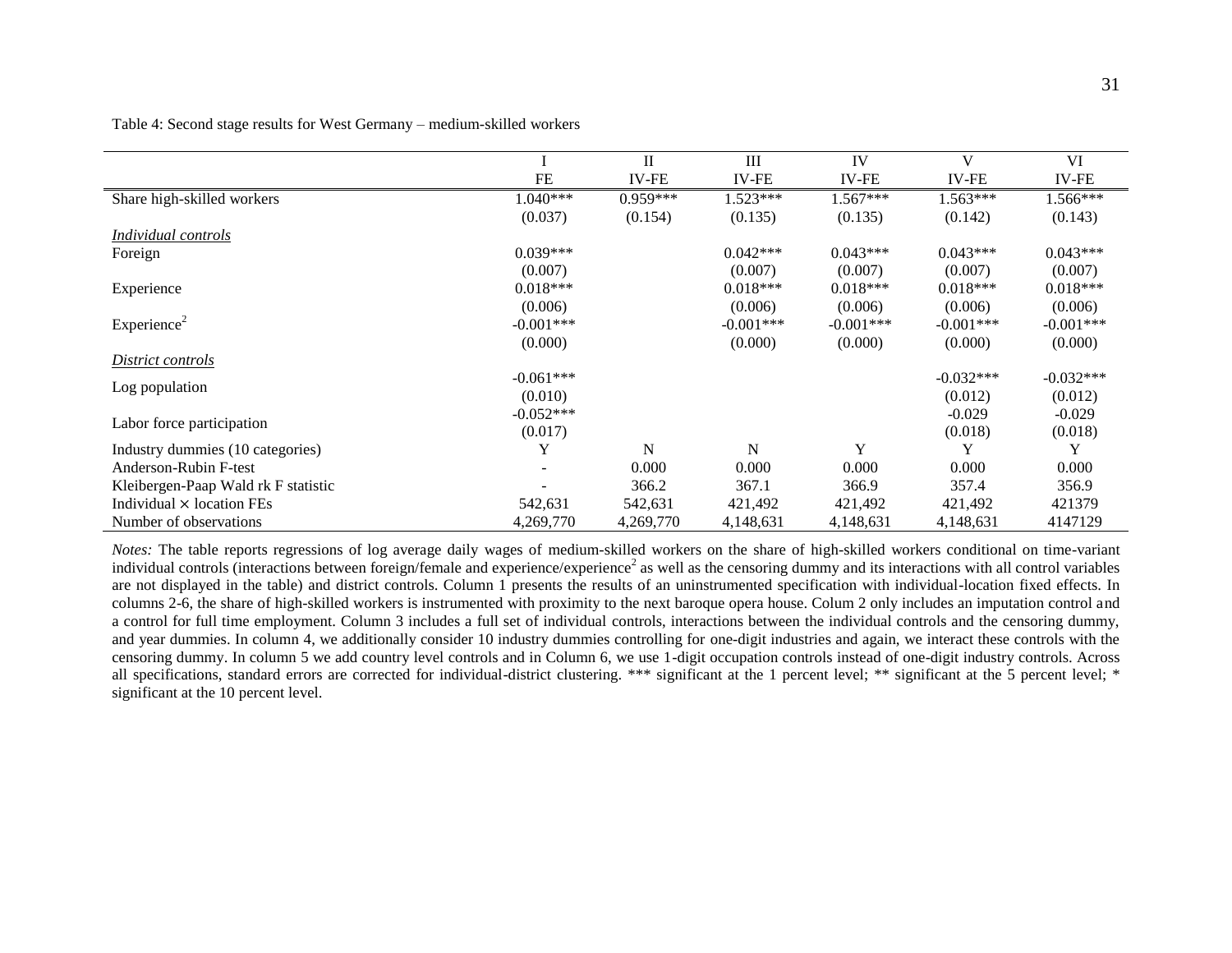|                                     |                          | $\mathbf{I}$ | III          | IV           | $\mathbf{V}$ | <b>VI</b>    |
|-------------------------------------|--------------------------|--------------|--------------|--------------|--------------|--------------|
|                                     | <b>FE</b>                | <b>IV-FE</b> | <b>IV-FE</b> | <b>IV-FE</b> | <b>IV-FE</b> | <b>IV-FE</b> |
| Share high-skilled workers          | 1.040***                 | $0.959***$   | $1.523***$   | $1.567***$   | $1.563***$   | $1.566***$   |
|                                     | (0.037)                  | (0.154)      | (0.135)      | (0.135)      | (0.142)      | (0.143)      |
| <i>Individual controls</i>          |                          |              |              |              |              |              |
| Foreign                             | $0.039***$               |              | $0.042***$   | $0.043***$   | $0.043***$   | $0.043***$   |
|                                     | (0.007)                  |              | (0.007)      | (0.007)      | (0.007)      | (0.007)      |
| Experience                          | $0.018***$               |              | $0.018***$   | $0.018***$   | $0.018***$   | $0.018***$   |
|                                     | (0.006)                  |              | (0.006)      | (0.006)      | (0.006)      | (0.006)      |
| Experience <sup>2</sup>             | $-0.001***$              |              | $-0.001***$  | $-0.001***$  | $-0.001$ *** | $-0.001***$  |
|                                     | (0.000)                  |              | (0.000)      | (0.000)      | (0.000)      | (0.000)      |
| District controls                   |                          |              |              |              |              |              |
| Log population                      | $-0.061***$              |              |              |              | $-0.032***$  | $-0.032***$  |
|                                     | (0.010)                  |              |              |              | (0.012)      | (0.012)      |
|                                     | $-0.052***$              |              |              |              | $-0.029$     | $-0.029$     |
| Labor force participation           | (0.017)                  |              |              |              | (0.018)      | (0.018)      |
| Industry dummies (10 categories)    | Y                        | N            | N            | Y            | Y            | Y            |
| Anderson-Rubin F-test               | $\overline{\phantom{a}}$ | 0.000        | 0.000        | 0.000        | 0.000        | 0.000        |
| Kleibergen-Paap Wald rk F statistic |                          | 366.2        | 367.1        | 366.9        | 357.4        | 356.9        |
| Individual $\times$ location FEs    | 542,631                  | 542,631      | 421,492      | 421,492      | 421,492      | 421379       |
| Number of observations              | 4,269,770                | 4,269,770    | 4,148,631    | 4,148,631    | 4,148,631    | 4147129      |

Table 4: Second stage results for West Germany – medium-skilled workers

*Notes*: The table reports regressions of log average daily wages of medium-skilled workers on the share of high-skilled workers conditional on time-variant individual controls (interactions between foreign/female and experience/experience<sup>2</sup> as well as the censoring dummy and its interactions with all control variables are not displayed in the table) and district controls. Column 1 presents the results of an uninstrumented specification with individual-location fixed effects. In columns 2-6, the share of high-skilled workers is instrumented with proximity to the next baroque opera house. Colum 2 only includes an imputation control and a control for full time employment. Column 3 includes a full set of individual controls, interactions between the individual controls and the censoring dummy, and year dummies. In column 4, we additionally consider 10 industry dummies controlling for one-digit industries and again, we interact these controls with the censoring dummy. In column 5 we add country level controls and in Column 6, we use 1-digit occupation controls instead of one-digit industry controls. Across all specifications, standard errors are corrected for individual-district clustering. \*\*\* significant at the 1 percent level; \*\* significant at the 5 percent level; \* significant at the 10 percent level.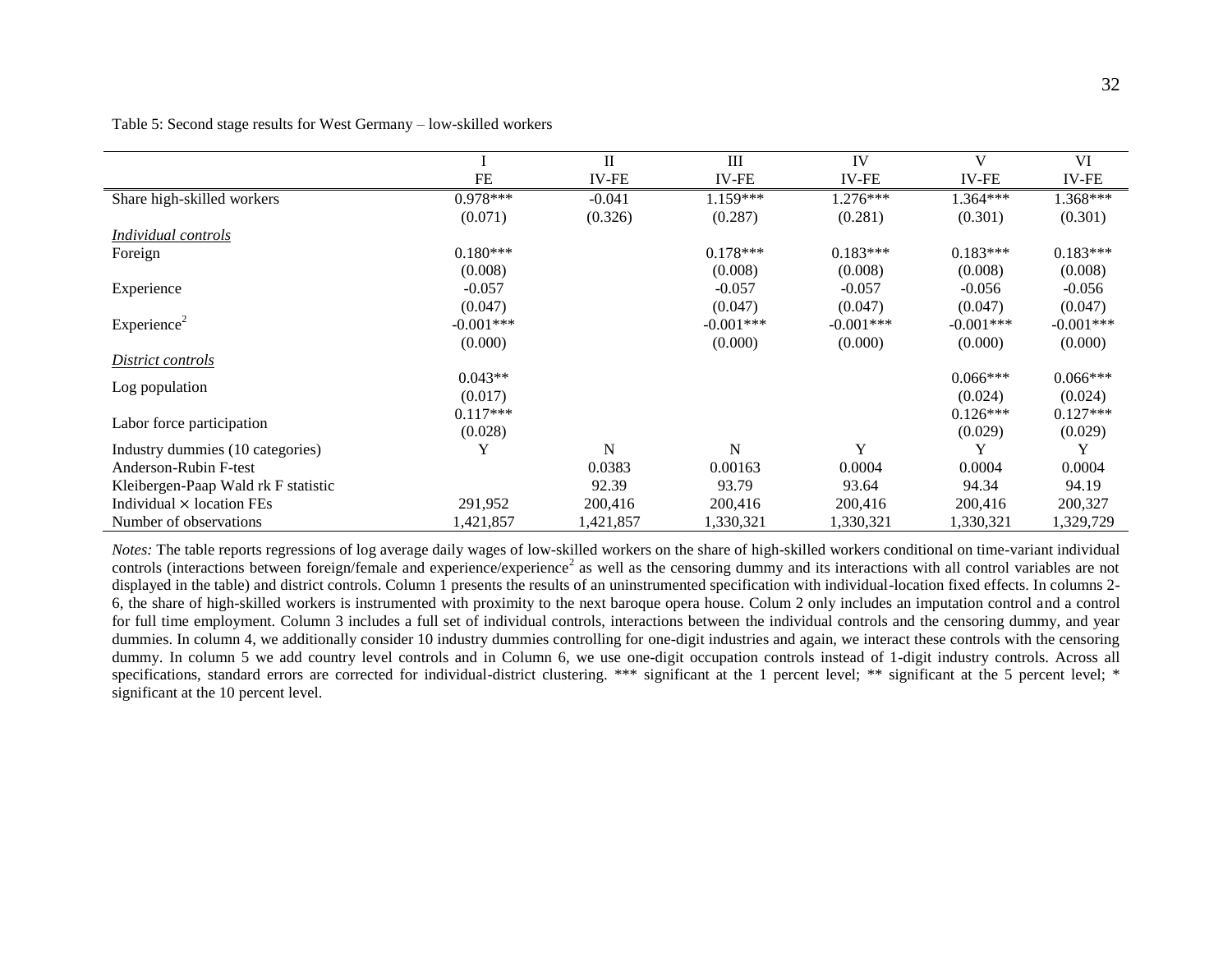|                                     |             | $\mathbf{I}$ | III          | IV           | V            | VI           |
|-------------------------------------|-------------|--------------|--------------|--------------|--------------|--------------|
|                                     | <b>FE</b>   | <b>IV-FE</b> | <b>IV-FE</b> | <b>IV-FE</b> | <b>IV-FE</b> | <b>IV-FE</b> |
| Share high-skilled workers          | $0.978***$  | $-0.041$     | $1.159***$   | $1.276***$   | $1.364***$   | 1.368***     |
|                                     | (0.071)     | (0.326)      | (0.287)      | (0.281)      | (0.301)      | (0.301)      |
| <i>Individual controls</i>          |             |              |              |              |              |              |
| Foreign                             | $0.180***$  |              | $0.178***$   | $0.183***$   | $0.183***$   | $0.183***$   |
|                                     | (0.008)     |              | (0.008)      | (0.008)      | (0.008)      | (0.008)      |
| Experience                          | $-0.057$    |              | $-0.057$     | $-0.057$     | $-0.056$     | $-0.056$     |
|                                     | (0.047)     |              | (0.047)      | (0.047)      | (0.047)      | (0.047)      |
| Experience <sup>2</sup>             | $-0.001***$ |              | $-0.001***$  | $-0.001***$  | $-0.001***$  | $-0.001***$  |
|                                     | (0.000)     |              | (0.000)      | (0.000)      | (0.000)      | (0.000)      |
| District controls                   |             |              |              |              |              |              |
| Log population                      | $0.043**$   |              |              |              | $0.066***$   | $0.066***$   |
|                                     | (0.017)     |              |              |              | (0.024)      | (0.024)      |
| Labor force participation           | $0.117***$  |              |              |              | $0.126***$   | $0.127***$   |
|                                     | (0.028)     |              |              |              | (0.029)      | (0.029)      |
| Industry dummies (10 categories)    | Y           | N            | N            | Y            | Y            | Y            |
| Anderson-Rubin F-test               |             | 0.0383       | 0.00163      | 0.0004       | 0.0004       | 0.0004       |
| Kleibergen-Paap Wald rk F statistic |             | 92.39        | 93.79        | 93.64        | 94.34        | 94.19        |
| Individual $\times$ location FEs    | 291,952     | 200,416      | 200,416      | 200,416      | 200,416      | 200,327      |
| Number of observations              | 1,421,857   | 1,421,857    | 1,330,321    | 1,330,321    | 1,330,321    | 1,329,729    |

Table 5: Second stage results for West Germany – low-skilled workers

*Notes:* The table reports regressions of log average daily wages of low-skilled workers on the share of high-skilled workers conditional on time-variant individual controls (interactions between foreign/female and experience/experience<sup>2</sup> as well as the censoring dummy and its interactions with all control variables are not displayed in the table) and district controls. Column 1 presents the results of an uninstrumented specification with individual-location fixed effects. In columns 2-6, the share of high-skilled workers is instrumented with proximity to the next baroque opera house. Colum 2 only includes an imputation control and a control for full time employment. Column 3 includes a full set of individual controls, interactions between the individual controls and the censoring dummy, and year dummies. In column 4, we additionally consider 10 industry dummies controlling for one-digit industries and again, we interact these controls with the censoring dummy. In column 5 we add country level controls and in Column 6, we use one-digit occupation controls instead of 1-digit industry controls. Across all specifications, standard errors are corrected for individual-district clustering. \*\*\* significant at the 1 percent level; \*\* significant at the 5 percent level; \* significant at the 10 percent level.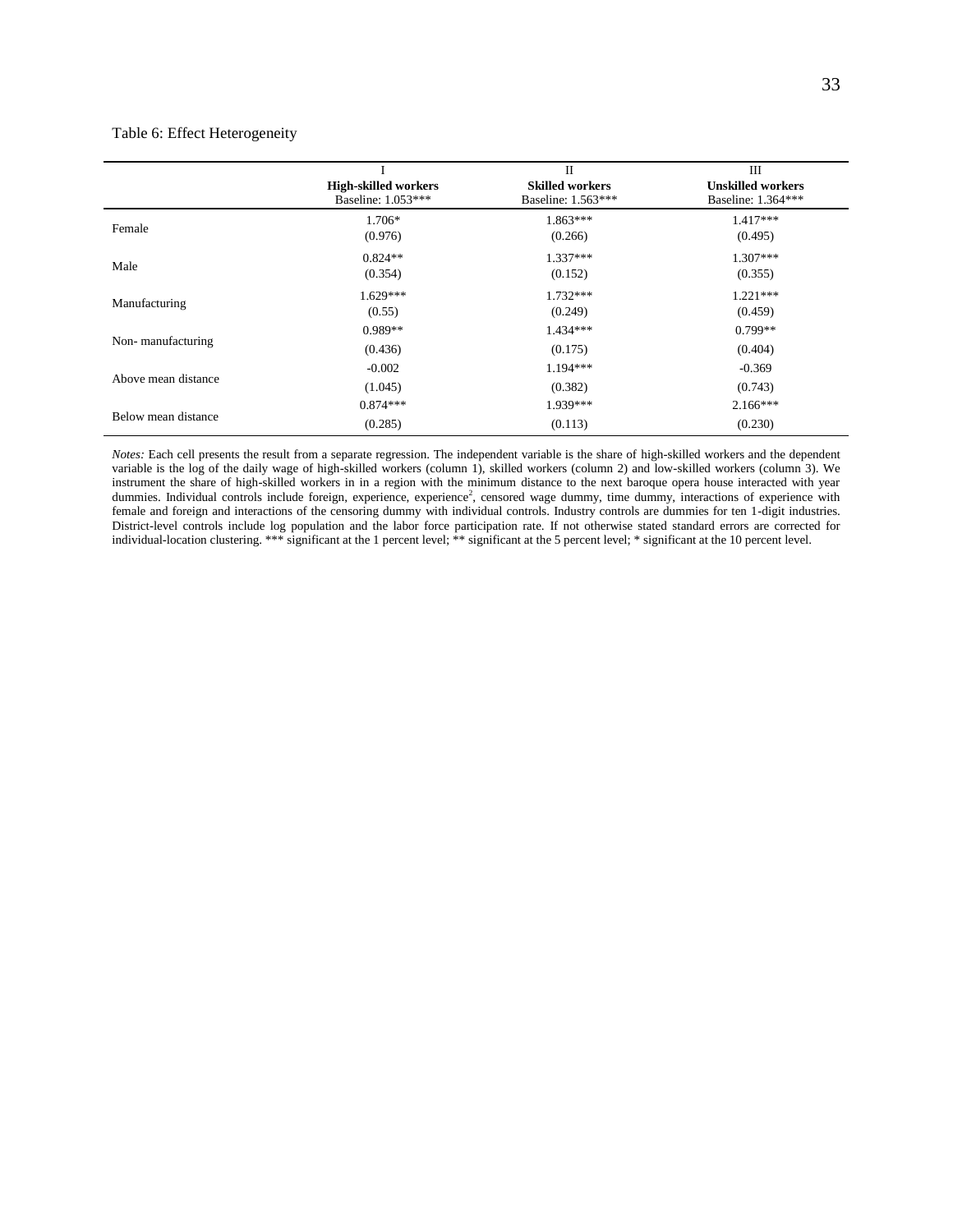#### Table 6: Effect Heterogeneity

|                     | <b>High-skilled workers</b><br>Baseline: 1.053*** | $\mathbf{I}$<br><b>Skilled workers</b><br>Baseline: 1.563*** | Ш<br><b>Unskilled workers</b><br>Baseline: 1.364*** |
|---------------------|---------------------------------------------------|--------------------------------------------------------------|-----------------------------------------------------|
| Female              | 1.706*                                            | $1.863***$                                                   | $1.417***$                                          |
|                     | (0.976)                                           | (0.266)                                                      | (0.495)                                             |
| Male                | $0.824**$                                         | $1.337***$                                                   | $1.307***$                                          |
|                     | (0.354)                                           | (0.152)                                                      | (0.355)                                             |
| Manufacturing       | $1.629***$                                        | $1.732***$                                                   | $1.221***$                                          |
|                     | (0.55)                                            | (0.249)                                                      | (0.459)                                             |
| Non-manufacturing   | $0.989**$                                         | 1.434***                                                     | $0.799**$                                           |
|                     | (0.436)                                           | (0.175)                                                      | (0.404)                                             |
| Above mean distance | $-0.002$                                          | $1.194***$                                                   | $-0.369$                                            |
|                     | (1.045)                                           | (0.382)                                                      | (0.743)                                             |
| Below mean distance | $0.874***$                                        | 1.939***                                                     | $2.166***$                                          |
|                     | (0.285)                                           | (0.113)                                                      | (0.230)                                             |

*Notes:* Each cell presents the result from a separate regression. The independent variable is the share of high-skilled workers and the dependent variable is the log of the daily wage of high-skilled workers (column 1), skilled workers (column 2) and low-skilled workers (column 3). We instrument the share of high-skilled workers in in a region with the minimum distance to the next baroque opera house interacted with year dummies. Individual controls include foreign, experience, experience<sup>2</sup>, censored wage dummy, time dummy, interactions of experience with female and foreign and interactions of the censoring dummy with individual controls. Industry controls are dummies for ten 1-digit industries. District-level controls include log population and the labor force participation rate. If not otherwise stated standard errors are corrected for individual-location clustering. \*\*\* significant at the 1 percent level; \*\* significant at the 5 percent level; \* significant at the 10 percent level.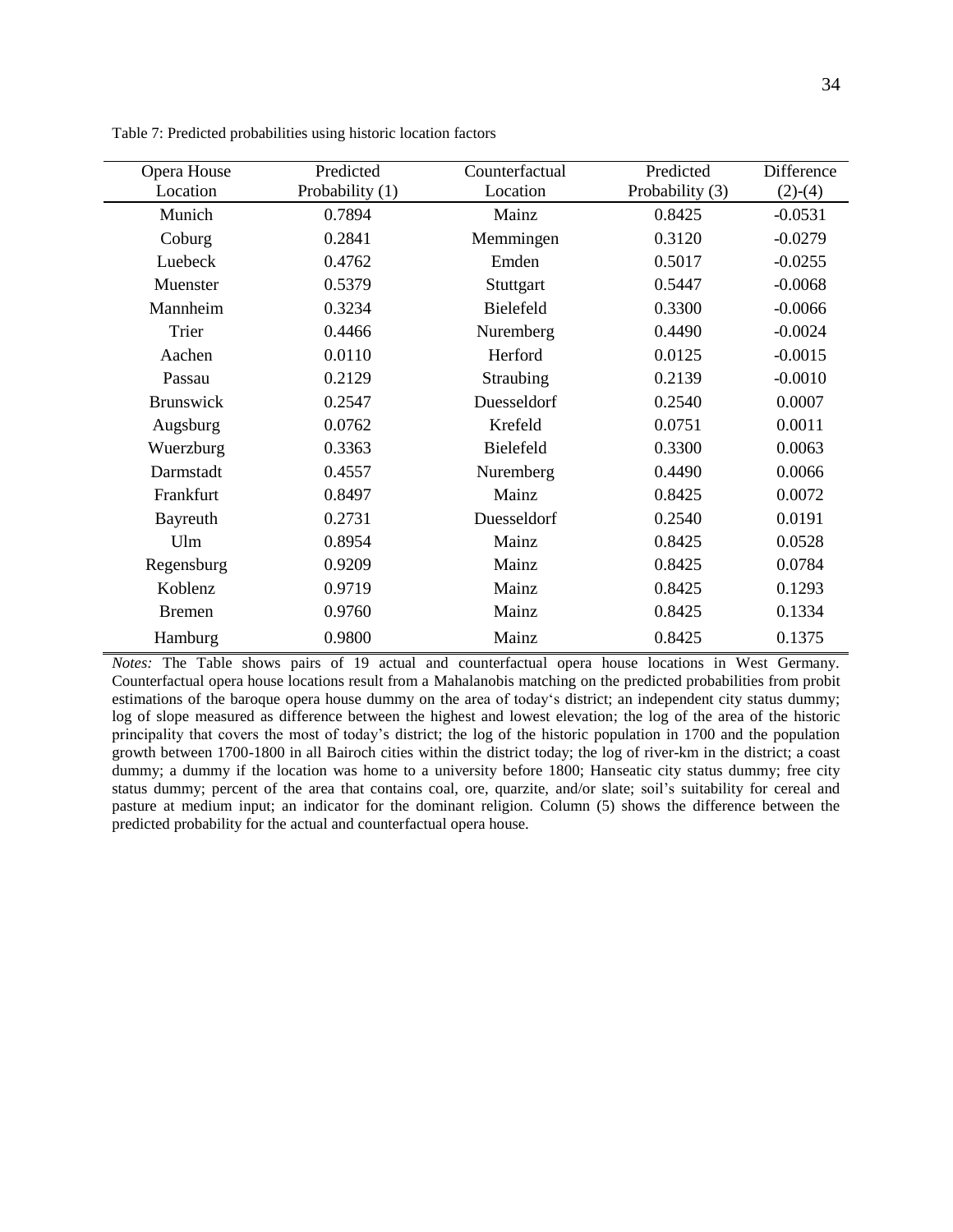| Opera House      | Predicted       | Counterfactual | Predicted       | Difference |
|------------------|-----------------|----------------|-----------------|------------|
| Location         | Probability (1) | Location       | Probability (3) | $(2)-(4)$  |
| Munich           | 0.7894          | Mainz          | 0.8425          | $-0.0531$  |
| Coburg           | 0.2841          | Memmingen      | 0.3120          | $-0.0279$  |
| Luebeck          | 0.4762          | Emden          | 0.5017          | $-0.0255$  |
| Muenster         | 0.5379          | Stuttgart      | 0.5447          | $-0.0068$  |
| Mannheim         | 0.3234          | Bielefeld      | 0.3300          | $-0.0066$  |
| Trier            | 0.4466          | Nuremberg      | 0.4490          | $-0.0024$  |
| Aachen           | 0.0110          | Herford        | 0.0125          | $-0.0015$  |
| Passau           | 0.2129          | Straubing      | 0.2139          | $-0.0010$  |
| <b>Brunswick</b> | 0.2547          | Duesseldorf    | 0.2540          | 0.0007     |
| Augsburg         | 0.0762          | Krefeld        | 0.0751          | 0.0011     |
| Wuerzburg        | 0.3363          | Bielefeld      | 0.3300          | 0.0063     |
| Darmstadt        | 0.4557          | Nuremberg      | 0.4490          | 0.0066     |
| Frankfurt        | 0.8497          | Mainz          | 0.8425          | 0.0072     |
| Bayreuth         | 0.2731          | Duesseldorf    | 0.2540          | 0.0191     |
| Ulm              | 0.8954          | Mainz          | 0.8425          | 0.0528     |
| Regensburg       | 0.9209          | Mainz          | 0.8425          | 0.0784     |
| Koblenz          | 0.9719          | Mainz          | 0.8425          | 0.1293     |
| <b>Bremen</b>    | 0.9760          | Mainz          | 0.8425          | 0.1334     |
| Hamburg          | 0.9800          | Mainz          | 0.8425          | 0.1375     |

Table 7: Predicted probabilities using historic location factors

*Notes:* The Table shows pairs of 19 actual and counterfactual opera house locations in West Germany. Counterfactual opera house locations result from a Mahalanobis matching on the predicted probabilities from probit estimations of the baroque opera house dummy on the area of today's district; an independent city status dummy; log of slope measured as difference between the highest and lowest elevation; the log of the area of the historic principality that covers the most of today's district; the log of the historic population in 1700 and the population growth between 1700-1800 in all Bairoch cities within the district today; the log of river-km in the district; a coast dummy; a dummy if the location was home to a university before 1800; Hanseatic city status dummy; free city status dummy; percent of the area that contains coal, ore, quarzite, and/or slate; soil's suitability for cereal and pasture at medium input; an indicator for the dominant religion. Column (5) shows the difference between the predicted probability for the actual and counterfactual opera house.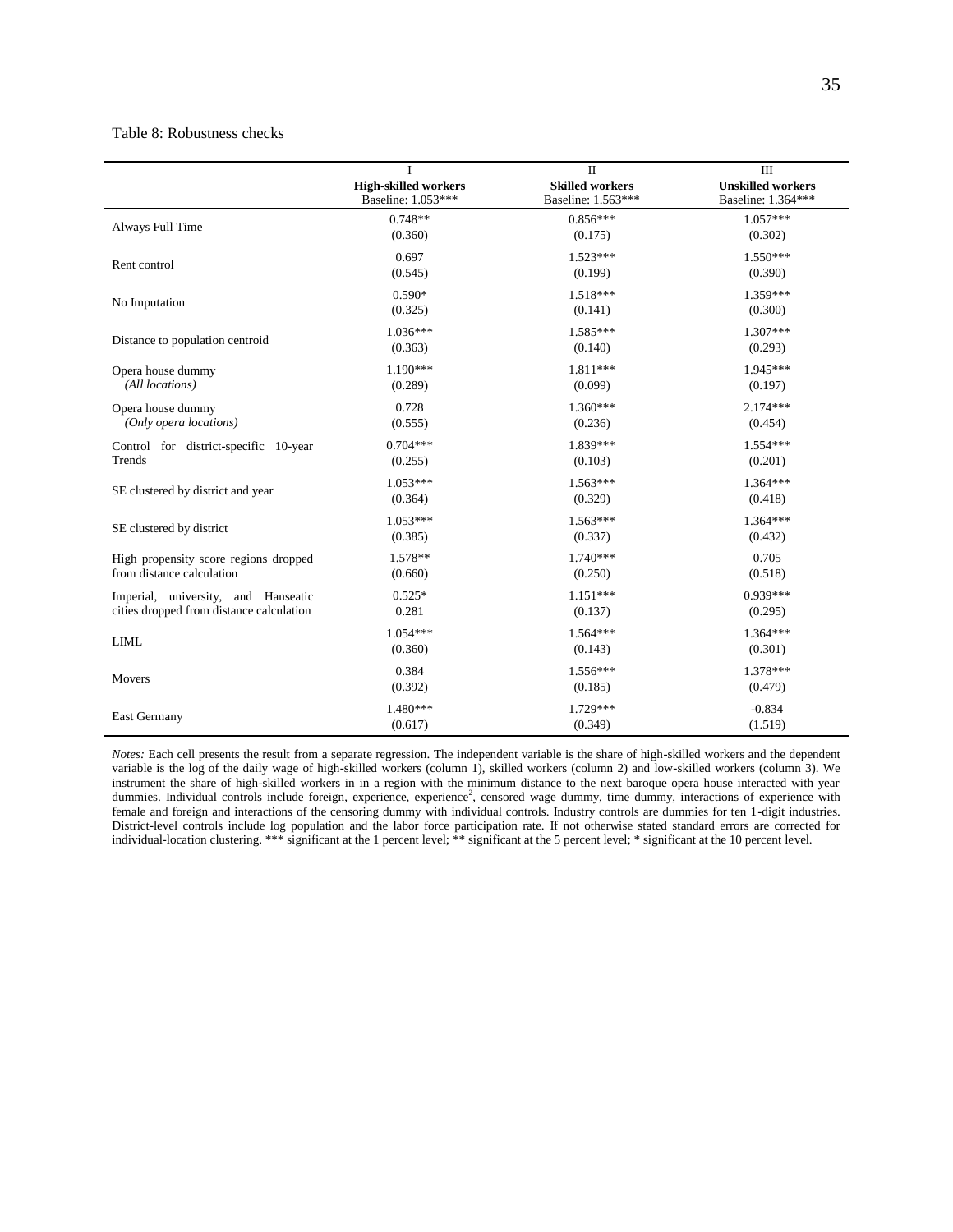#### Table 8: Robustness checks

|                                          | I                           | $\mathbf{I}$           | $\rm III$                |
|------------------------------------------|-----------------------------|------------------------|--------------------------|
|                                          | <b>High-skilled workers</b> | <b>Skilled workers</b> | <b>Unskilled workers</b> |
|                                          | Baseline: 1.053***          | Baseline: 1.563***     | Baseline: 1.364***       |
| Always Full Time                         | $0.748**$                   | $0.856***$             | $1.057***$               |
|                                          | (0.360)                     | (0.175)                | (0.302)                  |
| Rent control                             | 0.697                       | $1.523***$             | $1.550***$               |
|                                          | (0.545)                     | (0.199)                | (0.390)                  |
| No Imputation                            | $0.590*$                    | 1.518***               | 1.359***                 |
|                                          | (0.325)                     | (0.141)                | (0.300)                  |
| Distance to population centroid          | $1.036***$                  | 1.585***               | $1.307***$               |
|                                          | (0.363)                     | (0.140)                | (0.293)                  |
| Opera house dummy                        | $1.190***$                  | 1.811***               | 1.945***                 |
| (All locations)                          | (0.289)                     | (0.099)                | (0.197)                  |
| Opera house dummy                        | 0.728                       | $1.360***$             | $2.174***$               |
| (Only opera locations)                   | (0.555)                     | (0.236)                | (0.454)                  |
| Control for district-specific 10-year    | $0.704***$                  | 1.839***               | $1.554***$               |
| Trends                                   | (0.255)                     | (0.103)                | (0.201)                  |
| SE clustered by district and year        | $1.053***$                  | $1.563***$             | $1.364***$               |
|                                          | (0.364)                     | (0.329)                | (0.418)                  |
| SE clustered by district                 | $1.053***$                  | $1.563***$             | $1.364***$               |
|                                          | (0.385)                     | (0.337)                | (0.432)                  |
| High propensity score regions dropped    | $1.578**$                   | $1.740***$             | 0.705                    |
| from distance calculation                | (0.660)                     | (0.250)                | (0.518)                  |
| Imperial, university, and Hanseatic      | $0.525*$                    | $1.151***$             | $0.939***$               |
| cities dropped from distance calculation | 0.281                       | (0.137)                | (0.295)                  |
| <b>LIML</b>                              | $1.054***$                  | $1.564***$             | $1.364***$               |
|                                          | (0.360)                     | (0.143)                | (0.301)                  |
| Movers                                   | 0.384                       | $1.556***$             | 1.378***                 |
|                                          | (0.392)                     | (0.185)                | (0.479)                  |
| East Germany                             | 1.480***                    | 1.729***               | $-0.834$                 |
|                                          | (0.617)                     | (0.349)                | (1.519)                  |

*Notes:* Each cell presents the result from a separate regression. The independent variable is the share of high-skilled workers and the dependent variable is the log of the daily wage of high-skilled workers (column 1), skilled workers (column 2) and low-skilled workers (column 3). We instrument the share of high-skilled workers in in a region with the minimum distance to the next baroque opera house interacted with year dummies. Individual controls include foreign, experience, experience<sup>2</sup>, censored wage dummy, time dummy, interactions of experience with female and foreign and interactions of the censoring dummy with individual controls. Industry controls are dummies for ten 1-digit industries. District-level controls include log population and the labor force participation rate. If not otherwise stated standard errors are corrected for individual-location clustering. \*\*\* significant at the 1 percent level; \*\* significant at the 5 percent level; \* significant at the 10 percent level.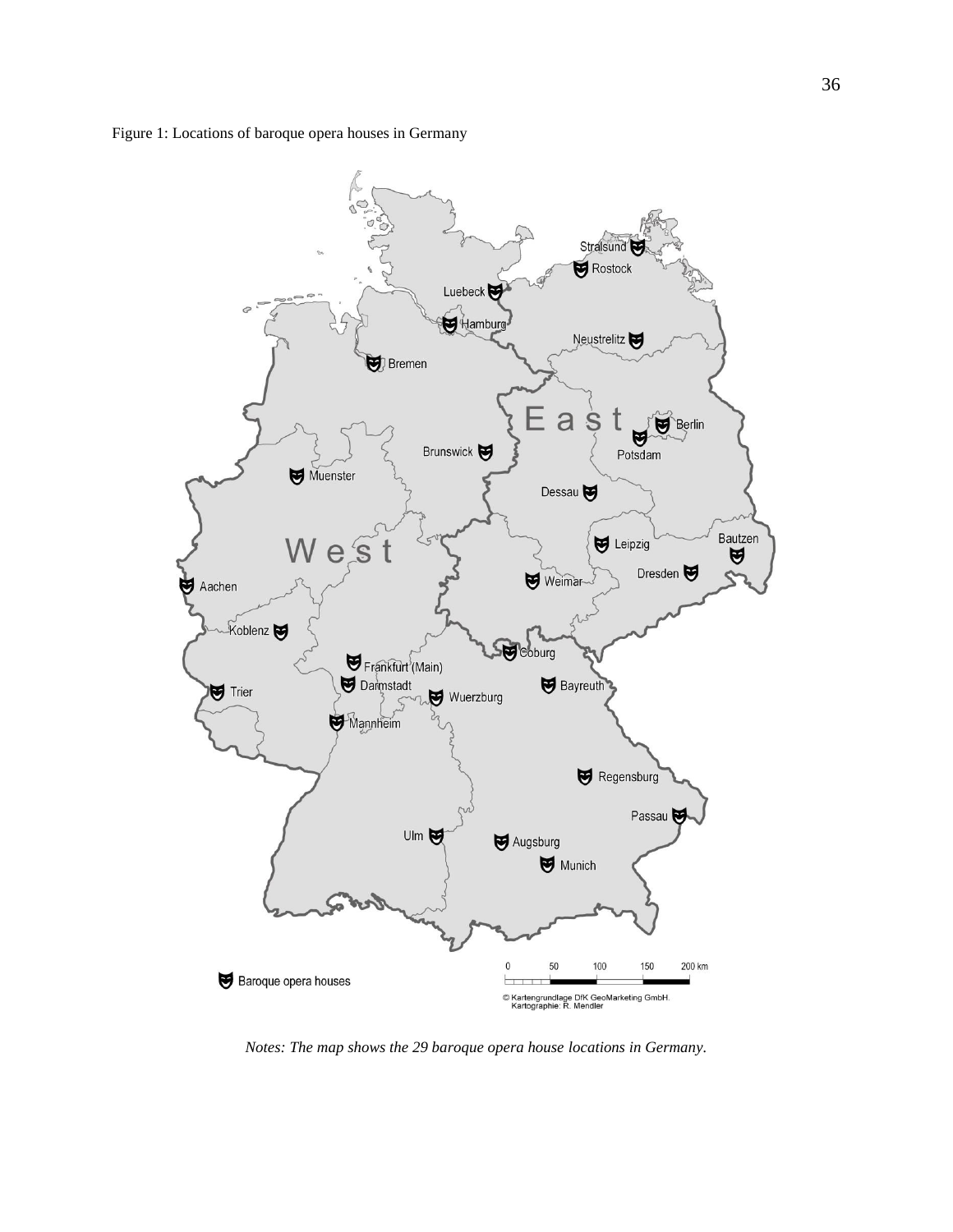Figure 1: Locations of baroque opera houses in Germany



*Notes: The map shows the 29 baroque opera house locations in Germany.*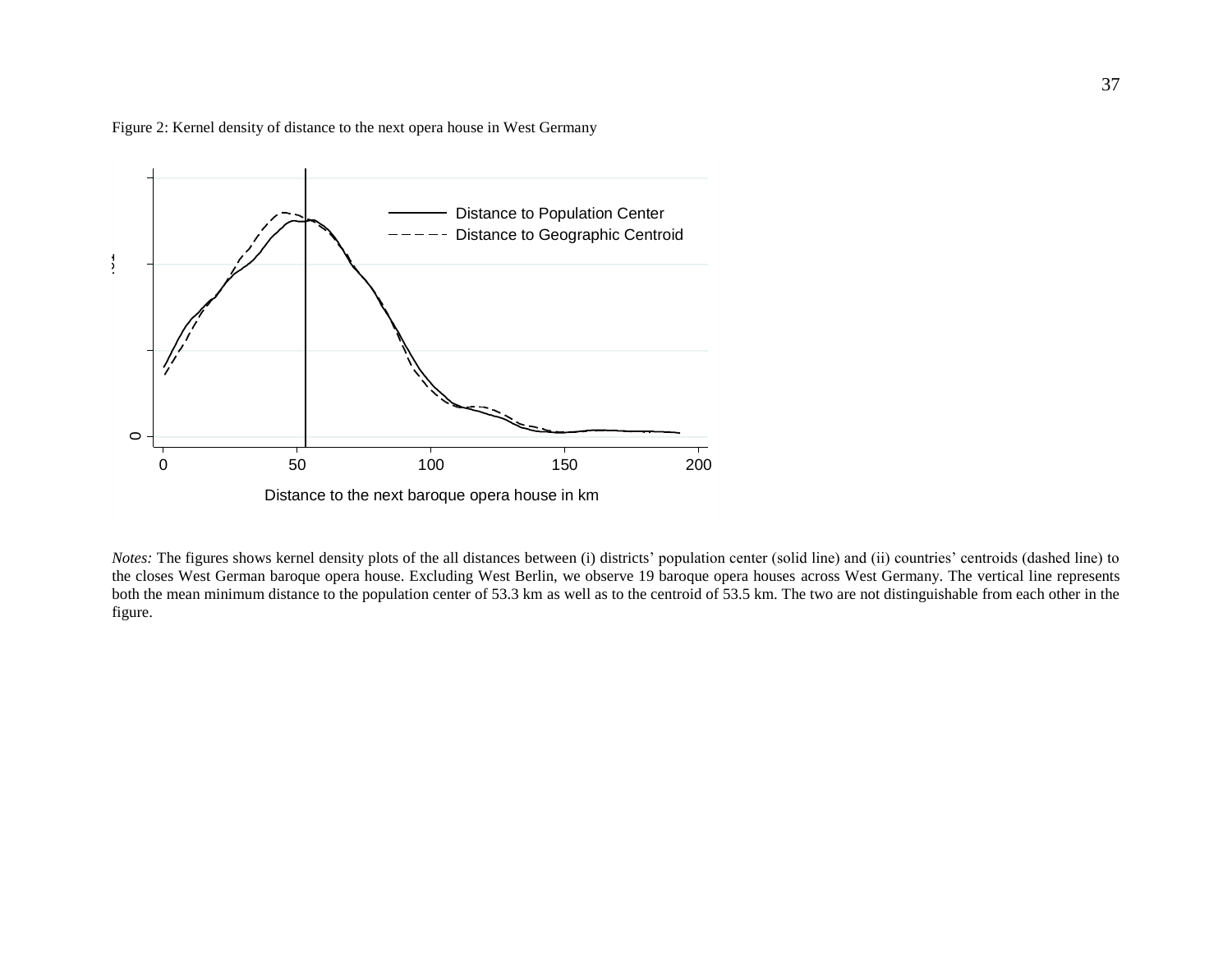Figure 2: Kernel density of distance to the next opera house in West Germany



Distance to the next baroque opera house in km

*Notes*: The figures shows kernel density plots of the all distances between (i) districts' population center (solid line) and (ii) countries' centroids (dashed line) to the closes West German baroque opera house. Excluding West Berlin, we observe 19 baroque opera houses across West Germany. The vertical line represents both the mean minimum distance to the population center of 53.3 km as well as to the centroid of 53.5 km. The two are not distinguishable from each other in the figure.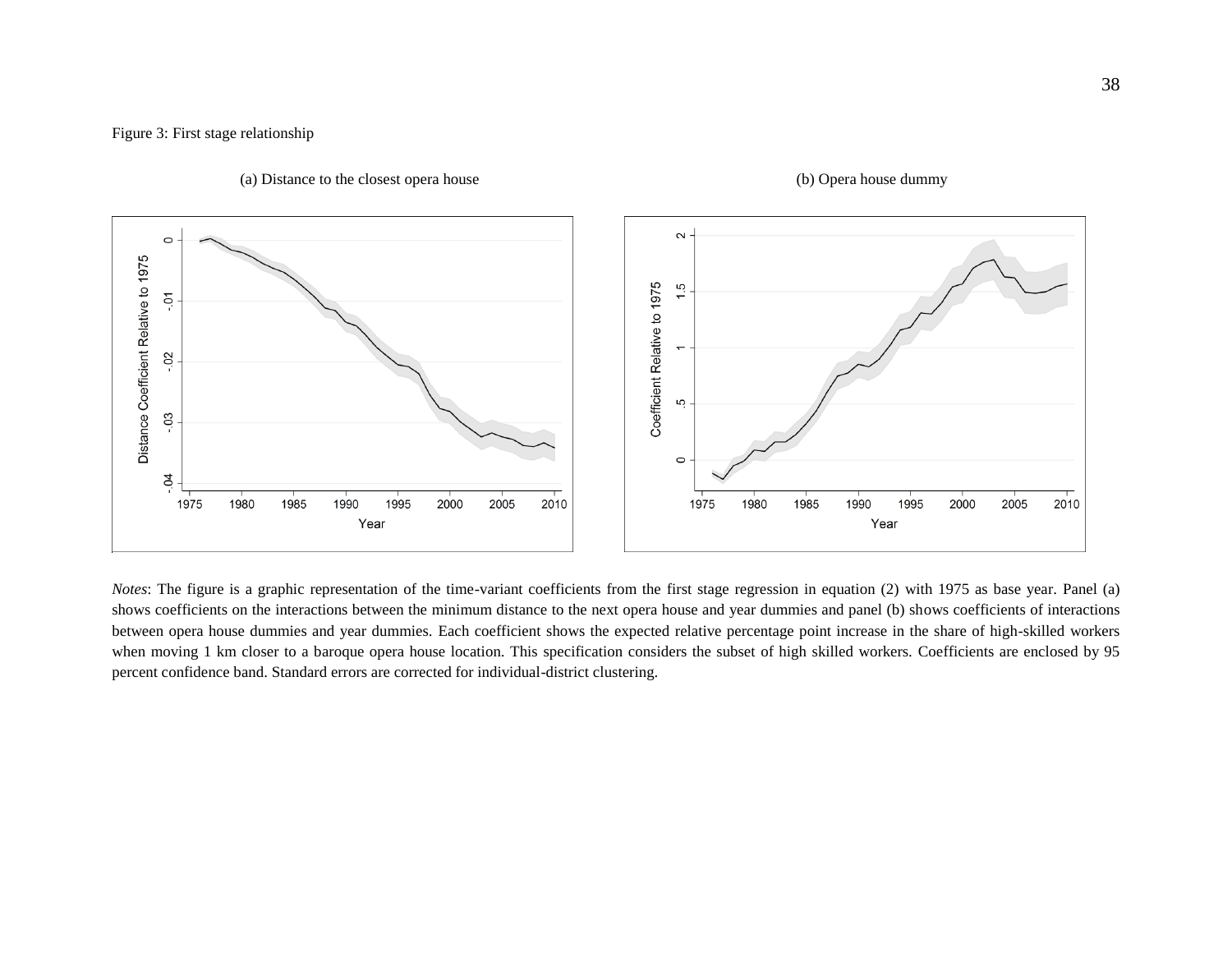

(a) Distance to the closest opera house (b) Opera house dummy

*Notes*: The figure is a graphic representation of the time-variant coefficients from the first stage regression in equation (2) with 1975 as base year. Panel (a) shows coefficients on the interactions between the minimum distance to the next opera house and year dummies and panel (b) shows coefficients of interactions between opera house dummies and year dummies. Each coefficient shows the expected relative percentage point increase in the share of high-skilled workers when moving 1 km closer to a baroque opera house location. This specification considers the subset of high skilled workers. Coefficients are enclosed by 95 percent confidence band. Standard errors are corrected for individual-district clustering.